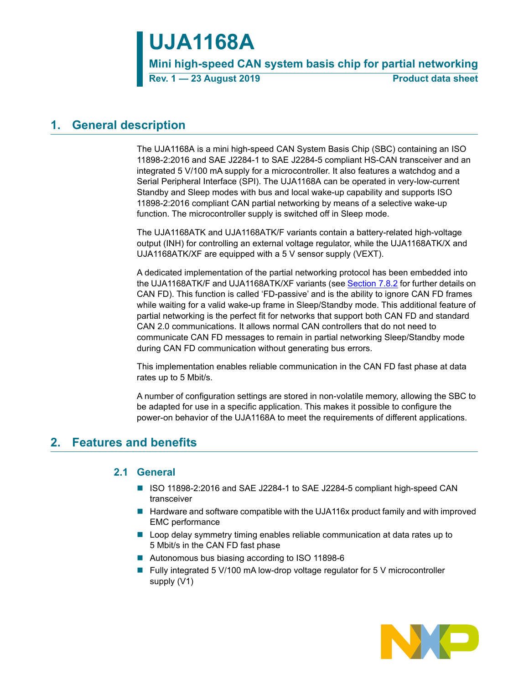# **UJA1168A**

**Mini high-speed CAN system basis chip for partial networking**

**Rev. 1 – 23 August 2019** Product data sheet

## **1. General description**

The UJA1168A is a mini high-speed CAN System Basis Chip (SBC) containing an ISO 11898-2:2016 and SAE J2284-1 to SAE J2284-5 compliant HS-CAN transceiver and an integrated 5 V/100 mA supply for a microcontroller. It also features a watchdog and a Serial Peripheral Interface (SPI). The UJA1168A can be operated in very-low-current Standby and Sleep modes with bus and local wake-up capability and supports ISO 11898-2:2016 compliant CAN partial networking by means of a selective wake-up function. The microcontroller supply is switched off in Sleep mode.

The UJA1168ATK and UJA1168ATK/F variants contain a battery-related high-voltage output (INH) for controlling an external voltage regulator, while the UJA1168ATK/X and UJA1168ATK/XF are equipped with a 5 V sensor supply (VEXT).

A dedicated implementation of the partial networking protocol has been embedded into the UJA1168ATK/F and UJA1168ATK/XF variants (see [Section 7.8.2](#page-27-0) for further details on CAN FD). This function is called 'FD-passive' and is the ability to ignore CAN FD frames while waiting for a valid wake-up frame in Sleep/Standby mode. This additional feature of partial networking is the perfect fit for networks that support both CAN FD and standard CAN 2.0 communications. It allows normal CAN controllers that do not need to communicate CAN FD messages to remain in partial networking Sleep/Standby mode during CAN FD communication without generating bus errors.

This implementation enables reliable communication in the CAN FD fast phase at data rates up to 5 Mbit/s.

A number of configuration settings are stored in non-volatile memory, allowing the SBC to be adapted for use in a specific application. This makes it possible to configure the power-on behavior of the UJA1168A to meet the requirements of different applications.

## **2. Features and benefits**

## **2.1 General**

- ISO 11898-2:2016 and SAE J2284-1 to SAE J2284-5 compliant high-speed CAN transceiver
- $\blacksquare$  Hardware and software compatible with the UJA116x product family and with improved EMC performance
- **Loop delay symmetry timing enables reliable communication at data rates up to** 5 Mbit/s in the CAN FD fast phase
- Autonomous bus biasing according to ISO 11898-6
- Fully integrated 5 V/100 mA low-drop voltage regulator for 5 V microcontroller supply (V1)

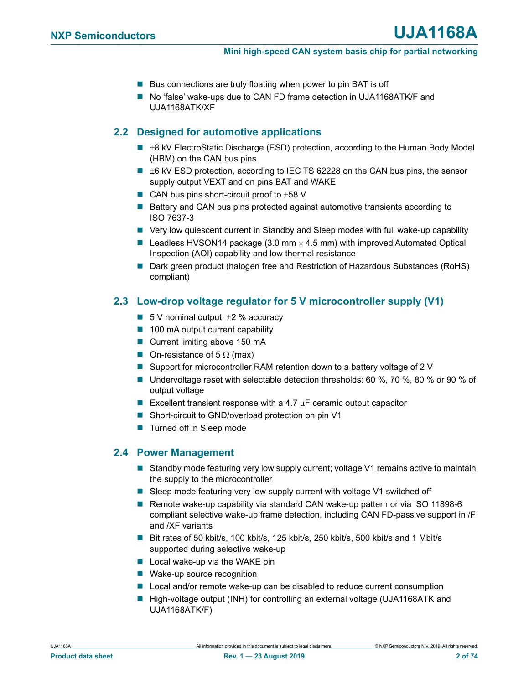- Bus connections are truly floating when power to pin BAT is off
- No 'false' wake-ups due to CAN FD frame detection in UJA1168ATK/F and UJA1168ATK/XF

## **2.2 Designed for automotive applications**

- $\blacksquare$   $\pm$ 8 kV ElectroStatic Discharge (ESD) protection, according to the Human Body Model (HBM) on the CAN bus pins
- $\blacksquare$   $\pm$ 6 kV ESD protection, according to IEC TS 62228 on the CAN bus pins, the sensor supply output VEXT and on pins BAT and WAKE
- CAN bus pins short-circuit proof to  $\pm 58$  V
- Battery and CAN bus pins protected against automotive transients according to ISO 7637-3
- Very low quiescent current in Standby and Sleep modes with full wake-up capability
- **Leadless HVSON14 package (3.0 mm**  $\times$  **4.5 mm) with improved Automated Optical** Inspection (AOI) capability and low thermal resistance
- Dark green product (halogen free and Restriction of Hazardous Substances (RoHS) compliant)

## **2.3 Low-drop voltage regulator for 5 V microcontroller supply (V1)**

- $\blacksquare$  5 V nominal output;  $\pm 2$  % accuracy
- $\blacksquare$  100 mA output current capability
- Current limiting above 150 mA
- On-resistance of 5  $\Omega$  (max)
- Support for microcontroller RAM retention down to a battery voltage of 2 V
- Undervoltage reset with selectable detection thresholds: 60 %, 70 %, 80 % or 90 % of output voltage
- Excellent transient response with a 4.7  $\mu$ F ceramic output capacitor
- Short-circuit to GND/overload protection on pin V1
- Turned off in Sleep mode

## **2.4 Power Management**

- Standby mode featuring very low supply current; voltage V1 remains active to maintain the supply to the microcontroller
- Sleep mode featuring very low supply current with voltage V1 switched off
- Remote wake-up capability via standard CAN wake-up pattern or via ISO 11898-6 compliant selective wake-up frame detection, including CAN FD-passive support in /F and /XF variants
- Bit rates of 50 kbit/s, 100 kbit/s, 125 kbit/s, 250 kbit/s, 500 kbit/s and 1 Mbit/s supported during selective wake-up
- $\blacksquare$  Local wake-up via the WAKE pin
- Wake-up source recognition
- Local and/or remote wake-up can be disabled to reduce current consumption
- High-voltage output (INH) for controlling an external voltage (UJA1168ATK and UJA1168ATK/F)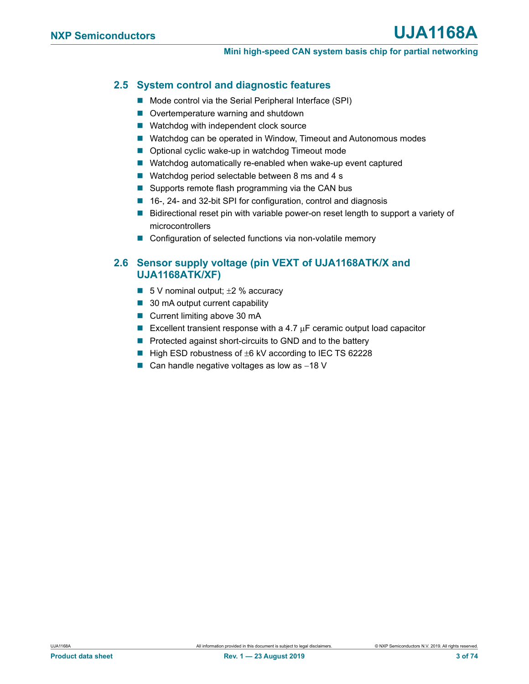## **2.5 System control and diagnostic features**

- Mode control via the Serial Peripheral Interface (SPI)
- Overtemperature warning and shutdown
- Watchdog with independent clock source
- Watchdog can be operated in Window, Timeout and Autonomous modes
- Optional cyclic wake-up in watchdog Timeout mode
- Watchdog automatically re-enabled when wake-up event captured
- Watchdog period selectable between 8 ms and 4 s
- $\blacksquare$  Supports remote flash programming via the CAN bus
- 16-, 24- and 32-bit SPI for configuration, control and diagnosis
- Bidirectional reset pin with variable power-on reset length to support a variety of microcontrollers
- Configuration of selected functions via non-volatile memory

## **2.6 Sensor supply voltage (pin VEXT of UJA1168ATK/X and UJA1168ATK/XF)**

- 5 V nominal output;  $\pm 2$  % accuracy
- 30 mA output current capability
- Current limiting above 30 mA
- Excellent transient response with a 4.7  $\mu$ F ceramic output load capacitor
- **Perotected against short-circuits to GND and to the battery**
- $\blacksquare$  High ESD robustness of  $\pm 6$  kV according to IEC TS 62228
- Can handle negative voltages as low as  $-18$  V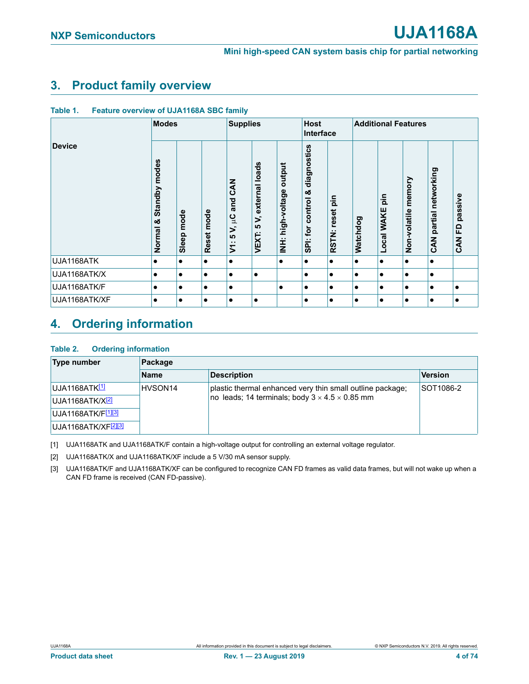## **3. Product family overview**

| Table 1. |  | <b>Feature overview of UJA1168A SBC family</b> |  |
|----------|--|------------------------------------------------|--|
|          |  |                                                |  |

|               | <b>Modes</b>                    |               | <b>Supplies</b> |                                                                                       | <b>Host</b><br>Interface                  |                                            | <b>Additional Features</b>                 |                                 |           |                   |                        |                                     |                                       |
|---------------|---------------------------------|---------------|-----------------|---------------------------------------------------------------------------------------|-------------------------------------------|--------------------------------------------|--------------------------------------------|---------------------------------|-----------|-------------------|------------------------|-------------------------------------|---------------------------------------|
| <b>Device</b> | modes<br>Standby<br>య<br>Normal | mode<br>Sleep | Reset mode      | <b>Z<br/>CAN</b><br>and<br>å<br>$\mathbf{r}$<br><b>LO</b><br>$\sim$<br>$\overline{5}$ | external loads<br>5<br><b>LO</b><br>VEXT: | output<br>Φ<br>high-voltag<br>$\ddot{\Xi}$ | diagnostics<br>ఱ<br>control<br>tor<br>SPi: | $\frac{1}{2}$<br>reset<br>RSTN: | Watchdog  | pin<br>Local WAKE | memory<br>Non-volatile | networking<br>partial<br><b>ZAN</b> | passive<br>≏<br>ш.<br><b>Z<br/>AN</b> |
| UJA1168ATK    | ٠                               |               | ٠               | $\bullet$                                                                             |                                           | $\bullet$                                  | ٠                                          |                                 | $\bullet$ | ٠                 | $\bullet$              | ٠                                   |                                       |
| UJA1168ATK/X  | $\bullet$                       | $\bullet$     |                 | $\bullet$                                                                             | $\bullet$                                 |                                            | ٠                                          |                                 | $\bullet$ | $\bullet$         | $\bullet$              | $\bullet$                           |                                       |
| UJA1168ATK/F  | $\bullet$                       | ٠             | $\bullet$       | $\bullet$                                                                             |                                           | $\bullet$                                  | $\bullet$                                  |                                 | $\bullet$ | $\bullet$         | $\bullet$              | $\bullet$                           |                                       |
| UJA1168ATK/XF | $\bullet$                       | ٠             | ٠               | $\bullet$                                                                             | $\bullet$                                 |                                            | ٠                                          |                                 | $\bullet$ | ٠                 | $\bullet$              | ٠                                   |                                       |

## **4. Ordering information**

#### **Table 2. Ordering information**

| Type number                     | Package             |                                                                                                                         |           |  |  |  |
|---------------------------------|---------------------|-------------------------------------------------------------------------------------------------------------------------|-----------|--|--|--|
|                                 | <b>Name</b>         | <b>Version</b>                                                                                                          |           |  |  |  |
| UJA1168ATK <sup>[1]</sup>       | HVSON <sub>14</sub> | plastic thermal enhanced very thin small outline package;<br>no leads; 14 terminals; body $3 \times 4.5 \times 0.85$ mm | SOT1086-2 |  |  |  |
| UJA1168ATK/X22                  |                     |                                                                                                                         |           |  |  |  |
| UJA1168ATK/F[1][3]              |                     |                                                                                                                         |           |  |  |  |
| UJA1168ATK/XF <sup>[2][3]</sup> |                     |                                                                                                                         |           |  |  |  |

<span id="page-3-0"></span>[1] UJA1168ATK and UJA1168ATK/F contain a high-voltage output for controlling an external voltage regulator.

<span id="page-3-1"></span>[2] UJA1168ATK/X and UJA1168ATK/XF include a 5 V/30 mA sensor supply.

<span id="page-3-2"></span>[3] UJA1168ATK/F and UJA1168ATK/XF can be configured to recognize CAN FD frames as valid data frames, but will not wake up when a CAN FD frame is received (CAN FD-passive).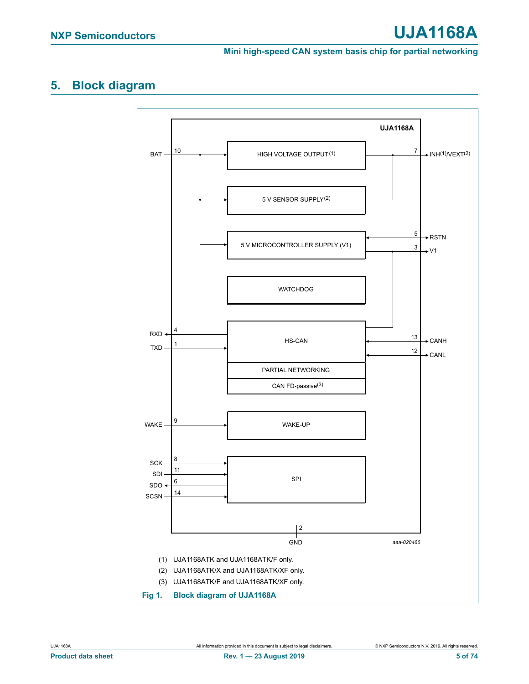## **5. Block diagram**

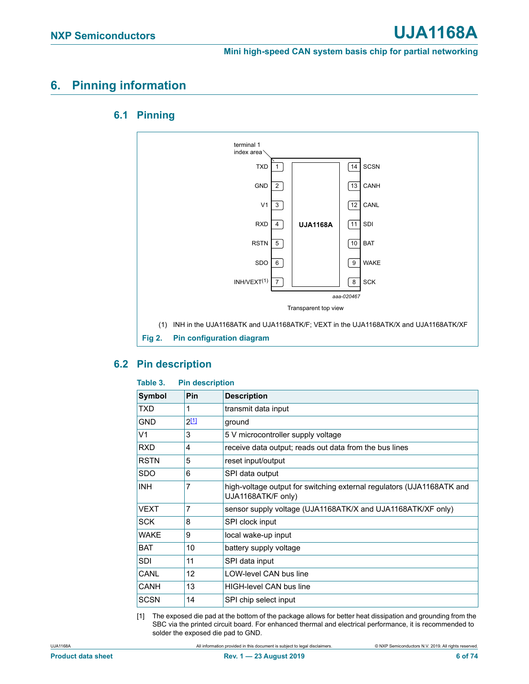## **6. Pinning information**

## **6.1 Pinning**



## **6.2 Pin description**

#### **Table 3. Pin description**

| <b>Symbol</b>  | Pin       | <b>Description</b>                                                                          |
|----------------|-----------|---------------------------------------------------------------------------------------------|
| <b>TXD</b>     | 1         | transmit data input                                                                         |
| <b>GND</b>     | $2^{[1]}$ | ground                                                                                      |
| V <sub>1</sub> | 3         | 5 V microcontroller supply voltage                                                          |
| <b>RXD</b>     | 4         | receive data output; reads out data from the bus lines                                      |
| <b>RSTN</b>    | 5         | reset input/output                                                                          |
| <b>SDO</b>     | 6         | SPI data output                                                                             |
| <b>INH</b>     | 7         | high-voltage output for switching external regulators (UJA1168ATK and<br>UJA1168ATK/F only) |
| <b>VEXT</b>    | 7         | sensor supply voltage (UJA1168ATK/X and UJA1168ATK/XF only)                                 |
| <b>SCK</b>     | 8         | SPI clock input                                                                             |
| <b>WAKE</b>    | 9         | local wake-up input                                                                         |
| <b>BAT</b>     | 10        | battery supply voltage                                                                      |
| <b>SDI</b>     | 11        | SPI data input                                                                              |
| CANL           | 12        | <b>LOW-level CAN bus line</b>                                                               |
| CANH           | 13        | <b>HIGH-level CAN bus line</b>                                                              |
| <b>SCSN</b>    | 14        | SPI chip select input                                                                       |

<span id="page-5-0"></span>[1] The exposed die pad at the bottom of the package allows for better heat dissipation and grounding from the SBC via the printed circuit board. For enhanced thermal and electrical performance, it is recommended to solder the exposed die pad to GND.

UJA1168A All information provided in this document is subject to legal disclaimers. © NXP Semiconductors N.V. 2019. All rights reserved.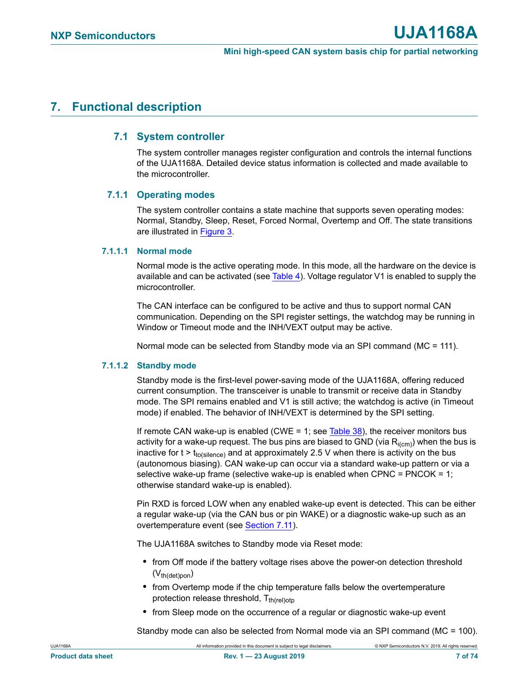## **7. Functional description**

### **7.1 System controller**

The system controller manages register configuration and controls the internal functions of the UJA1168A. Detailed device status information is collected and made available to the microcontroller.

#### **7.1.1 Operating modes**

The system controller contains a state machine that supports seven operating modes: Normal, Standby, Sleep, Reset, Forced Normal, Overtemp and Off. The state transitions are illustrated in [Figure 3](#page-7-0).

#### **7.1.1.1 Normal mode**

Normal mode is the active operating mode. In this mode, all the hardware on the device is available and can be activated (see [Table 4\)](#page-10-0). Voltage regulator V1 is enabled to supply the microcontroller.

The CAN interface can be configured to be active and thus to support normal CAN communication. Depending on the SPI register settings, the watchdog may be running in Window or Timeout mode and the INH/VEXT output may be active.

Normal mode can be selected from Standby mode via an SPI command (MC = 111).

#### **7.1.1.2 Standby mode**

Standby mode is the first-level power-saving mode of the UJA1168A, offering reduced current consumption. The transceiver is unable to transmit or receive data in Standby mode. The SPI remains enabled and V1 is still active; the watchdog is active (in Timeout mode) if enabled. The behavior of INH/VEXT is determined by the SPI setting.

If remote CAN wake-up is enabled (CWE = 1; see [Table 38](#page-36-0)), the receiver monitors bus activity for a wake-up request. The bus pins are biased to GND (via  $R_{i(cm)}$ ) when the bus is inactive for  $t > t_{to(silence)}$  and at approximately 2.5 V when there is activity on the bus (autonomous biasing). CAN wake-up can occur via a standard wake-up pattern or via a selective wake-up frame (selective wake-up is enabled when CPNC = PNCOK =  $1$ ; otherwise standard wake-up is enabled).

Pin RXD is forced LOW when any enabled wake-up event is detected. This can be either a regular wake-up (via the CAN bus or pin WAKE) or a diagnostic wake-up such as an overtemperature event (see [Section 7.11\)](#page-32-0).

The UJA1168A switches to Standby mode via Reset mode:

- **•** from Off mode if the battery voltage rises above the power-on detection threshold  $(V<sub>th</sub>(det)$ pon)
- **•** from Overtemp mode if the chip temperature falls below the overtemperature protection release threshold,  $T_{th (rel)oto}$
- **•** from Sleep mode on the occurrence of a regular or diagnostic wake-up event

Standby mode can also be selected from Normal mode via an SPI command (MC = 100).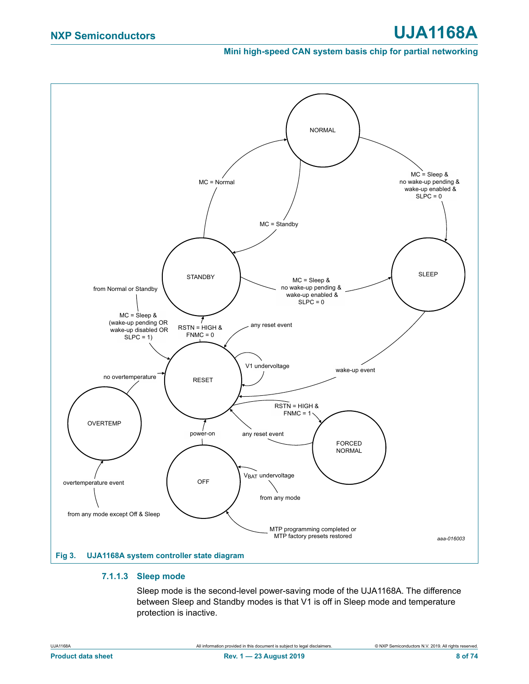## **NXP Semiconductors UJA1168A**

**Mini high-speed CAN system basis chip for partial networking**



#### <span id="page-7-1"></span><span id="page-7-0"></span>**7.1.1.3 Sleep mode**

Sleep mode is the second-level power-saving mode of the UJA1168A. The difference between Sleep and Standby modes is that V1 is off in Sleep mode and temperature protection is inactive.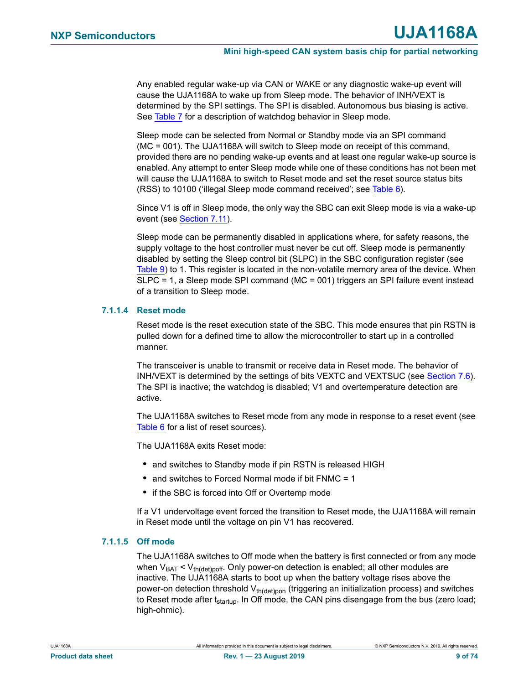Any enabled regular wake-up via CAN or WAKE or any diagnostic wake-up event will cause the UJA1168A to wake up from Sleep mode. The behavior of INH/VEXT is determined by the SPI settings. The SPI is disabled. Autonomous bus biasing is active. See [Table 7](#page-12-0) for a description of watchdog behavior in Sleep mode.

Sleep mode can be selected from Normal or Standby mode via an SPI command (MC = 001). The UJA1168A will switch to Sleep mode on receipt of this command, provided there are no pending wake-up events and at least one regular wake-up source is enabled. Any attempt to enter Sleep mode while one of these conditions has not been met will cause the UJA1168A to switch to Reset mode and set the reset source status bits (RSS) to 10100 ('illegal Sleep mode command received'; see [Table 6](#page-11-0)).

Since V1 is off in Sleep mode, the only way the SBC can exit Sleep mode is via a wake-up event (see [Section 7.11\)](#page-32-0).

Sleep mode can be permanently disabled in applications where, for safety reasons, the supply voltage to the host controller must never be cut off. Sleep mode is permanently disabled by setting the Sleep control bit (SLPC) in the SBC configuration register (see [Table 9\)](#page-13-0) to 1. This register is located in the non-volatile memory area of the device. When SLPC = 1, a Sleep mode SPI command (MC = 001) triggers an SPI failure event instead of a transition to Sleep mode.

#### **7.1.1.4 Reset mode**

Reset mode is the reset execution state of the SBC. This mode ensures that pin RSTN is pulled down for a defined time to allow the microcontroller to start up in a controlled manner.

The transceiver is unable to transmit or receive data in Reset mode. The behavior of INH/VEXT is determined by the settings of bits VEXTC and VEXTSUC (see [Section 7.6](#page-18-0)). The SPI is inactive; the watchdog is disabled; V1 and overtemperature detection are active.

The UJA1168A switches to Reset mode from any mode in response to a reset event (see [Table 6](#page-11-0) for a list of reset sources).

The UJA1168A exits Reset mode:

- **•** and switches to Standby mode if pin RSTN is released HIGH
- **•** and switches to Forced Normal mode if bit FNMC = 1
- if the SBC is forced into Off or Overtemp mode

If a V1 undervoltage event forced the transition to Reset mode, the UJA1168A will remain in Reset mode until the voltage on pin V1 has recovered.

#### **7.1.1.5 Off mode**

The UJA1168A switches to Off mode when the battery is first connected or from any mode when  $V_{BAT} < V_{th (det) porf}$ . Only power-on detection is enabled; all other modules are inactive. The UJA1168A starts to boot up when the battery voltage rises above the power-on detection threshold  $V<sub>th(dethoon</sub>$  (triggering an initialization process) and switches to Reset mode after t<sub>startup</sub>. In Off mode, the CAN pins disengage from the bus (zero load; high-ohmic).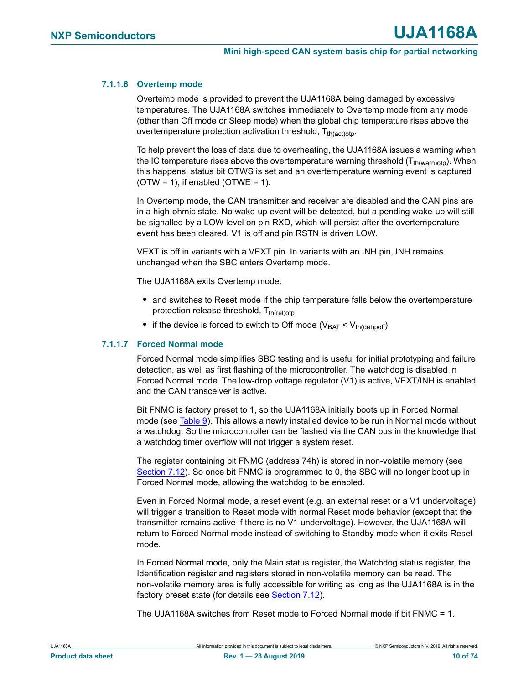#### **7.1.1.6 Overtemp mode**

Overtemp mode is provided to prevent the UJA1168A being damaged by excessive temperatures. The UJA1168A switches immediately to Overtemp mode from any mode (other than Off mode or Sleep mode) when the global chip temperature rises above the overtemperature protection activation threshold,  $T_{th(act)$ oto.

To help prevent the loss of data due to overheating, the UJA1168A issues a warning when the IC temperature rises above the overtemperature warning threshold  $(T_{th(warn)otp})$ . When this happens, status bit OTWS is set and an overtemperature warning event is captured  $(OTW = 1)$ , if enabled  $(OTWE = 1)$ .

In Overtemp mode, the CAN transmitter and receiver are disabled and the CAN pins are in a high-ohmic state. No wake-up event will be detected, but a pending wake-up will still be signalled by a LOW level on pin RXD, which will persist after the overtemperature event has been cleared. V1 is off and pin RSTN is driven LOW.

VEXT is off in variants with a VEXT pin. In variants with an INH pin, INH remains unchanged when the SBC enters Overtemp mode.

The UJA1168A exits Overtemp mode:

- **•** and switches to Reset mode if the chip temperature falls below the overtemperature protection release threshold,  $T_{th(rel)oto}$
- if the device is forced to switch to Off mode ( $V_{BAT} < V_{th (det)$ ooff)

#### **7.1.1.7 Forced Normal mode**

Forced Normal mode simplifies SBC testing and is useful for initial prototyping and failure detection, as well as first flashing of the microcontroller. The watchdog is disabled in Forced Normal mode. The low-drop voltage regulator (V1) is active, VEXT/INH is enabled and the CAN transceiver is active.

Bit FNMC is factory preset to 1, so the UJA1168A initially boots up in Forced Normal mode (see [Table 9](#page-13-0)). This allows a newly installed device to be run in Normal mode without a watchdog. So the microcontroller can be flashed via the CAN bus in the knowledge that a watchdog timer overflow will not trigger a system reset.

The register containing bit FNMC (address 74h) is stored in non-volatile memory (see [Section 7.12](#page-37-0)). So once bit FNMC is programmed to 0, the SBC will no longer boot up in Forced Normal mode, allowing the watchdog to be enabled.

Even in Forced Normal mode, a reset event (e.g. an external reset or a V1 undervoltage) will trigger a transition to Reset mode with normal Reset mode behavior (except that the transmitter remains active if there is no V1 undervoltage). However, the UJA1168A will return to Forced Normal mode instead of switching to Standby mode when it exits Reset mode.

In Forced Normal mode, only the Main status register, the Watchdog status register, the Identification register and registers stored in non-volatile memory can be read. The non-volatile memory area is fully accessible for writing as long as the UJA1168A is in the factory preset state (for details see [Section 7.12](#page-37-0)).

The UJA1168A switches from Reset mode to Forced Normal mode if bit FNMC = 1.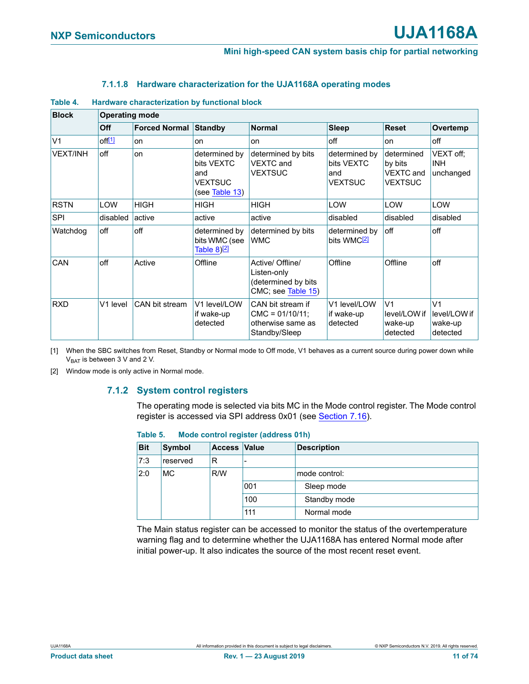#### **7.1.1.8 Hardware characterization for the UJA1168A operating modes**

<span id="page-10-0"></span>

| <b>Block</b>    | <b>Operating mode</b> |                      |                                                                 |                                                                               |                                                      |                                                             |                                                       |  |  |  |
|-----------------|-----------------------|----------------------|-----------------------------------------------------------------|-------------------------------------------------------------------------------|------------------------------------------------------|-------------------------------------------------------------|-------------------------------------------------------|--|--|--|
|                 | Off                   | <b>Forced Normal</b> | Standby                                                         | <b>Normal</b>                                                                 | <b>Sleep</b>                                         | <b>Reset</b>                                                | Overtemp                                              |  |  |  |
| V <sub>1</sub>  | off <sup>[1]</sup>    | on                   | on                                                              | <b>on</b>                                                                     | off                                                  | on                                                          | off                                                   |  |  |  |
| <b>VEXT/INH</b> | off                   | on                   | determined by<br>bits VEXTC<br>and<br>VEXTSUC<br>(see Table 13) | determined by bits<br><b>VEXTC</b> and<br><b>VEXTSUC</b>                      | determined by<br>bits VEXTC<br>and<br><b>VEXTSUC</b> | determined<br>by bits<br><b>VEXTC</b> and<br><b>VEXTSUC</b> | VEXT off;<br><b>INH</b><br>unchanged                  |  |  |  |
| <b>RSTN</b>     | <b>LOW</b>            | <b>HIGH</b>          | <b>HIGH</b>                                                     | <b>HIGH</b>                                                                   | LOW                                                  | LOW                                                         | LOW                                                   |  |  |  |
| SPI             | disabled              | active               | active                                                          | active                                                                        | disabled                                             | disabled                                                    | disabled                                              |  |  |  |
| Watchdog        | off                   | off                  | determined by<br>bits WMC (see<br>Table 8) <u>[2</u> ]          | determined by bits<br><b>WMC</b>                                              | determined by<br>bits WMC <sup>[2]</sup>             | off                                                         | off                                                   |  |  |  |
| CAN             | off                   | Active               | Offline                                                         | Active/ Offline/<br>Listen-only<br>(determined by bits<br>CMC; see Table 15)  | Offline                                              | Offline                                                     | off                                                   |  |  |  |
| <b>RXD</b>      | V1 level              | CAN bit stream       | V1 level/LOW<br>if wake-up<br>detected                          | CAN bit stream if<br>$CMC = 01/10/11$ ;<br>otherwise same as<br>Standby/Sleep | V1 level/LOW<br>if wake-up<br>detected               | V <sub>1</sub><br>level/LOW if<br>wake-up<br>detected       | V <sub>1</sub><br>level/LOW if<br>wake-up<br>detected |  |  |  |

<span id="page-10-1"></span>[1] When the SBC switches from Reset, Standby or Normal mode to Off mode, V1 behaves as a current source during power down while  $V_{BAT}$  is between 3 V and 2 V.

<span id="page-10-2"></span>[2] Window mode is only active in Normal mode.

#### **7.1.2 System control registers**

The operating mode is selected via bits MC in the Mode control register. The Mode control register is accessed via SPI address 0x01 (see [Section 7.16\)](#page-41-0).

| <b>Bit</b> | Symbol    | <b>Access Value</b> |     | <b>Description</b> |
|------------|-----------|---------------------|-----|--------------------|
| 7:3        | reserved  | R                   |     |                    |
| 2:0        | <b>MC</b> | R/W                 |     | mode control:      |
|            |           |                     | 001 | Sleep mode         |
|            |           |                     | 100 | Standby mode       |
|            |           |                     | 111 | Normal mode        |

#### **Table 5. Mode control register (address 01h)**

The Main status register can be accessed to monitor the status of the overtemperature warning flag and to determine whether the UJA1168A has entered Normal mode after initial power-up. It also indicates the source of the most recent reset event.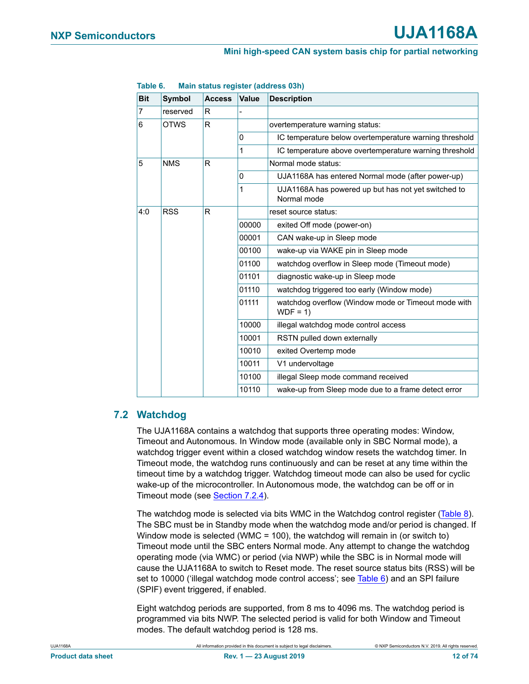| <b>Bit</b> | Symbol      | <b>Access</b>               | <b>Value</b>                                        | <b>Description</b>                                                 |                                            |
|------------|-------------|-----------------------------|-----------------------------------------------------|--------------------------------------------------------------------|--------------------------------------------|
| 7          | reserved    | R                           |                                                     |                                                                    |                                            |
| 6          | <b>OTWS</b> | R                           |                                                     | overtemperature warning status:                                    |                                            |
|            |             |                             | $\Omega$                                            | IC temperature below overtemperature warning threshold             |                                            |
|            |             |                             | 1                                                   | IC temperature above overtemperature warning threshold             |                                            |
| 5          | <b>NMS</b>  | R                           |                                                     | Normal mode status:                                                |                                            |
|            |             |                             | $\Omega$                                            | UJA1168A has entered Normal mode (after power-up)                  |                                            |
|            |             |                             | 1                                                   | UJA1168A has powered up but has not yet switched to<br>Normal mode |                                            |
| 4:0        | <b>RSS</b>  | R                           |                                                     | reset source status:                                               |                                            |
|            |             |                             | 00000                                               | exited Off mode (power-on)                                         |                                            |
|            |             |                             | 00001                                               | CAN wake-up in Sleep mode                                          |                                            |
|            |             |                             | 00100                                               | wake-up via WAKE pin in Sleep mode                                 |                                            |
|            |             |                             | 01100                                               | watchdog overflow in Sleep mode (Timeout mode)                     |                                            |
|            |             |                             | 01101                                               | diagnostic wake-up in Sleep mode                                   |                                            |
|            |             | 01110<br>01111<br>$WDF = 1$ |                                                     |                                                                    | watchdog triggered too early (Window mode) |
|            |             |                             | watchdog overflow (Window mode or Timeout mode with |                                                                    |                                            |
|            |             |                             | 10000                                               | illegal watchdog mode control access                               |                                            |
|            |             |                             | 10001                                               | RSTN pulled down externally                                        |                                            |
|            |             |                             | 10010                                               | exited Overtemp mode                                               |                                            |
|            |             |                             | 10011                                               | V1 undervoltage                                                    |                                            |
|            |             |                             | 10100                                               | illegal Sleep mode command received                                |                                            |
|            |             |                             | 10110                                               | wake-up from Sleep mode due to a frame detect error                |                                            |

#### <span id="page-11-0"></span>**Table 6. Main status register (address 03h)**

## **7.2 Watchdog**

The UJA1168A contains a watchdog that supports three operating modes: Window, Timeout and Autonomous. In Window mode (available only in SBC Normal mode), a watchdog trigger event within a closed watchdog window resets the watchdog timer. In Timeout mode, the watchdog runs continuously and can be reset at any time within the timeout time by a watchdog trigger. Watchdog timeout mode can also be used for cyclic wake-up of the microcontroller. In Autonomous mode, the watchdog can be off or in Timeout mode (see [Section 7.2.4](#page-15-0)).

The watchdog mode is selected via bits WMC in the Watchdog control register [\(Table 8\)](#page-12-1). The SBC must be in Standby mode when the watchdog mode and/or period is changed. If Window mode is selected (WMC = 100), the watchdog will remain in (or switch to) Timeout mode until the SBC enters Normal mode. Any attempt to change the watchdog operating mode (via WMC) or period (via NWP) while the SBC is in Normal mode will cause the UJA1168A to switch to Reset mode. The reset source status bits (RSS) will be set to 10000 ('illegal watchdog mode control access'; see [Table 6](#page-11-0)) and an SPI failure (SPIF) event triggered, if enabled.

Eight watchdog periods are supported, from 8 ms to 4096 ms. The watchdog period is programmed via bits NWP. The selected period is valid for both Window and Timeout modes. The default watchdog period is 128 ms.

UJA1168A All information provided in this document is subject to legal disclaimers. © NXP Semiconductors N.V. 2019. All rights reserved.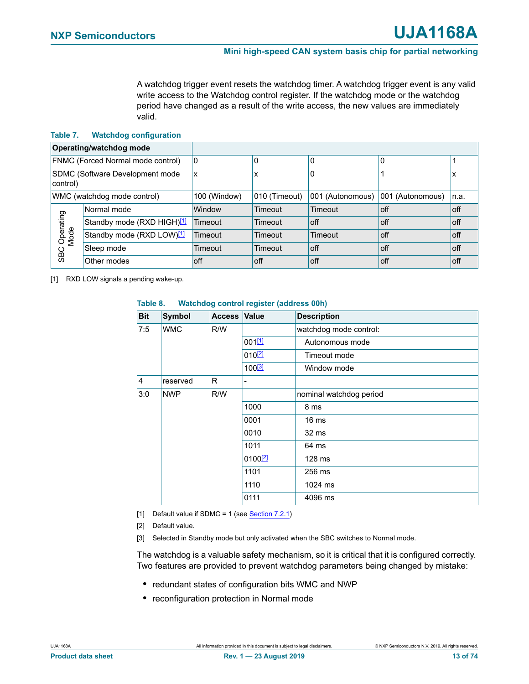A watchdog trigger event resets the watchdog timer. A watchdog trigger event is any valid write access to the Watchdog control register. If the watchdog mode or the watchdog period have changed as a result of the write access, the new values are immediately valid.

#### <span id="page-12-0"></span>**Table 7. Watchdog configuration**

|                             | Operating/watchdog mode           |              |               |                  |                  |         |
|-----------------------------|-----------------------------------|--------------|---------------|------------------|------------------|---------|
|                             | FNMC (Forced Normal mode control) | 10           | 0             | $\Omega$         | 0                |         |
| control)                    | SDMC (Software Development mode   | ΙX           | x             | 0                |                  | х       |
| WMC (watchdog mode control) |                                   | 100 (Window) | 010 (Timeout) | 001 (Autonomous) | 001 (Autonomous) | In.a.   |
|                             | Normal mode                       | Window       | Timeout       | Timeout          | off              | $ $ off |
| Operating<br>Mode           | Standby mode (RXD HIGH)[1]        | Timeout      | Timeout       | l off            | off              | $ $ off |
|                             | Standby mode (RXD LOW)[1]         | Timeout      | Timeout       | Timeout          | off              | $ $ off |
| <b>SBC</b>                  | Sleep mode                        | Timeout      | Timeout       | l off            | off              | $ $ off |
|                             | Other modes                       | off          | off           | l off            | off              | $ $ off |

<span id="page-12-2"></span>[1] RXD LOW signals a pending wake-up.

| <b>Bit</b>     | Symbol     | <b>Access Value</b> |                     | <b>Description</b>      |  |  |  |  |  |  |  |  |  |      |
|----------------|------------|---------------------|---------------------|-------------------------|--|--|--|--|--|--|--|--|--|------|
| 7:5            | <b>WMC</b> | R/W                 |                     | watchdog mode control:  |  |  |  |  |  |  |  |  |  |      |
|                |            |                     | 001[1]              | Autonomous mode         |  |  |  |  |  |  |  |  |  |      |
|                |            |                     | $010^{[2]}$         | Timeout mode            |  |  |  |  |  |  |  |  |  |      |
|                |            |                     | 100 <sup>[3]</sup>  | Window mode             |  |  |  |  |  |  |  |  |  |      |
| $\overline{4}$ | reserved   | R                   |                     |                         |  |  |  |  |  |  |  |  |  |      |
| 3:0            | <b>NWP</b> | R/W                 |                     | nominal watchdog period |  |  |  |  |  |  |  |  |  |      |
|                |            |                     | 1000                | 8 ms                    |  |  |  |  |  |  |  |  |  |      |
|                |            |                     |                     |                         |  |  |  |  |  |  |  |  |  | 0001 |
|                |            |                     | 0010                | 32 ms                   |  |  |  |  |  |  |  |  |  |      |
|                |            |                     | 1011                | 64 ms                   |  |  |  |  |  |  |  |  |  |      |
|                |            |                     | 0100 <sup>[2]</sup> | 128 ms                  |  |  |  |  |  |  |  |  |  |      |
|                |            |                     | 1101                | 256 ms                  |  |  |  |  |  |  |  |  |  |      |
|                |            |                     | 1110                | 1024 ms                 |  |  |  |  |  |  |  |  |  |      |
|                |            |                     | 0111                | 4096 ms                 |  |  |  |  |  |  |  |  |  |      |

#### <span id="page-12-1"></span>**Table 8. Watchdog control register (address 00h)**

- <span id="page-12-3"></span>[1] Default value if SDMC = 1 (see [Section 7.2.1](#page-14-0))
- <span id="page-12-4"></span>[2] Default value.

<span id="page-12-5"></span>[3] Selected in Standby mode but only activated when the SBC switches to Normal mode.

The watchdog is a valuable safety mechanism, so it is critical that it is configured correctly. Two features are provided to prevent watchdog parameters being changed by mistake:

- **•** redundant states of configuration bits WMC and NWP
- **•** reconfiguration protection in Normal mode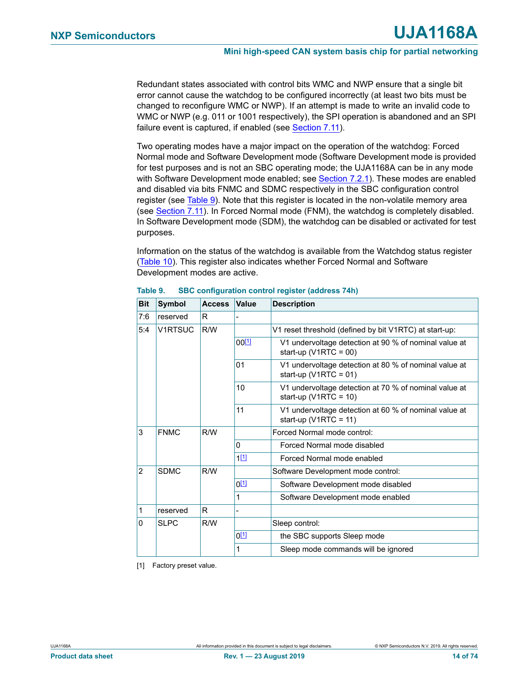Redundant states associated with control bits WMC and NWP ensure that a single bit error cannot cause the watchdog to be configured incorrectly (at least two bits must be changed to reconfigure WMC or NWP). If an attempt is made to write an invalid code to WMC or NWP (e.g. 011 or 1001 respectively), the SPI operation is abandoned and an SPI failure event is captured, if enabled (see [Section 7.11](#page-32-0)).

Two operating modes have a major impact on the operation of the watchdog: Forced Normal mode and Software Development mode (Software Development mode is provided for test purposes and is not an SBC operating mode; the UJA1168A can be in any mode with Software Development mode enabled; see [Section 7.2.1](#page-14-0)). These modes are enabled and disabled via bits FNMC and SDMC respectively in the SBC configuration control register (see [Table 9](#page-13-0)). Note that this register is located in the non-volatile memory area (see [Section 7.11\)](#page-32-0). In Forced Normal mode (FNM), the watchdog is completely disabled. In Software Development mode (SDM), the watchdog can be disabled or activated for test purposes.

Information on the status of the watchdog is available from the Watchdog status register ([Table 10\)](#page-14-1). This register also indicates whether Forced Normal and Software Development modes are active.

| <b>Bit</b>     | <b>Symbol</b>  | <b>Access</b> | <b>Value</b>   | <b>Description</b>                                                                |
|----------------|----------------|---------------|----------------|-----------------------------------------------------------------------------------|
| 7:6            | reserved       | R             |                |                                                                                   |
| 5:4            | <b>V1RTSUC</b> | R/W           |                | V1 reset threshold (defined by bit V1RTC) at start-up:                            |
|                |                |               | $00^{[1]}$     | V1 undervoltage detection at 90 % of nominal value at<br>start-up (V1RTC = $00$ ) |
|                |                |               | 0 <sub>1</sub> | V1 undervoltage detection at 80 % of nominal value at<br>start-up (V1RTC = $01$ ) |
|                |                |               | 10             | V1 undervoltage detection at 70 % of nominal value at<br>start-up (V1RTC = $10$ ) |
|                |                |               | 11             | V1 undervoltage detection at 60 % of nominal value at<br>start-up (V1RTC = 11)    |
| 3              | <b>FNMC</b>    | R/W           |                | Forced Normal mode control:                                                       |
|                |                |               | 0              | Forced Normal mode disabled                                                       |
|                |                |               | $1^{[1]}$      | Forced Normal mode enabled                                                        |
| $\overline{2}$ | <b>SDMC</b>    | R/W           |                | Software Development mode control:                                                |
|                |                |               | $0^{[1]}$      | Software Development mode disabled                                                |
|                |                |               | 1              | Software Development mode enabled                                                 |
| 1              | reserved       | R             |                |                                                                                   |
| $\Omega$       | <b>SLPC</b>    | R/W           |                | Sleep control:                                                                    |
|                |                |               | $0^{[1]}$      | the SBC supports Sleep mode                                                       |
|                |                |               | 1              | Sleep mode commands will be ignored                                               |

<span id="page-13-0"></span>**Table 9. SBC configuration control register (address 74h)**

<span id="page-13-1"></span>[1] Factory preset value.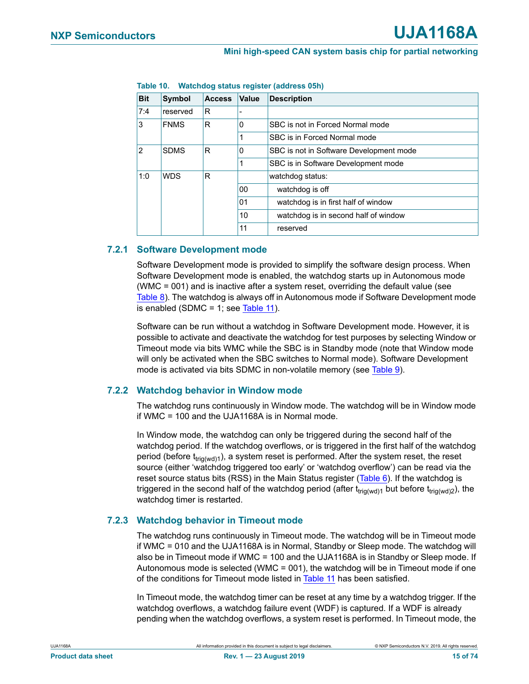| <b>Bit</b>     | Symbol           | <b>Access</b> | <b>Value</b> | <b>Description</b>                      |
|----------------|------------------|---------------|--------------|-----------------------------------------|
| 7:4            | reserved         | R             |              |                                         |
| 3              | <b>FNMS</b>      | R             | 0            | SBC is not in Forced Normal mode        |
|                |                  |               |              | SBC is in Forced Normal mode            |
| $\overline{2}$ | <b>SDMS</b><br>R |               | 0            | SBC is not in Software Development mode |
|                |                  |               |              | SBC is in Software Development mode     |
| 1:0            | <b>WDS</b>       | R             |              | watchdog status:                        |
|                |                  |               | 00           | watchdog is off                         |
|                |                  |               | 01           | watchdog is in first half of window     |
|                |                  |               | 10           | watchdog is in second half of window    |
|                |                  |               | 11           | reserved                                |

<span id="page-14-1"></span>**Table 10. Watchdog status register (address 05h)**

## <span id="page-14-0"></span>**7.2.1 Software Development mode**

Software Development mode is provided to simplify the software design process. When Software Development mode is enabled, the watchdog starts up in Autonomous mode (WMC = 001) and is inactive after a system reset, overriding the default value (see [Table 8\)](#page-12-1). The watchdog is always off in Autonomous mode if Software Development mode is enabled (SDMC = 1; see [Table 11](#page-15-1)).

Software can be run without a watchdog in Software Development mode. However, it is possible to activate and deactivate the watchdog for test purposes by selecting Window or Timeout mode via bits WMC while the SBC is in Standby mode (note that Window mode will only be activated when the SBC switches to Normal mode). Software Development mode is activated via bits SDMC in non-volatile memory (see [Table 9\)](#page-13-0).

## **7.2.2 Watchdog behavior in Window mode**

The watchdog runs continuously in Window mode. The watchdog will be in Window mode if WMC = 100 and the UJA1168A is in Normal mode.

In Window mode, the watchdog can only be triggered during the second half of the watchdog period. If the watchdog overflows, or is triggered in the first half of the watchdog period (before  $t_{\text{tri}(wd)1}$ ), a system reset is performed. After the system reset, the reset source (either 'watchdog triggered too early' or 'watchdog overflow') can be read via the reset source status bits (RSS) in the Main Status register (Table  $6$ ). If the watchdog is triggered in the second half of the watchdog period (after t<sub>trig(wd)1</sub> but before t<sub>trig(wd)2</sub>), the watchdog timer is restarted.

## **7.2.3 Watchdog behavior in Timeout mode**

The watchdog runs continuously in Timeout mode. The watchdog will be in Timeout mode if WMC = 010 and the UJA1168A is in Normal, Standby or Sleep mode. The watchdog will also be in Timeout mode if WMC = 100 and the UJA1168A is in Standby or Sleep mode. If Autonomous mode is selected (WMC = 001), the watchdog will be in Timeout mode if one of the conditions for Timeout mode listed in [Table 11](#page-15-1) has been satisfied.

In Timeout mode, the watchdog timer can be reset at any time by a watchdog trigger. If the watchdog overflows, a watchdog failure event (WDF) is captured. If a WDF is already pending when the watchdog overflows, a system reset is performed. In Timeout mode, the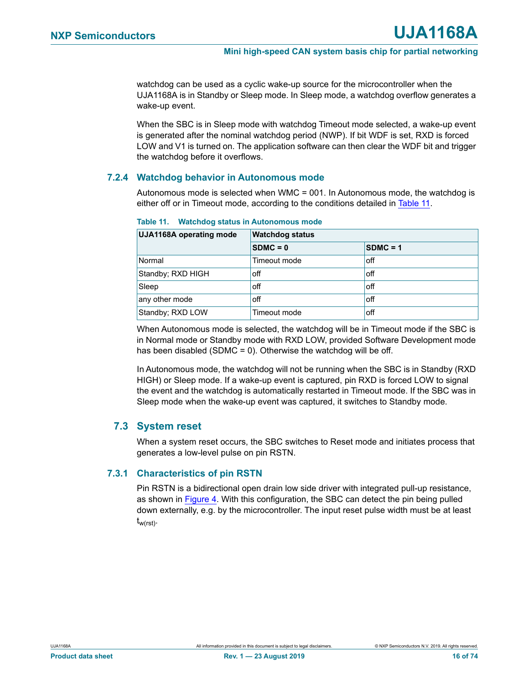watchdog can be used as a cyclic wake-up source for the microcontroller when the UJA1168A is in Standby or Sleep mode. In Sleep mode, a watchdog overflow generates a wake-up event.

When the SBC is in Sleep mode with watchdog Timeout mode selected, a wake-up event is generated after the nominal watchdog period (NWP). If bit WDF is set, RXD is forced LOW and V1 is turned on. The application software can then clear the WDF bit and trigger the watchdog before it overflows.

#### <span id="page-15-0"></span>**7.2.4 Watchdog behavior in Autonomous mode**

Autonomous mode is selected when WMC = 001. In Autonomous mode, the watchdog is either off or in Timeout mode, according to the conditions detailed in [Table 11](#page-15-1).

| <b>UJA1168A operating mode</b> | <b>Watchdog status</b> |            |  |  |  |  |
|--------------------------------|------------------------|------------|--|--|--|--|
|                                | $SDMC = 0$             | $SDMC = 1$ |  |  |  |  |
| Normal                         | Timeout mode           | off        |  |  |  |  |
| Standby; RXD HIGH              | off                    | off        |  |  |  |  |
| Sleep                          | off                    | off        |  |  |  |  |
| any other mode                 | off                    | off        |  |  |  |  |
| Standby; RXD LOW               | Timeout mode           | off        |  |  |  |  |

#### <span id="page-15-1"></span>**Table 11. Watchdog status in Autonomous mode**

When Autonomous mode is selected, the watchdog will be in Timeout mode if the SBC is in Normal mode or Standby mode with RXD LOW, provided Software Development mode has been disabled (SDMC =  $0$ ). Otherwise the watchdog will be off.

In Autonomous mode, the watchdog will not be running when the SBC is in Standby (RXD HIGH) or Sleep mode. If a wake-up event is captured, pin RXD is forced LOW to signal the event and the watchdog is automatically restarted in Timeout mode. If the SBC was in Sleep mode when the wake-up event was captured, it switches to Standby mode.

## **7.3 System reset**

When a system reset occurs, the SBC switches to Reset mode and initiates process that generates a low-level pulse on pin RSTN.

#### **7.3.1 Characteristics of pin RSTN**

Pin RSTN is a bidirectional open drain low side driver with integrated pull-up resistance, as shown in [Figure 4.](#page-16-0) With this configuration, the SBC can detect the pin being pulled down externally, e.g. by the microcontroller. The input reset pulse width must be at least tw(rst).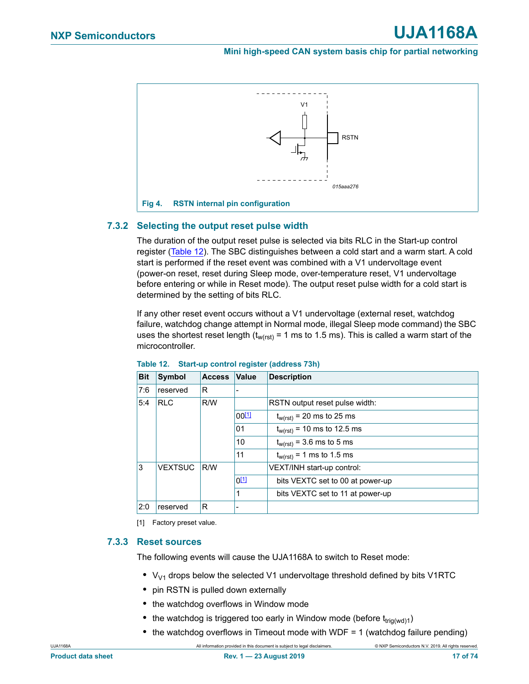

## <span id="page-16-0"></span>**7.3.2 Selecting the output reset pulse width**

The duration of the output reset pulse is selected via bits RLC in the Start-up control register ([Table 12\)](#page-16-1). The SBC distinguishes between a cold start and a warm start. A cold start is performed if the reset event was combined with a V1 undervoltage event (power-on reset, reset during Sleep mode, over-temperature reset, V1 undervoltage before entering or while in Reset mode). The output reset pulse width for a cold start is determined by the setting of bits RLC.

If any other reset event occurs without a V1 undervoltage (external reset, watchdog failure, watchdog change attempt in Normal mode, illegal Sleep mode command) the SBC uses the shortest reset length ( $t_{w(rst)}$  = 1 ms to 1.5 ms). This is called a warm start of the microcontroller.

| <b>Bit</b> | Symbol                | <b>Access</b> | Value      | <b>Description</b>               |
|------------|-----------------------|---------------|------------|----------------------------------|
| 7:6        | reserved              | R             |            |                                  |
| 5:4        | <b>RLC</b>            | R/W           |            | RSTN output reset pulse width:   |
|            |                       |               | $00^{[1]}$ | $t_{w(rst)}$ = 20 ms to 25 ms    |
|            |                       |               | 01         | $t_{w(rst)}$ = 10 ms to 12.5 ms  |
|            |                       |               | 10         | $t_{w(rst)} = 3.6$ ms to 5 ms    |
|            | 11                    |               |            | $t_{w(rst)} = 1$ ms to 1.5 ms    |
| 3          | <b>VEXTSUC</b><br>R/W |               |            | VEXT/INH start-up control:       |
|            |                       |               | $0^{[1]}$  | bits VEXTC set to 00 at power-up |
|            |                       |               | 1          | bits VEXTC set to 11 at power-up |
| 2:0        | reserved              | R             |            |                                  |

#### <span id="page-16-1"></span>**Table 12. Start-up control register (address 73h)**

<span id="page-16-2"></span>[1] Factory preset value.

#### **7.3.3 Reset sources**

The following events will cause the UJA1168A to switch to Reset mode:

- V<sub>V1</sub> drops below the selected V1 undervoltage threshold defined by bits V1RTC
- **•** pin RSTN is pulled down externally
- **•** the watchdog overflows in Window mode
- the watchdog is triggered too early in Window mode (before t<sub>trig(wd)1</sub>)
- **•** the watchdog overflows in Timeout mode with WDF = 1 (watchdog failure pending)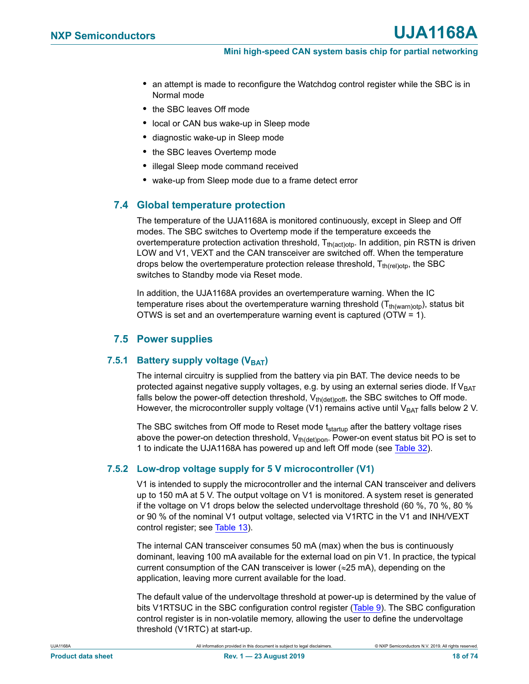- **•** an attempt is made to reconfigure the Watchdog control register while the SBC is in Normal mode
- **•** the SBC leaves Off mode
- **•** local or CAN bus wake-up in Sleep mode
- **•** diagnostic wake-up in Sleep mode
- **•** the SBC leaves Overtemp mode
- **•** illegal Sleep mode command received
- **•** wake-up from Sleep mode due to a frame detect error

## **7.4 Global temperature protection**

The temperature of the UJA1168A is monitored continuously, except in Sleep and Off modes. The SBC switches to Overtemp mode if the temperature exceeds the overtemperature protection activation threshold,  $T_{th (act)ot}$ . In addition, pin RSTN is driven LOW and V1, VEXT and the CAN transceiver are switched off. When the temperature drops below the overtemperature protection release threshold,  $T_{th (rel)oto}$ , the SBC switches to Standby mode via Reset mode.

In addition, the UJA1168A provides an overtemperature warning. When the IC temperature rises about the overtemperature warning threshold  $(T<sub>th(warnotp)</sub>)$ , status bit OTWS is set and an overtemperature warning event is captured (OTW = 1).

## **7.5 Power supplies**

## **7.5.1 Battery supply voltage (VBAT)**

The internal circuitry is supplied from the battery via pin BAT. The device needs to be protected against negative supply voltages, e.g. by using an external series diode. If  $V_{BAT}$ falls below the power-off detection threshold,  $V_{th(deth)off}$ , the SBC switches to Off mode. However, the microcontroller supply voltage (V1) remains active until  $V_{BAT}$  falls below 2 V.

The SBC switches from Off mode to Reset mode t<sub>startup</sub> after the battery voltage rises above the power-on detection threshold,  $V_{th(det)pon}$ . Power-on event status bit PO is set to 1 to indicate the UJA1168A has powered up and left Off mode (see [Table 32\)](#page-34-0).

## **7.5.2 Low-drop voltage supply for 5 V microcontroller (V1)**

V1 is intended to supply the microcontroller and the internal CAN transceiver and delivers up to 150 mA at 5 V. The output voltage on V1 is monitored. A system reset is generated if the voltage on V1 drops below the selected undervoltage threshold (60 %, 70 %, 80 % or 90 % of the nominal V1 output voltage, selected via V1RTC in the V1 and INH/VEXT control register; see [Table 13\)](#page-18-1).

The internal CAN transceiver consumes 50 mA (max) when the bus is continuously dominant, leaving 100 mA available for the external load on pin V1. In practice, the typical current consumption of the CAN transceiver is lower ( $\approx$ 25 mA), depending on the application, leaving more current available for the load.

The default value of the undervoltage threshold at power-up is determined by the value of bits V1RTSUC in the SBC configuration control register ([Table 9](#page-13-0)). The SBC configuration control register is in non-volatile memory, allowing the user to define the undervoltage threshold (V1RTC) at start-up.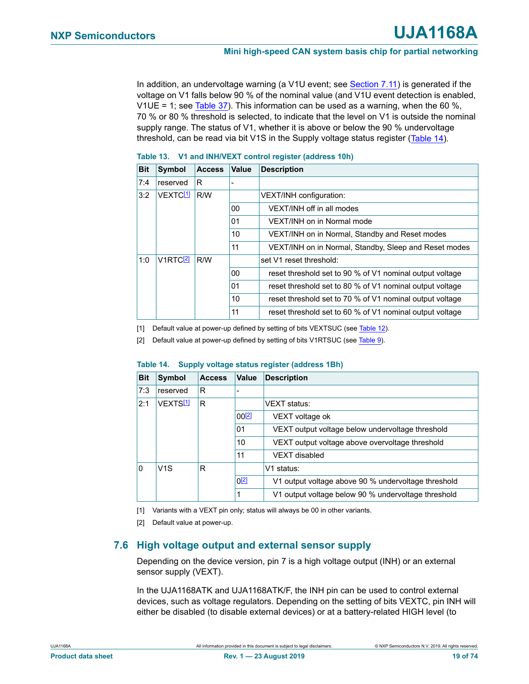In addition, an undervoltage warning (a V1U event; see [Section 7.11](#page-32-0)) is generated if the voltage on V1 falls below 90 % of the nominal value (and V1U event detection is enabled, V1UE = 1; see [Table 37\)](#page-36-1). This information can be used as a warning, when the 60 %, 70 % or 80 % threshold is selected, to indicate that the level on V1 is outside the nominal supply range. The status of V1, whether it is above or below the 90 % undervoltage threshold, can be read via bit V1S in the Supply voltage status register ([Table 14](#page-18-2)).

| <b>Bit</b> | Symbol                      | <b>Access</b> | Value | <b>Description</b>                                       |
|------------|-----------------------------|---------------|-------|----------------------------------------------------------|
| 7:4        | reserved                    | R             |       |                                                          |
| 3:2        | VEXTC <sup>[1]</sup>        | R/W           |       | VEXT/INH configuration:                                  |
|            |                             |               | 00    | VEXT/INH off in all modes                                |
|            |                             |               | 01    | VEXT/INH on in Normal mode                               |
|            |                             |               | 10    | VEXT/INH on in Normal, Standby and Reset modes           |
|            |                             |               | 11    | VEXT/INH on in Normal, Standby, Sleep and Reset modes    |
| 1:0        | <b>V1RTC</b> <sup>[2]</sup> | R/W           |       | set V1 reset threshold:                                  |
|            |                             |               | 00    | reset threshold set to 90 % of V1 nominal output voltage |
|            |                             |               | 01    | reset threshold set to 80 % of V1 nominal output voltage |
|            |                             |               | 10    | reset threshold set to 70 % of V1 nominal output voltage |
|            |                             |               | 11    | reset threshold set to 60 % of V1 nominal output voltage |

#### <span id="page-18-1"></span>**Table 13. V1 and INH/VEXT control register (address 10h)**

<span id="page-18-3"></span>[1] Default value at power-up defined by setting of bits VEXTSUC (see [Table 12](#page-16-1)).

<span id="page-18-4"></span>[2] Default value at power-up defined by setting of bits V1RTSUC (see [Table 9](#page-13-0)).

| <b>Bit</b>   | Symbol               | <b>Access</b> | Value      | <b>Description</b>                                  |
|--------------|----------------------|---------------|------------|-----------------------------------------------------|
| 7:3          | reserved             | R             |            |                                                     |
| 2:1          | VFXTS <sup>[1]</sup> | R             |            | <b>VFXT</b> status:                                 |
|              |                      |               | $00^{[2]}$ | VEXT voltage ok                                     |
|              |                      |               | 01         | VEXT output voltage below undervoltage threshold    |
|              |                      |               | 10         | VEXT output voltage above overvoltage threshold     |
|              |                      |               | 11         | VFXT disabled                                       |
| $\mathbf{0}$ | V1S                  | R             |            | V1 status:                                          |
|              |                      |               | $0^{[2]}$  | V1 output voltage above 90 % undervoltage threshold |
|              |                      |               | 1          | V1 output voltage below 90 % undervoltage threshold |

#### <span id="page-18-2"></span>**Table 14. Supply voltage status register (address 1Bh)**

<span id="page-18-5"></span>[1] Variants with a VEXT pin only; status will always be 00 in other variants.

<span id="page-18-6"></span>[2] Default value at power-up.

## <span id="page-18-0"></span>**7.6 High voltage output and external sensor supply**

Depending on the device version, pin 7 is a high voltage output (INH) or an external sensor supply (VEXT).

In the UJA1168ATK and UJA1168ATK/F, the INH pin can be used to control external devices, such as voltage regulators. Depending on the setting of bits VEXTC, pin INH will either be disabled (to disable external devices) or at a battery-related HIGH level (to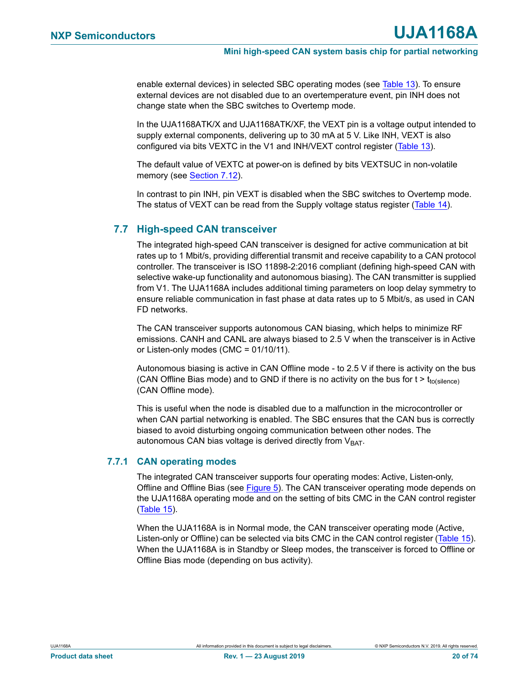enable external devices) in selected SBC operating modes (see [Table 13\)](#page-18-1). To ensure external devices are not disabled due to an overtemperature event, pin INH does not change state when the SBC switches to Overtemp mode.

In the UJA1168ATK/X and UJA1168ATK/XF, the VEXT pin is a voltage output intended to supply external components, delivering up to 30 mA at 5 V. Like INH, VEXT is also configured via bits VEXTC in the V1 and INH/VEXT control register [\(Table 13](#page-18-1)).

The default value of VEXTC at power-on is defined by bits VEXTSUC in non-volatile memory (see [Section 7.12](#page-37-0)).

In contrast to pin INH, pin VEXT is disabled when the SBC switches to Overtemp mode. The status of VEXT can be read from the Supply voltage status register ([Table 14\)](#page-18-2).

## **7.7 High-speed CAN transceiver**

The integrated high-speed CAN transceiver is designed for active communication at bit rates up to 1 Mbit/s, providing differential transmit and receive capability to a CAN protocol controller. The transceiver is ISO 11898-2:2016 compliant (defining high-speed CAN with selective wake-up functionality and autonomous biasing). The CAN transmitter is supplied from V1. The UJA1168A includes additional timing parameters on loop delay symmetry to ensure reliable communication in fast phase at data rates up to 5 Mbit/s, as used in CAN FD networks.

The CAN transceiver supports autonomous CAN biasing, which helps to minimize RF emissions. CANH and CANL are always biased to 2.5 V when the transceiver is in Active or Listen-only modes (CMC = 01/10/11).

Autonomous biasing is active in CAN Offline mode - to 2.5 V if there is activity on the bus (CAN Offline Bias mode) and to GND if there is no activity on the bus for  $t > t_{to(silence)}$ (CAN Offline mode).

This is useful when the node is disabled due to a malfunction in the microcontroller or when CAN partial networking is enabled. The SBC ensures that the CAN bus is correctly biased to avoid disturbing ongoing communication between other nodes. The autonomous CAN bias voltage is derived directly from  $V<sub>BAT</sub>$ .

## **7.7.1 CAN operating modes**

The integrated CAN transceiver supports four operating modes: Active, Listen-only, Offline and Offline Bias (see [Figure 5](#page-22-0)). The CAN transceiver operating mode depends on the UJA1168A operating mode and on the setting of bits CMC in the CAN control register ([Table 15\)](#page-23-0).

When the UJA1168A is in Normal mode, the CAN transceiver operating mode (Active, Listen-only or Offline) can be selected via bits CMC in the CAN control register [\(Table 15\)](#page-23-0). When the UJA1168A is in Standby or Sleep modes, the transceiver is forced to Offline or Offline Bias mode (depending on bus activity).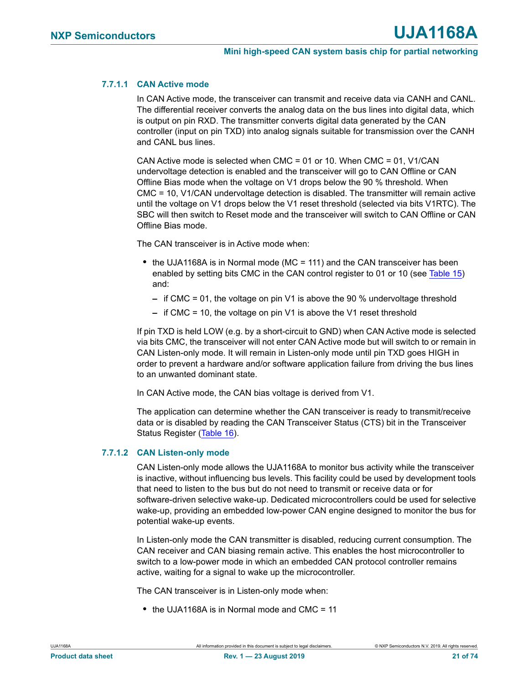#### <span id="page-20-0"></span>**7.7.1.1 CAN Active mode**

In CAN Active mode, the transceiver can transmit and receive data via CANH and CANL. The differential receiver converts the analog data on the bus lines into digital data, which is output on pin RXD. The transmitter converts digital data generated by the CAN controller (input on pin TXD) into analog signals suitable for transmission over the CANH and CANL bus lines.

CAN Active mode is selected when CMC = 01 or 10. When CMC = 01, V1/CAN undervoltage detection is enabled and the transceiver will go to CAN Offline or CAN Offline Bias mode when the voltage on V1 drops below the 90 % threshold. When CMC = 10, V1/CAN undervoltage detection is disabled. The transmitter will remain active until the voltage on V1 drops below the V1 reset threshold (selected via bits V1RTC). The SBC will then switch to Reset mode and the transceiver will switch to CAN Offline or CAN Offline Bias mode.

The CAN transceiver is in Active mode when:

- **•** the UJA1168A is in Normal mode (MC = 111) and the CAN transceiver has been enabled by setting bits CMC in the CAN control register to 01 or 10 (see [Table 15\)](#page-23-0) and:
	- **–** if CMC = 01, the voltage on pin V1 is above the 90 % undervoltage threshold
	- **–** if CMC = 10, the voltage on pin V1 is above the V1 reset threshold

If pin TXD is held LOW (e.g. by a short-circuit to GND) when CAN Active mode is selected via bits CMC, the transceiver will not enter CAN Active mode but will switch to or remain in CAN Listen-only mode. It will remain in Listen-only mode until pin TXD goes HIGH in order to prevent a hardware and/or software application failure from driving the bus lines to an unwanted dominant state.

In CAN Active mode, the CAN bias voltage is derived from V1.

The application can determine whether the CAN transceiver is ready to transmit/receive data or is disabled by reading the CAN Transceiver Status (CTS) bit in the Transceiver Status Register ([Table 16\)](#page-24-0).

#### **7.7.1.2 CAN Listen-only mode**

CAN Listen-only mode allows the UJA1168A to monitor bus activity while the transceiver is inactive, without influencing bus levels. This facility could be used by development tools that need to listen to the bus but do not need to transmit or receive data or for software-driven selective wake-up. Dedicated microcontrollers could be used for selective wake-up, providing an embedded low-power CAN engine designed to monitor the bus for potential wake-up events.

In Listen-only mode the CAN transmitter is disabled, reducing current consumption. The CAN receiver and CAN biasing remain active. This enables the host microcontroller to switch to a low-power mode in which an embedded CAN protocol controller remains active, waiting for a signal to wake up the microcontroller.

The CAN transceiver is in Listen-only mode when:

**•** the UJA1168A is in Normal mode and CMC = 11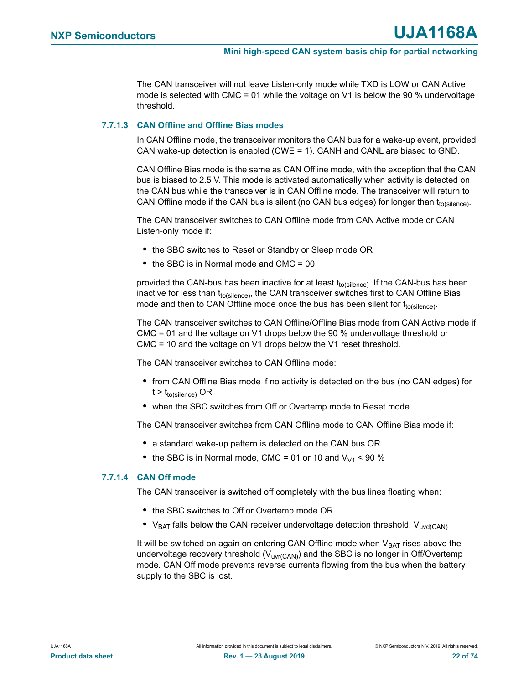The CAN transceiver will not leave Listen-only mode while TXD is LOW or CAN Active mode is selected with CMC = 01 while the voltage on V1 is below the 90 % undervoltage threshold.

#### <span id="page-21-0"></span>**7.7.1.3 CAN Offline and Offline Bias modes**

In CAN Offline mode, the transceiver monitors the CAN bus for a wake-up event, provided CAN wake-up detection is enabled (CWE = 1). CANH and CANL are biased to GND.

CAN Offline Bias mode is the same as CAN Offline mode, with the exception that the CAN bus is biased to 2.5 V. This mode is activated automatically when activity is detected on the CAN bus while the transceiver is in CAN Offline mode. The transceiver will return to CAN Offline mode if the CAN bus is silent (no CAN bus edges) for longer than  $t_{\text{to(silence)}}$ .

The CAN transceiver switches to CAN Offline mode from CAN Active mode or CAN Listen-only mode if:

- **•** the SBC switches to Reset or Standby or Sleep mode OR
- the SBC is in Normal mode and CMC = 00

provided the CAN-bus has been inactive for at least  $t_{\text{to(silence)}}$ . If the CAN-bus has been inactive for less than  $t_{to(silence)}$ , the CAN transceiver switches first to CAN Offline Bias mode and then to CAN Offline mode once the bus has been silent for  $t_{\text{to(silence)}}$ .

The CAN transceiver switches to CAN Offline/Offline Bias mode from CAN Active mode if CMC = 01 and the voltage on V1 drops below the 90 % undervoltage threshold or CMC = 10 and the voltage on V1 drops below the V1 reset threshold.

The CAN transceiver switches to CAN Offline mode:

- **•** from CAN Offline Bias mode if no activity is detected on the bus (no CAN edges) for  $t > t_{to(silence)}$  OR
- **•** when the SBC switches from Off or Overtemp mode to Reset mode

The CAN transceiver switches from CAN Offline mode to CAN Offline Bias mode if:

- **•** a standard wake-up pattern is detected on the CAN bus OR
- the SBC is in Normal mode, CMC = 01 or 10 and  $V_{V1}$  < 90 %

#### **7.7.1.4 CAN Off mode**

The CAN transceiver is switched off completely with the bus lines floating when:

- **•** the SBC switches to Off or Overtemp mode OR
- V<sub>BAT</sub> falls below the CAN receiver undervoltage detection threshold, V<sub>uvd(CAN)</sub>

It will be switched on again on entering CAN Offline mode when  $V_{BAT}$  rises above the undervoltage recovery threshold  $(V_{\text{uvr(CAN)}})$  and the SBC is no longer in Off/Overtemp mode. CAN Off mode prevents reverse currents flowing from the bus when the battery supply to the SBC is lost.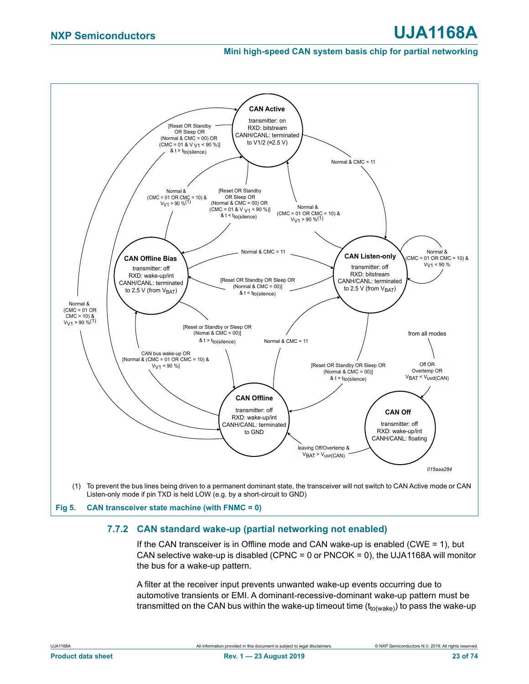

## <span id="page-22-0"></span>**7.7.2 CAN standard wake-up (partial networking not enabled)**

If the CAN transceiver is in Offline mode and CAN wake-up is enabled (CWE = 1), but CAN selective wake-up is disabled (CPNC =  $0$  or PNCOK =  $0$ ), the UJA1168A will monitor the bus for a wake-up pattern.

A filter at the receiver input prevents unwanted wake-up events occurring due to automotive transients or EMI. A dominant-recessive-dominant wake-up pattern must be transmitted on the CAN bus within the wake-up timeout time  $(t_{to(wake)})$  to pass the wake-up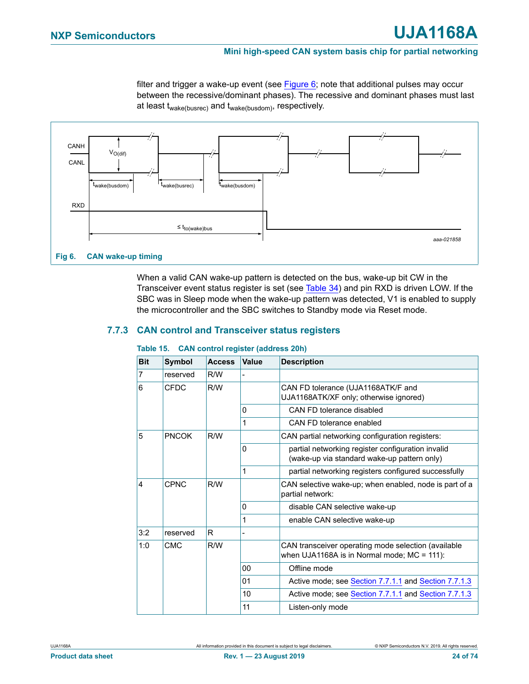filter and trigger a wake-up event (see [Figure 6;](#page-23-1) note that additional pulses may occur between the recessive/dominant phases). The recessive and dominant phases must last at least twake(busrec) and twake(busdom), respectively.



<span id="page-23-1"></span>When a valid CAN wake-up pattern is detected on the bus, wake-up bit CW in the Transceiver event status register is set (see [Table 34\)](#page-35-0) and pin RXD is driven LOW. If the SBC was in Sleep mode when the wake-up pattern was detected, V1 is enabled to supply the microcontroller and the SBC switches to Standby mode via Reset mode.

### **7.7.3 CAN control and Transceiver status registers**

| <b>Bit</b>     | Symbol       | <b>Access</b> | <b>Value</b>   | <b>Description</b>                                                                                   |
|----------------|--------------|---------------|----------------|------------------------------------------------------------------------------------------------------|
| $\overline{7}$ | reserved     | R/W           |                |                                                                                                      |
| 6              | <b>CFDC</b>  | R/W           |                | CAN FD tolerance (UJA1168ATK/F and<br>UJA1168ATK/XF only; otherwise ignored)                         |
|                |              |               | 0              | CAN FD tolerance disabled                                                                            |
|                |              |               | 1              | CAN FD tolerance enabled                                                                             |
| 5              | <b>PNCOK</b> | R/W           |                | CAN partial networking configuration registers:                                                      |
|                |              |               | 0              | partial networking register configuration invalid<br>(wake-up via standard wake-up pattern only)     |
|                |              |               | 1              | partial networking registers configured successfully                                                 |
| 4              | <b>CPNC</b>  | R/W           |                | CAN selective wake-up; when enabled, node is part of a<br>partial network:                           |
|                |              |               | 0              | disable CAN selective wake-up                                                                        |
|                |              |               | 1              | enable CAN selective wake-up                                                                         |
| 3:2            | reserved     | R             |                |                                                                                                      |
| 1:0            | <b>CMC</b>   | R/W           |                | CAN transceiver operating mode selection (available<br>when UJA1168A is in Normal mode; $MC = 111$ : |
|                |              |               | 00             | Offline mode                                                                                         |
|                |              |               | 0 <sub>1</sub> | Active mode; see Section 7.7.1.1 and Section 7.7.1.3                                                 |
|                |              |               | 10             | Active mode; see Section 7.7.1.1 and Section 7.7.1.3                                                 |
|                |              |               | 11             | Listen-only mode                                                                                     |

#### <span id="page-23-0"></span>**Table 15. CAN control register (address 20h)**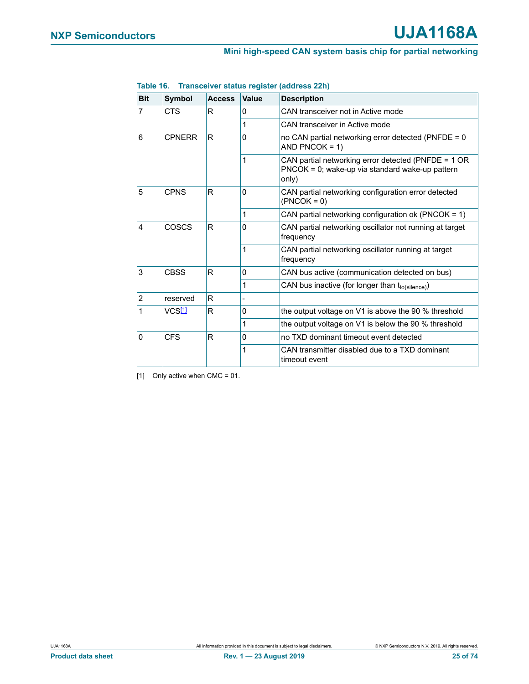| <b>Bit</b>     | <b>Symbol</b> | <b>Access</b> | Value        | <b>Description</b>                                                                                              |
|----------------|---------------|---------------|--------------|-----------------------------------------------------------------------------------------------------------------|
| 7              | CTS           | R.            | $\Omega$     | CAN transceiver not in Active mode                                                                              |
|                |               |               | 1            | CAN transceiver in Active mode                                                                                  |
| 6              | <b>CPNERR</b> | R             | 0            | no CAN partial networking error detected (PNFDE = 0<br>AND PNCOK = $1$ )                                        |
|                |               |               |              | CAN partial networking error detected (PNFDE = 1 OR<br>PNCOK = 0; wake-up via standard wake-up pattern<br>only) |
| 5              | <b>CPNS</b>   | R             | 0            | CAN partial networking configuration error detected<br>$(PNCOK = 0)$                                            |
|                |               |               | $\mathbf{1}$ | CAN partial networking configuration ok (PNCOK = 1)                                                             |
| 4              | COSCS<br>R    |               | 0            | CAN partial networking oscillator not running at target<br>frequency                                            |
|                |               |               | 1            | CAN partial networking oscillator running at target<br>frequency                                                |
| 3              | <b>CBSS</b>   | R             | 0            | CAN bus active (communication detected on bus)                                                                  |
|                |               |               | 1            | CAN bus inactive (for longer than tto(silence))                                                                 |
| $\overline{2}$ | reserved      | R.            |              |                                                                                                                 |
| 1              | VCS[1]        | R             | 0            | the output voltage on $V1$ is above the 90 % threshold                                                          |
|                |               |               | 1            | the output voltage on V1 is below the 90 % threshold                                                            |
| $\Omega$       | CFS           | R             | 0            | no TXD dominant timeout event detected                                                                          |
|                |               |               |              | CAN transmitter disabled due to a TXD dominant<br>timeout event                                                 |

#### <span id="page-24-0"></span>**Table 16. Transceiver status register (address 22h)**

<span id="page-24-1"></span>[1] Only active when CMC = 01.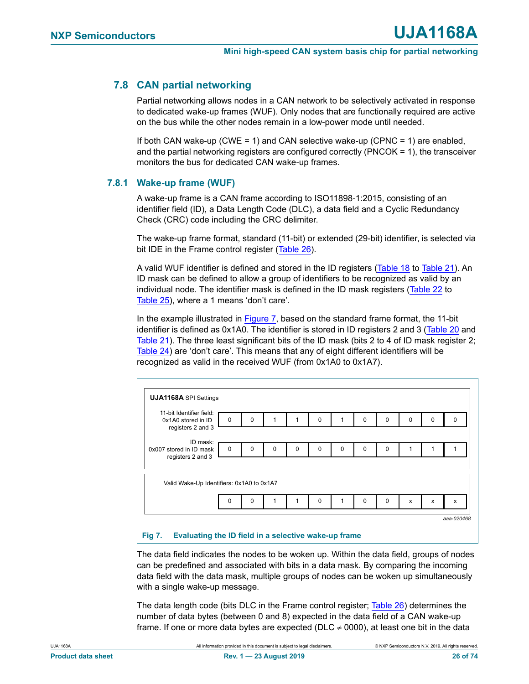## **7.8 CAN partial networking**

Partial networking allows nodes in a CAN network to be selectively activated in response to dedicated wake-up frames (WUF). Only nodes that are functionally required are active on the bus while the other nodes remain in a low-power mode until needed.

If both CAN wake-up (CWE = 1) and CAN selective wake-up (CPNC = 1) are enabled, and the partial networking registers are configured correctly (PNCOK = 1), the transceiver monitors the bus for dedicated CAN wake-up frames.

#### **7.8.1 Wake-up frame (WUF)**

A wake-up frame is a CAN frame according to ISO11898-1:2015, consisting of an identifier field (ID), a Data Length Code (DLC), a data field and a Cyclic Redundancy Check (CRC) code including the CRC delimiter.

The wake-up frame format, standard (11-bit) or extended (29-bit) identifier, is selected via bit IDE in the Frame control register [\(Table 26](#page-29-0)).

A valid WUF identifier is defined and stored in the ID registers ([Table 18](#page-28-0) to [Table 21](#page-28-1)). An ID mask can be defined to allow a group of identifiers to be recognized as valid by an individual node. The identifier mask is defined in the ID mask registers [\(Table 22](#page-28-2) to [Table 25](#page-29-1)), where a 1 means 'don't care'.

In the example illustrated in [Figure 7,](#page-25-0) based on the standard frame format, the 11-bit identifier is defined as 0x1A0. The identifier is stored in ID registers 2 and 3 ([Table 20](#page-28-3) and [Table 21](#page-28-1)). The three least significant bits of the ID mask (bits 2 to 4 of ID mask register 2; [Table 24](#page-29-2)) are 'don't care'. This means that any of eight different identifiers will be recognized as valid in the received WUF (from 0x1A0 to 0x1A7).

| 11-bit Identifier field:<br>0x1A0 stored in ID<br>registers 2 and 3 | $\mathbf 0$ | $\Omega$ |   |          | $\Omega$ |          | 0        | $\Omega$    | $\Omega$ | 0 | 0 |
|---------------------------------------------------------------------|-------------|----------|---|----------|----------|----------|----------|-------------|----------|---|---|
| ID mask:                                                            |             |          |   |          |          |          |          |             |          |   |   |
| 0x007 stored in ID mask                                             | $\mathbf 0$ | $\Omega$ | 0 | $\Omega$ | $\Omega$ | $\Omega$ | $\Omega$ | $\Omega$    | 1        |   |   |
| registers 2 and 3                                                   |             |          |   |          |          |          |          |             |          |   |   |
| Valid Wake-Up Identifiers: 0x1A0 to 0x1A7                           | $\Omega$    |          |   |          |          |          |          |             |          |   |   |
|                                                                     |             | 0        |   |          | 0        |          | 0        | $\mathbf 0$ | X        | X | x |

#### <span id="page-25-0"></span>**Fig 7. Evaluating the ID field in a selective wake-up frame**

The data field indicates the nodes to be woken up. Within the data field, groups of nodes can be predefined and associated with bits in a data mask. By comparing the incoming data field with the data mask, multiple groups of nodes can be woken up simultaneously with a single wake-up message.

The data length code (bits DLC in the Frame control register; [Table 26\)](#page-29-0) determines the number of data bytes (between 0 and 8) expected in the data field of a CAN wake-up frame. If one or more data bytes are expected (DLC  $\neq$  0000), at least one bit in the data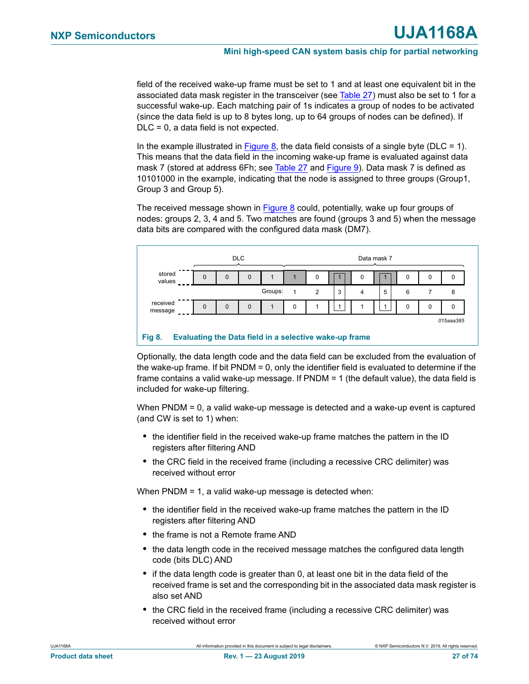field of the received wake-up frame must be set to 1 and at least one equivalent bit in the associated data mask register in the transceiver (see [Table 27](#page-29-3)) must also be set to 1 for a successful wake-up. Each matching pair of 1s indicates a group of nodes to be activated (since the data field is up to 8 bytes long, up to 64 groups of nodes can be defined). If DLC = 0, a data field is not expected.

In the example illustrated in [Figure 8,](#page-26-0) the data field consists of a single byte ( $D_{\text{LC}} = 1$ ). This means that the data field in the incoming wake-up frame is evaluated against data mask 7 (stored at address 6Fh; see [Table 27](#page-29-3) and [Figure 9](#page-30-0)). Data mask 7 is defined as 10101000 in the example, indicating that the node is assigned to three groups (Group1, Group 3 and Group 5).

The received message shown in [Figure 8](#page-26-0) could, potentially, wake up four groups of nodes: groups 2, 3, 4 and 5. Two matches are found (groups 3 and 5) when the message data bits are compared with the configured data mask (DM7).



<span id="page-26-0"></span>Optionally, the data length code and the data field can be excluded from the evaluation of the wake-up frame. If bit PNDM = 0, only the identifier field is evaluated to determine if the frame contains a valid wake-up message. If PNDM = 1 (the default value), the data field is included for wake-up filtering.

When PNDM = 0, a valid wake-up message is detected and a wake-up event is captured (and CW is set to 1) when:

- **•** the identifier field in the received wake-up frame matches the pattern in the ID registers after filtering AND
- **•** the CRC field in the received frame (including a recessive CRC delimiter) was received without error

When PNDM = 1, a valid wake-up message is detected when:

- **•** the identifier field in the received wake-up frame matches the pattern in the ID registers after filtering AND
- **•** the frame is not a Remote frame AND
- **•** the data length code in the received message matches the configured data length code (bits DLC) AND
- **•** if the data length code is greater than 0, at least one bit in the data field of the received frame is set and the corresponding bit in the associated data mask register is also set AND
- **•** the CRC field in the received frame (including a recessive CRC delimiter) was received without error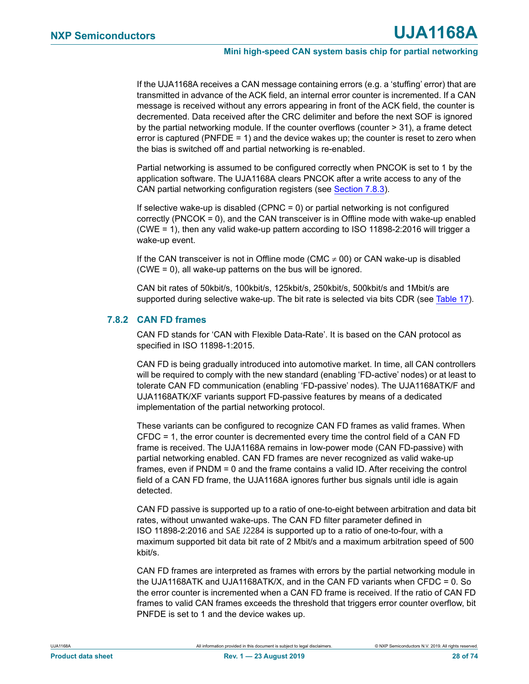If the UJA1168A receives a CAN message containing errors (e.g. a 'stuffing' error) that are transmitted in advance of the ACK field, an internal error counter is incremented. If a CAN message is received without any errors appearing in front of the ACK field, the counter is decremented. Data received after the CRC delimiter and before the next SOF is ignored by the partial networking module. If the counter overflows (counter > 31), a frame detect error is captured (PNFDE = 1) and the device wakes up; the counter is reset to zero when the bias is switched off and partial networking is re-enabled.

Partial networking is assumed to be configured correctly when PNCOK is set to 1 by the application software. The UJA1168A clears PNCOK after a write access to any of the CAN partial networking configuration registers (see [Section 7.8.3](#page-28-4)).

If selective wake-up is disabled (CPNC  $= 0$ ) or partial networking is not configured correctly (PNCOK = 0), and the CAN transceiver is in Offline mode with wake-up enabled (CWE = 1), then any valid wake-up pattern according to ISO 11898-2:2016 will trigger a wake-up event.

If the CAN transceiver is not in Offline mode (CMC  $\neq$  00) or CAN wake-up is disabled (CWE = 0), all wake-up patterns on the bus will be ignored.

CAN bit rates of 50kbit/s, 100kbit/s, 125kbit/s, 250kbit/s, 500kbit/s and 1Mbit/s are supported during selective wake-up. The bit rate is selected via bits CDR (see [Table 17\)](#page-28-5).

#### <span id="page-27-0"></span>**7.8.2 CAN FD frames**

CAN FD stands for 'CAN with Flexible Data-Rate'. It is based on the CAN protocol as specified in ISO 11898-1:2015.

CAN FD is being gradually introduced into automotive market. In time, all CAN controllers will be required to comply with the new standard (enabling 'FD-active' nodes) or at least to tolerate CAN FD communication (enabling 'FD-passive' nodes). The UJA1168ATK/F and UJA1168ATK/XF variants support FD-passive features by means of a dedicated implementation of the partial networking protocol.

These variants can be configured to recognize CAN FD frames as valid frames. When CFDC = 1, the error counter is decremented every time the control field of a CAN FD frame is received. The UJA1168A remains in low-power mode (CAN FD-passive) with partial networking enabled. CAN FD frames are never recognized as valid wake-up frames, even if PNDM = 0 and the frame contains a valid ID. After receiving the control field of a CAN FD frame, the UJA1168A ignores further bus signals until idle is again detected.

CAN FD passive is supported up to a ratio of one-to-eight between arbitration and data bit rates, without unwanted wake-ups. The CAN FD filter parameter defined in ISO 11898-2:2016 and SAE J2284 is supported up to a ratio of one-to-four, with a maximum supported bit data bit rate of 2 Mbit/s and a maximum arbitration speed of 500 kbit/s.

CAN FD frames are interpreted as frames with errors by the partial networking module in the UJA1168ATK and UJA1168ATK/X, and in the CAN FD variants when CFDC = 0. So the error counter is incremented when a CAN FD frame is received. If the ratio of CAN FD frames to valid CAN frames exceeds the threshold that triggers error counter overflow, bit PNFDE is set to 1 and the device wakes up.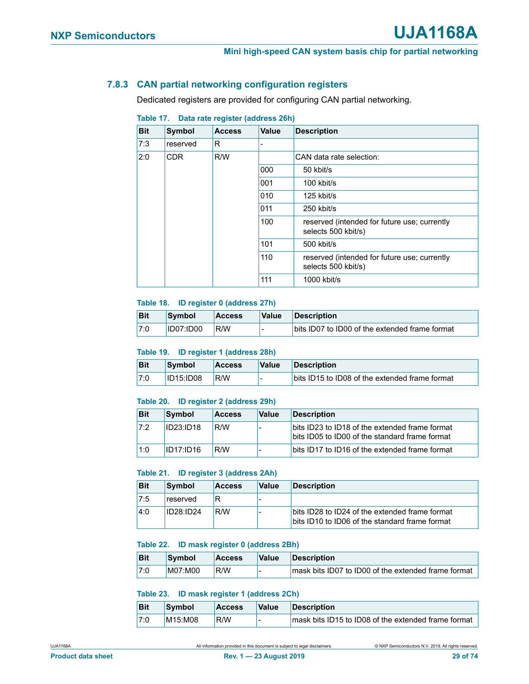#### <span id="page-28-4"></span>**7.8.3 CAN partial networking configuration registers**

Dedicated registers are provided for configuring CAN partial networking.

| <b>Bit</b> | Symbol   | <b>Access</b> | <b>Value</b>                                                        | <b>Description</b>                                                  |
|------------|----------|---------------|---------------------------------------------------------------------|---------------------------------------------------------------------|
| 7:3        | reserved | R             |                                                                     |                                                                     |
| 2:0        | CDR.     | R/W           |                                                                     | CAN data rate selection:                                            |
|            |          | 000           | 50 kbit/s                                                           |                                                                     |
|            |          | 001           | 100 kbit/s                                                          |                                                                     |
|            |          |               | 010                                                                 | 125 kbit/s                                                          |
|            |          |               | 011                                                                 | 250 kbit/s                                                          |
|            |          | 100           | reserved (intended for future use; currently<br>selects 500 kbit/s) |                                                                     |
|            |          |               | 101                                                                 | 500 kbit/s                                                          |
|            |          |               | 110                                                                 | reserved (intended for future use; currently<br>selects 500 kbit/s) |
|            |          |               | 111                                                                 | 1000 kbit/s                                                         |

#### <span id="page-28-5"></span>**Table 17. Data rate register (address 26h)**

#### <span id="page-28-0"></span>**Table 18. ID register 0 (address 27h)**

| <b>Bit</b> | Symbol           | <b>Access</b> | Value | Description                                    |
|------------|------------------|---------------|-------|------------------------------------------------|
| 7:0        | <b>ID07:ID00</b> | R/W           | -     | bits ID07 to ID00 of the extended frame format |

#### **Table 19. ID register 1 (address 28h)**

| <b>Bit</b> | Symbol           | <b>Access</b> | <b>Value</b> | <b>Description</b>                             |
|------------|------------------|---------------|--------------|------------------------------------------------|
| 7:0        | <b>ID15:ID08</b> | R/W           |              | bits ID15 to ID08 of the extended frame format |

#### <span id="page-28-3"></span>**Table 20. ID register 2 (address 29h)**

| <b>Bit</b> | Symbol           | <b>Access</b> | <b>Value</b> | <b>Description</b>                                                                               |
|------------|------------------|---------------|--------------|--------------------------------------------------------------------------------------------------|
| 17:2       | <b>ID23:ID18</b> | R/W           |              | bits ID23 to ID18 of the extended frame format<br>bits ID05 to ID00 of the standard frame format |
| 1:0        | ID17:ID16        | R/W           |              | bits ID17 to ID16 of the extended frame format                                                   |

#### <span id="page-28-1"></span>**Table 21. ID register 3 (address 2Ah)**

| <b>Bit</b> | <b>Symbol</b>    | <b>Access</b> | <b>Value</b> | <b>Description</b>                                                                               |
|------------|------------------|---------------|--------------|--------------------------------------------------------------------------------------------------|
| 7:5        | reserved         | R             |              |                                                                                                  |
| $-4:0$     | <b>ID28:ID24</b> | R/W           |              | bits ID28 to ID24 of the extended frame format<br>bits ID10 to ID06 of the standard frame format |

#### <span id="page-28-2"></span>**Table 22. ID mask register 0 (address 2Bh)**

| <b>Bit</b> | Symbol  | <b>Access</b> | Value | <b>Description</b>                                  |
|------------|---------|---------------|-------|-----------------------------------------------------|
| 7:0        | M07:M00 | R/W           |       | mask bits ID07 to ID00 of the extended frame format |

#### **Table 23. ID mask register 1 (address 2Ch)**

| <b>Bit</b> | Symbol  | <b>Access</b> | <b>Value</b> | <b>Description</b>                                  |
|------------|---------|---------------|--------------|-----------------------------------------------------|
| 7:0        | M15:M08 | R/W           |              | mask bits ID15 to ID08 of the extended frame format |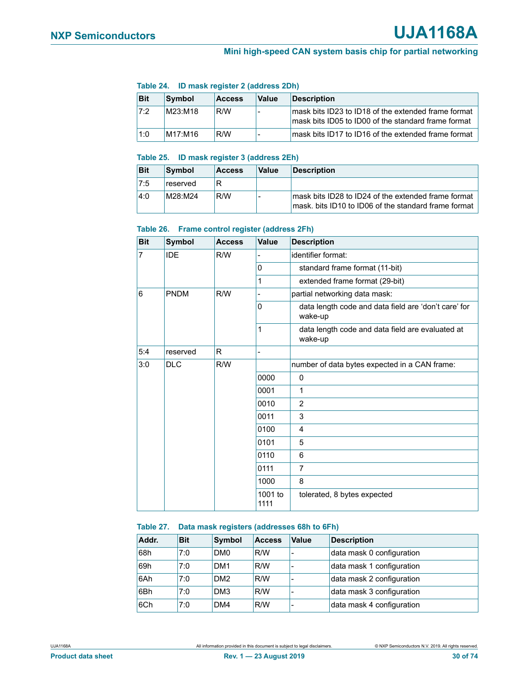#### <span id="page-29-2"></span>**Table 24. ID mask register 2 (address 2Dh)**

| <b>Bit</b> | <b>Symbol</b> | <b>Access</b> | Value | <b>Description</b>                                                                                         |
|------------|---------------|---------------|-------|------------------------------------------------------------------------------------------------------------|
| 17:2       | M23:M18       | R/W           |       | mask bits ID23 to ID18 of the extended frame format<br>mask bits ID05 to ID00 of the standard frame format |
| 1:0        | M17:M16       | R/W           |       | mask bits ID17 to ID16 of the extended frame format                                                        |

#### <span id="page-29-1"></span>**Table 25. ID mask register 3 (address 2Eh)**

| <b>Bit</b> | Symbol   | <b>Access</b> | <b>Value</b> | <b>Description</b>                                                                                           |
|------------|----------|---------------|--------------|--------------------------------------------------------------------------------------------------------------|
| 7:5        | reserved | R             |              |                                                                                                              |
| 4:0        | M28:M24  | R/W           |              | mask bits ID28 to ID24 of the extended frame format<br>lmask. bits ID10 to ID06 of the standard frame format |

#### <span id="page-29-0"></span>**Table 26. Frame control register (address 2Fh)**

| <b>Bit</b> | Symbol      | <b>Access</b> | Value           | <b>Description</b>                                              |
|------------|-------------|---------------|-----------------|-----------------------------------------------------------------|
| 7          | <b>IDE</b>  | R/W           |                 | identifier format:                                              |
|            |             |               | 0               | standard frame format (11-bit)                                  |
|            |             |               | 1               | extended frame format (29-bit)                                  |
| 6          | <b>PNDM</b> | R/W           |                 | partial networking data mask:                                   |
|            |             |               | 0               | data length code and data field are 'don't care' for<br>wake-up |
|            |             |               | 1               | data length code and data field are evaluated at<br>wake-up     |
| 5:4        | reserved    | R             |                 |                                                                 |
| 3:0        | <b>DLC</b>  | R/W           |                 | number of data bytes expected in a CAN frame:                   |
|            |             |               | 0000            | $\mathbf 0$                                                     |
|            |             |               | 0001            | $\mathbf{1}$                                                    |
|            |             |               | 0010            | 2                                                               |
|            |             |               | 0011            | 3                                                               |
|            |             |               | 0100            | 4                                                               |
|            |             |               | 0101            | 5                                                               |
|            |             |               | 0110            | 6                                                               |
|            |             |               | 0111            | 7                                                               |
|            |             |               | 1000            | 8                                                               |
|            |             |               | 1001 to<br>1111 | tolerated, 8 bytes expected                                     |

#### <span id="page-29-3"></span>**Table 27. Data mask registers (addresses 68h to 6Fh)**

| Addr. | <b>Bit</b> | <b>Symbol</b>   | <b>Access</b> | Value                    | <b>Description</b>        |
|-------|------------|-----------------|---------------|--------------------------|---------------------------|
| 68h   | 7:0        | DM <sub>0</sub> | R/W           | $\overline{\phantom{0}}$ | data mask 0 configuration |
| 69h   | 7:0        | DM <sub>1</sub> | R/W           | $\overline{\phantom{0}}$ | data mask 1 configuration |
| 6Ah   | 7:0        | DM <sub>2</sub> | R/W           | $\overline{\phantom{a}}$ | data mask 2 configuration |
| 6Bh   | 7:0        | DM <sub>3</sub> | R/W           | $\overline{\phantom{a}}$ | data mask 3 configuration |
| 6Ch   | 7:0        | DM4             | R/W           | -                        | data mask 4 configuration |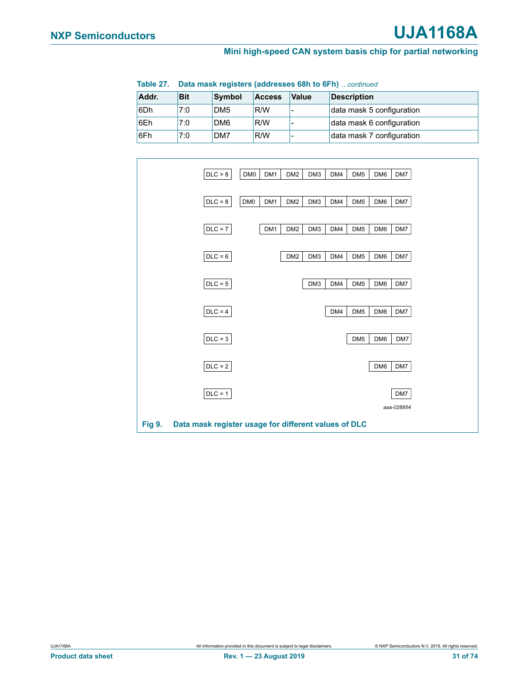| Table 27. | <b>Data mask registers (addresses 68h to 6Fh)</b> continued |                     |  |  |             |  |
|-----------|-------------------------------------------------------------|---------------------|--|--|-------------|--|
| Addr.     | <b>Bit</b>                                                  | Symbol Access Value |  |  | Description |  |

| Addr. | Вit | <b>Symbol</b>   | <b>ACCESS</b> | <b>Value</b> | <b>Description</b>        |
|-------|-----|-----------------|---------------|--------------|---------------------------|
| l6Dh  | 7:0 | DM <sub>5</sub> | R/W           | -            | data mask 5 configuration |
| 6Eh   | 7:0 | DM <sub>6</sub> | ⊩R/W          |              | data mask 6 configuration |
| 6Fh   | 7:0 | DM7             | R/W           |              | data mask 7 configuration |



<span id="page-30-0"></span>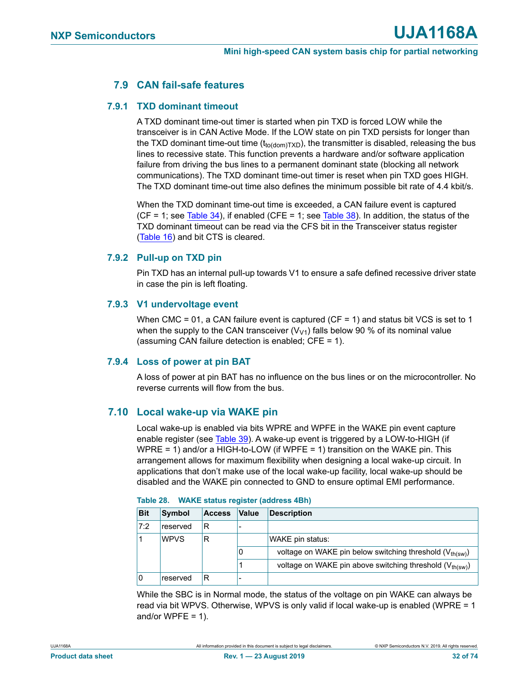## **7.9 CAN fail-safe features**

#### **7.9.1 TXD dominant timeout**

A TXD dominant time-out timer is started when pin TXD is forced LOW while the transceiver is in CAN Active Mode. If the LOW state on pin TXD persists for longer than the TXD dominant time-out time  $(t_{\text{to (dom)TXD}})$ , the transmitter is disabled, releasing the bus lines to recessive state. This function prevents a hardware and/or software application failure from driving the bus lines to a permanent dominant state (blocking all network communications). The TXD dominant time-out timer is reset when pin TXD goes HIGH. The TXD dominant time-out time also defines the minimum possible bit rate of 4.4 kbit/s.

When the TXD dominant time-out time is exceeded, a CAN failure event is captured  $(CF = 1$ ; see [Table 34](#page-35-0)), if enabled  $(CFE = 1$ ; see [Table 38\)](#page-36-0). In addition, the status of the TXD dominant timeout can be read via the CFS bit in the Transceiver status register ([Table 16\)](#page-24-0) and bit CTS is cleared.

#### **7.9.2 Pull-up on TXD pin**

Pin TXD has an internal pull-up towards V1 to ensure a safe defined recessive driver state in case the pin is left floating.

#### **7.9.3 V1 undervoltage event**

When CMC = 01, a CAN failure event is captured ( $CF = 1$ ) and status bit VCS is set to 1 when the supply to the CAN transceiver  $(V<sub>V1</sub>)$  falls below 90 % of its nominal value (assuming CAN failure detection is enabled; CFE = 1).

#### **7.9.4 Loss of power at pin BAT**

A loss of power at pin BAT has no influence on the bus lines or on the microcontroller. No reverse currents will flow from the bus.

#### **7.10 Local wake-up via WAKE pin**

Local wake-up is enabled via bits WPRE and WPFE in the WAKE pin event capture enable register (see [Table 39](#page-36-2)). A wake-up event is triggered by a LOW-to-HIGH (if WPRE = 1) and/or a HIGH-to-LOW (if WPFE = 1) transition on the WAKE pin. This arrangement allows for maximum flexibility when designing a local wake-up circuit. In applications that don't make use of the local wake-up facility, local wake-up should be disabled and the WAKE pin connected to GND to ensure optimal EMI performance.

| <b>Bit</b> | Symbol      | <b>Access</b> | <b>Value</b> | <b>Description</b>                                                   |  |  |  |  |
|------------|-------------|---------------|--------------|----------------------------------------------------------------------|--|--|--|--|
| 7:2        | reserved    | R             |              |                                                                      |  |  |  |  |
|            | <b>WPVS</b> | R             |              | WAKE pin status:                                                     |  |  |  |  |
|            |             |               | 0            | voltage on WAKE pin below switching threshold (V <sub>th(sw)</sub> ) |  |  |  |  |
|            |             |               |              | voltage on WAKE pin above switching threshold (V <sub>th(sw)</sub> ) |  |  |  |  |
|            | reserved    |               |              |                                                                      |  |  |  |  |

| Table 28. | <b>WAKE status register (address 4Bh)</b> |  |  |  |
|-----------|-------------------------------------------|--|--|--|
|-----------|-------------------------------------------|--|--|--|

While the SBC is in Normal mode, the status of the voltage on pin WAKE can always be read via bit WPVS. Otherwise, WPVS is only valid if local wake-up is enabled (WPRE = 1 and/or WPFE =  $1$ ).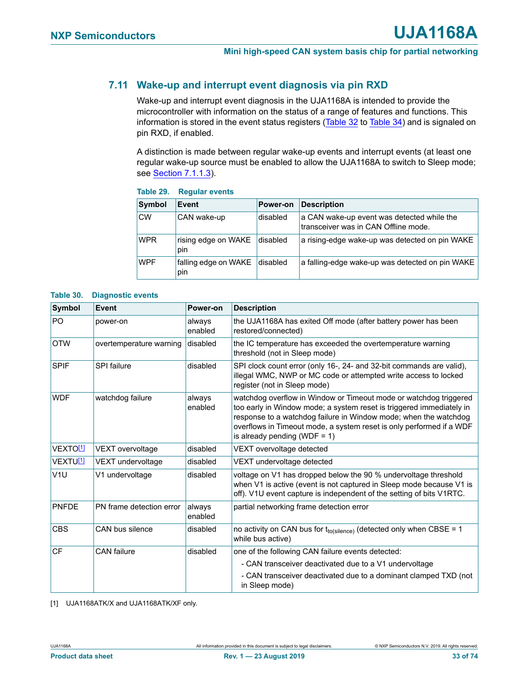## <span id="page-32-0"></span>**7.11 Wake-up and interrupt event diagnosis via pin RXD**

Wake-up and interrupt event diagnosis in the UJA1168A is intended to provide the microcontroller with information on the status of a range of features and functions. This information is stored in the event status registers ([Table 32](#page-34-0) to [Table 34\)](#page-35-0) and is signaled on pin RXD, if enabled.

A distinction is made between regular wake-up events and interrupt events (at least one regular wake-up source must be enabled to allow the UJA1168A to switch to Sleep mode; see [Section 7.1.1.3](#page-7-1)).

| Symbol     | Event                       | <b>Power-on</b> | <b>Description</b>                                                                 |
|------------|-----------------------------|-----------------|------------------------------------------------------------------------------------|
| <b>CW</b>  | CAN wake-up                 | disabled        | a CAN wake-up event was detected while the<br>transceiver was in CAN Offline mode. |
| <b>WPR</b> | rising edge on WAKE<br>pin  | disabled        | a rising-edge wake-up was detected on pin WAKE                                     |
| <b>WPF</b> | falling edge on WAKE<br>pin | <b>disabled</b> | a falling-edge wake-up was detected on pin WAKE                                    |

#### **Table 29. Regular events**

#### **Table 30. Diagnostic events**

| <b>Symbol</b>              | Event                    | Power-on          | <b>Description</b>                                                                                                                                                                                                                                                                                                    |
|----------------------------|--------------------------|-------------------|-----------------------------------------------------------------------------------------------------------------------------------------------------------------------------------------------------------------------------------------------------------------------------------------------------------------------|
| P <sub>O</sub>             | power-on                 | always<br>enabled | the UJA1168A has exited Off mode (after battery power has been<br>restored/connected)                                                                                                                                                                                                                                 |
| <b>OTW</b>                 | overtemperature warning  | disabled          | the IC temperature has exceeded the overtemperature warning<br>threshold (not in Sleep mode)                                                                                                                                                                                                                          |
| <b>SPIF</b><br>SPI failure |                          | disabled          | SPI clock count error (only 16-, 24- and 32-bit commands are valid),<br>illegal WMC, NWP or MC code or attempted write access to locked<br>register (not in Sleep mode)                                                                                                                                               |
| <b>WDF</b>                 | watchdog failure         | always<br>enabled | watchdog overflow in Window or Timeout mode or watchdog triggered<br>too early in Window mode; a system reset is triggered immediately in<br>response to a watchdog failure in Window mode; when the watchdog<br>overflows in Timeout mode, a system reset is only performed if a WDF<br>is already pending (WDF = 1) |
| VEXTO <sup>[1]</sup>       | VEXT overvoltage         | disabled          | VEXT overvoltage detected                                                                                                                                                                                                                                                                                             |
| VEXTU <sup>[1]</sup>       | VEXT undervoltage        | disabled          | VEXT undervoltage detected                                                                                                                                                                                                                                                                                            |
| V <sub>1U</sub>            | V1 undervoltage          | disabled          | voltage on V1 has dropped below the 90 % undervoltage threshold<br>when V1 is active (event is not captured in Sleep mode because V1 is<br>off). V1U event capture is independent of the setting of bits V1RTC.                                                                                                       |
| PNFDE                      | PN frame detection error | always<br>enabled | partial networking frame detection error                                                                                                                                                                                                                                                                              |
| <b>CBS</b>                 | CAN bus silence          | disabled          | no activity on CAN bus for $t_{to(silence)}$ (detected only when CBSE = 1<br>while bus active)                                                                                                                                                                                                                        |
| <b>CF</b>                  | <b>CAN</b> failure       | disabled          | one of the following CAN failure events detected:                                                                                                                                                                                                                                                                     |
|                            |                          |                   | - CAN transceiver deactivated due to a V1 undervoltage                                                                                                                                                                                                                                                                |
|                            |                          |                   | - CAN transceiver deactivated due to a dominant clamped TXD (not<br>in Sleep mode)                                                                                                                                                                                                                                    |

<span id="page-32-1"></span>[1] UJA1168ATK/X and UJA1168ATK/XF only.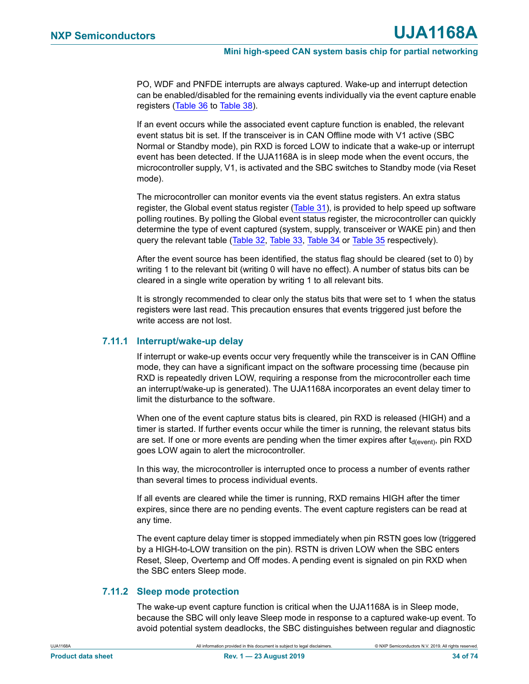PO, WDF and PNFDE interrupts are always captured. Wake-up and interrupt detection can be enabled/disabled for the remaining events individually via the event capture enable registers ([Table 36](#page-35-1) to [Table 38](#page-36-0)).

If an event occurs while the associated event capture function is enabled, the relevant event status bit is set. If the transceiver is in CAN Offline mode with V1 active (SBC Normal or Standby mode), pin RXD is forced LOW to indicate that a wake-up or interrupt event has been detected. If the UJA1168A is in sleep mode when the event occurs, the microcontroller supply, V1, is activated and the SBC switches to Standby mode (via Reset mode).

The microcontroller can monitor events via the event status registers. An extra status register, the Global event status register [\(Table 31\)](#page-34-1), is provided to help speed up software polling routines. By polling the Global event status register, the microcontroller can quickly determine the type of event captured (system, supply, transceiver or WAKE pin) and then query the relevant table ([Table 32,](#page-34-0) [Table 33](#page-35-2), [Table 34](#page-35-0) or [Table 35](#page-35-3) respectively).

After the event source has been identified, the status flag should be cleared (set to 0) by writing 1 to the relevant bit (writing 0 will have no effect). A number of status bits can be cleared in a single write operation by writing 1 to all relevant bits.

It is strongly recommended to clear only the status bits that were set to 1 when the status registers were last read. This precaution ensures that events triggered just before the write access are not lost.

#### **7.11.1 Interrupt/wake-up delay**

If interrupt or wake-up events occur very frequently while the transceiver is in CAN Offline mode, they can have a significant impact on the software processing time (because pin RXD is repeatedly driven LOW, requiring a response from the microcontroller each time an interrupt/wake-up is generated). The UJA1168A incorporates an event delay timer to limit the disturbance to the software.

When one of the event capture status bits is cleared, pin RXD is released (HIGH) and a timer is started. If further events occur while the timer is running, the relevant status bits are set. If one or more events are pending when the timer expires after  $t_{\text{d(event)}}$ , pin RXD goes LOW again to alert the microcontroller.

In this way, the microcontroller is interrupted once to process a number of events rather than several times to process individual events.

If all events are cleared while the timer is running, RXD remains HIGH after the timer expires, since there are no pending events. The event capture registers can be read at any time.

The event capture delay timer is stopped immediately when pin RSTN goes low (triggered by a HIGH-to-LOW transition on the pin). RSTN is driven LOW when the SBC enters Reset, Sleep, Overtemp and Off modes. A pending event is signaled on pin RXD when the SBC enters Sleep mode.

#### **7.11.2 Sleep mode protection**

The wake-up event capture function is critical when the UJA1168A is in Sleep mode, because the SBC will only leave Sleep mode in response to a captured wake-up event. To avoid potential system deadlocks, the SBC distinguishes between regular and diagnostic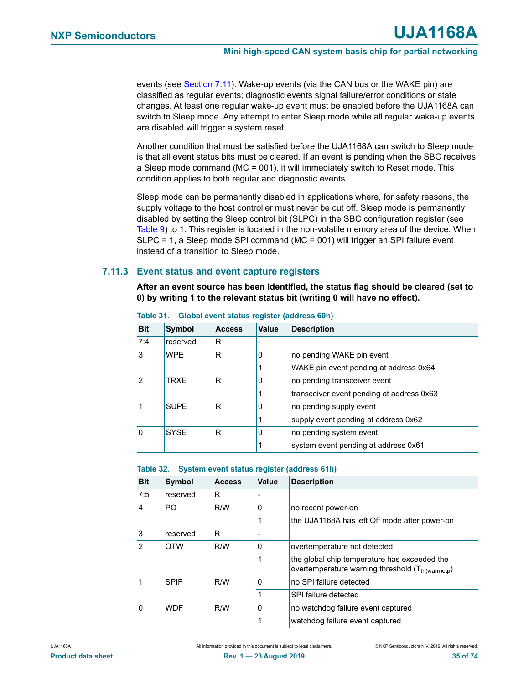events (see [Section 7.11\)](#page-32-0). Wake-up events (via the CAN bus or the WAKE pin) are classified as regular events; diagnostic events signal failure/error conditions or state changes. At least one regular wake-up event must be enabled before the UJA1168A can switch to Sleep mode. Any attempt to enter Sleep mode while all regular wake-up events are disabled will trigger a system reset.

Another condition that must be satisfied before the UJA1168A can switch to Sleep mode is that all event status bits must be cleared. If an event is pending when the SBC receives a Sleep mode command (MC = 001), it will immediately switch to Reset mode. This condition applies to both regular and diagnostic events.

Sleep mode can be permanently disabled in applications where, for safety reasons, the supply voltage to the host controller must never be cut off. Sleep mode is permanently disabled by setting the Sleep control bit (SLPC) in the SBC configuration register (see [Table 9\)](#page-13-0) to 1. This register is located in the non-volatile memory area of the device. When SLPC = 1, a Sleep mode SPI command (MC = 001) will trigger an SPI failure event instead of a transition to Sleep mode.

#### **7.11.3 Event status and event capture registers**

**After an event source has been identified, the status flag should be cleared (set to 0) by writing 1 to the relevant status bit (writing 0 will have no effect).**

| <b>Bit</b>    | <b>Symbol</b> | <b>Access</b> | Value | <b>Description</b>                        |
|---------------|---------------|---------------|-------|-------------------------------------------|
| 7:4           | reserved      | R             |       |                                           |
| 3             | <b>WPF</b>    | R             | 0     | no pending WAKE pin event                 |
|               |               |               |       | WAKE pin event pending at address 0x64    |
| $\mathcal{P}$ | TRXF          | R             | 0     | no pending transceiver event              |
|               |               |               |       | transceiver event pending at address 0x63 |
|               | <b>SUPF</b>   | R             | 0     | no pending supply event                   |
|               |               |               |       | supply event pending at address 0x62      |
| 0             | <b>SYSE</b>   | R             | 0     | no pending system event                   |
|               |               |               |       | system event pending at address 0x61      |

<span id="page-34-1"></span>**Table 31. Global event status register (address 60h)**

<span id="page-34-0"></span>

| Table 32. |  | System event status register (address 61h) |  |  |  |
|-----------|--|--------------------------------------------|--|--|--|
|-----------|--|--------------------------------------------|--|--|--|

| <b>Bit</b> | Symbol      | <b>Access</b> | Value        | <b>Description</b>                                                                                            |
|------------|-------------|---------------|--------------|---------------------------------------------------------------------------------------------------------------|
| 7:5        | reserved    | R             |              |                                                                                                               |
| 4          | PO          | R/W           | 0            | no recent power-on                                                                                            |
|            |             |               |              | the UJA1168A has left Off mode after power-on                                                                 |
| 3          | reserved    | R             |              |                                                                                                               |
| 2          | <b>OTW</b>  | R/W           | 0            | overtemperature not detected                                                                                  |
|            |             |               |              | the global chip temperature has exceeded the<br>overtemperature warning threshold (T <sub>th(warn)otp</sub> ) |
|            | <b>SPIF</b> | R/W           | $\mathbf{0}$ | no SPI failure detected                                                                                       |
|            |             |               | 1            | SPI failure detected                                                                                          |
| 0          | <b>WDF</b>  | R/W           | $\mathbf{0}$ | no watchdog failure event captured                                                                            |
|            |             |               |              | watchdog failure event captured                                                                               |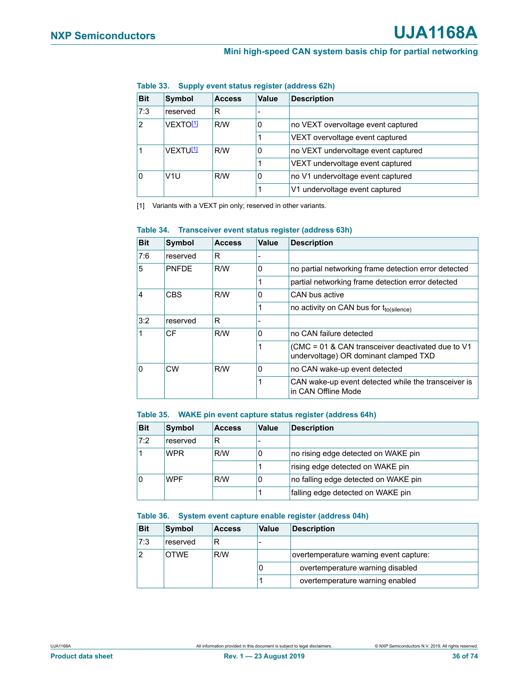| rapic oo. - Ouppry Gydni Status register (audress 0411) |                      |               |       |                                     |  |
|---------------------------------------------------------|----------------------|---------------|-------|-------------------------------------|--|
| <b>Bit</b>                                              | <b>Symbol</b>        | <b>Access</b> | Value | <b>Description</b>                  |  |
| 7:3                                                     | reserved             | R             |       |                                     |  |
| $\mathcal{P}$                                           | VEXTO <sup>[1]</sup> | R/W           | 0     | no VEXT overvoltage event captured  |  |
|                                                         |                      |               |       | VEXT overvoltage event captured     |  |
|                                                         | VEXTU <sup>[1]</sup> | R/W           | 0     | no VEXT undervoltage event captured |  |
|                                                         |                      |               |       | VEXT undervoltage event captured    |  |
| 0                                                       | V <sub>1</sub> U     | R/W           | 0     | no V1 undervoltage event captured   |  |
|                                                         |                      |               |       | V1 undervoltage event captured      |  |

#### <span id="page-35-2"></span>**Table 33. Supply event status register (address 62h)**

<span id="page-35-4"></span>[1] Variants with a VEXT pin only; reserved in other variants.

| <b>Bit</b>                   | Symbol       | <b>Access</b> | <b>Value</b> | <b>Description</b>                                                                           |
|------------------------------|--------------|---------------|--------------|----------------------------------------------------------------------------------------------|
| 7:6                          | reserved     | R             |              |                                                                                              |
| 5                            | <b>PNFDF</b> | R/W           | $\Omega$     | no partial networking frame detection error detected                                         |
|                              |              |               |              | partial networking frame detection error detected                                            |
| <b>CBS</b><br>$\overline{4}$ |              | R/W           | $\Omega$     | CAN bus active                                                                               |
|                              |              |               |              | no activity on CAN bus for tto(silence)                                                      |
| 3:2                          | reserved     | R             |              |                                                                                              |
|                              | CF           | R/W           | $\Omega$     | no CAN failure detected                                                                      |
|                              |              |               |              | (CMC = 01 & CAN transceiver deactivated due to $V1$<br>undervoltage) OR dominant clamped TXD |
| 0                            | CW           | R/W           | $\Omega$     | no CAN wake-up event detected                                                                |
|                              |              |               |              | CAN wake-up event detected while the transceiver is<br>in CAN Offline Mode                   |

#### <span id="page-35-0"></span>**Table 34. Transceiver event status register (address 63h)**

#### <span id="page-35-3"></span>**Table 35. WAKE pin event capture status register (address 64h)**

| <b>Bit</b> | Symbol     | <b>Access</b> | Value | <b>Description</b>                   |
|------------|------------|---------------|-------|--------------------------------------|
| 7:2        | reserved   | R             |       |                                      |
|            | <b>WPR</b> | R/W           | O     | no rising edge detected on WAKE pin  |
|            |            |               |       | rising edge detected on WAKE pin     |
| ۱0         | <b>WPF</b> | R/W           | 0     | no falling edge detected on WAKE pin |
|            |            |               |       | falling edge detected on WAKE pin    |

#### <span id="page-35-1"></span>**Table 36. System event capture enable register (address 04h)**

| <b>Bit</b>     | Symbol   | <b>Access</b> | <b>Value</b> | <b>Description</b>                     |
|----------------|----------|---------------|--------------|----------------------------------------|
| 7:3            | reserved | R             |              |                                        |
| $\overline{2}$ | OTWE     | R/W           |              | overtemperature warning event capture: |
|                |          |               |              | overtemperature warning disabled       |
|                |          |               |              | overtemperature warning enabled        |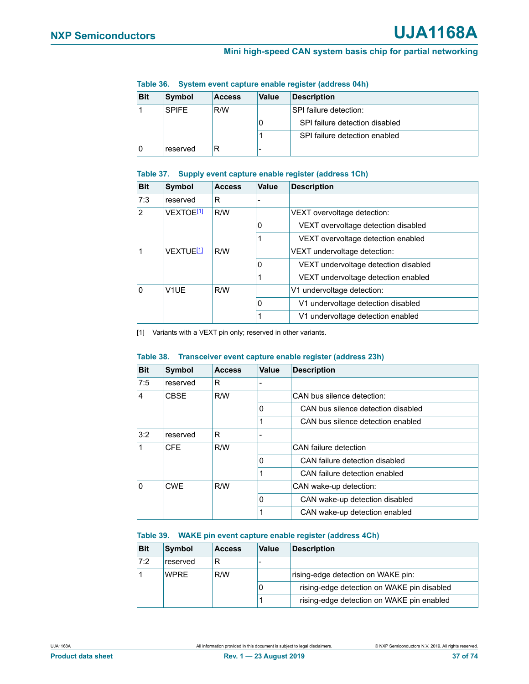| <b>Bit</b> | Symbol              | <b>Access</b> | <b>Value</b>           | <b>Description</b>             |
|------------|---------------------|---------------|------------------------|--------------------------------|
|            | R/W<br><b>SPIFF</b> |               | SPI failure detection: |                                |
|            |                     |               | U                      | SPI failure detection disabled |
|            |                     |               |                        | SPI failure detection enabled  |
|            | reserved            | R             | -                      |                                |

#### **Table 36. System event capture enable register (address 04h)**

### **Table 37. Supply event capture enable register (address 1Ch)**

| <b>Bit</b>             | Symbol                | <b>Access</b> | <b>Value</b>               | <b>Description</b>                   |
|------------------------|-----------------------|---------------|----------------------------|--------------------------------------|
| 7:3                    | reserved              | R             |                            |                                      |
| $\overline{2}$         | VEXTOE <sup>[1]</sup> | R/W           |                            | VEXT overvoltage detection:          |
|                        |                       |               | 0                          | VEXT overvoltage detection disabled  |
|                        |                       |               |                            | VEXT overvoltage detection enabled   |
|                        | VEXTUE <sup>[1]</sup> | R/W           |                            | VEXT undervoltage detection:         |
|                        |                       |               | 0                          | VEXT undervoltage detection disabled |
|                        |                       |               |                            | VEXT undervoltage detection enabled  |
| 0<br>V <sub>1</sub> UE | R/W                   |               | V1 undervoltage detection: |                                      |
|                        |                       |               | 0                          | V1 undervoltage detection disabled   |
|                        |                       |               |                            | V1 undervoltage detection enabled    |

<span id="page-36-0"></span>[1] Variants with a VEXT pin only; reserved in other variants.

#### **Table 38. Transceiver event capture enable register (address 23h)**

| <b>Bit</b>     | Symbol      | <b>Access</b> | Value | <b>Description</b>                 |
|----------------|-------------|---------------|-------|------------------------------------|
| 7:5            | reserved    | R             |       |                                    |
| $\overline{4}$ | <b>CBSF</b> | R/W           |       | CAN bus silence detection:         |
|                |             |               | 0     | CAN bus silence detection disabled |
|                |             |               |       | CAN bus silence detection enabled  |
| 3:2            | reserved    | R             |       |                                    |
| $\overline{1}$ | <b>CFE</b>  | R/W           |       | CAN failure detection              |
|                |             |               | 0     | CAN failure detection disabled     |
|                |             |               |       | CAN failure detection enabled      |
| ۱o             | <b>CWF</b>  | R/W           |       | CAN wake-up detection:             |
|                |             |               | O     | CAN wake-up detection disabled     |
|                |             |               |       | CAN wake-up detection enabled      |

#### **Table 39. WAKE pin event capture enable register (address 4Ch)**

| <b>Bit</b> | Symbol             | <b>Access</b> | Value | <b>Description</b>                         |
|------------|--------------------|---------------|-------|--------------------------------------------|
| 7:2        | reserved           |               |       |                                            |
|            | R/W<br><b>WPRF</b> |               |       | rising-edge detection on WAKE pin:         |
|            |                    |               | u     | rising-edge detection on WAKE pin disabled |
|            |                    |               |       | rising-edge detection on WAKE pin enabled  |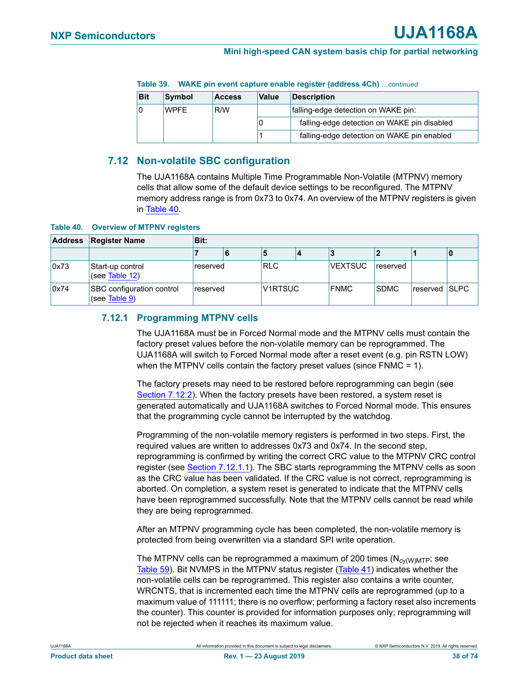|            | $\frac{1}{2}$ and $\frac{1}{2}$ and $\frac{1}{2}$ and $\frac{1}{2}$ and $\frac{1}{2}$ and $\frac{1}{2}$ and $\frac{1}{2}$ and $\frac{1}{2}$ and $\frac{1}{2}$ and $\frac{1}{2}$ and $\frac{1}{2}$ and $\frac{1}{2}$ and $\frac{1}{2}$ and $\frac{1}{2}$ and $\frac{1}{2}$ and $\frac{1}{2}$ a |               |                             |                                             |  |  |
|------------|-----------------------------------------------------------------------------------------------------------------------------------------------------------------------------------------------------------------------------------------------------------------------------------------------|---------------|-----------------------------|---------------------------------------------|--|--|
| <b>Bit</b> | Symbol                                                                                                                                                                                                                                                                                        | <b>Access</b> | <b>Description</b><br>Value |                                             |  |  |
|            | <b>WPFF</b>                                                                                                                                                                                                                                                                                   | R/W           |                             | falling-edge detection on WAKE pin:         |  |  |
|            |                                                                                                                                                                                                                                                                                               |               |                             | falling-edge detection on WAKE pin disabled |  |  |
|            |                                                                                                                                                                                                                                                                                               |               |                             | falling-edge detection on WAKE pin enabled  |  |  |

#### **Table 39. WAKE pin event capture enable register (address 4Ch)** *…continued*

# **7.12 Non-volatile SBC configuration**

The UJA1168A contains Multiple Time Programmable Non-Volatile (MTPNV) memory cells that allow some of the default device settings to be reconfigured. The MTPNV memory address range is from 0x73 to 0x74. An overview of the MTPNV registers is given in [Table 40.](#page-37-0)

<span id="page-37-0"></span>**Table 40. Overview of MTPNV registers**

| <b>Address</b> | <b>Register Name</b>                       | Bit:     |   |            |  |                |             |  |   |  |  |
|----------------|--------------------------------------------|----------|---|------------|--|----------------|-------------|--|---|--|--|
|                |                                            |          | 6 |            |  |                |             |  | 0 |  |  |
| 0x73           | Start-up control<br>(see Table 12)         | reserved |   | <b>RLC</b> |  | <b>VEXTSUC</b> | reserved    |  |   |  |  |
| 0x74           | SBC configuration control<br>(see Table 9) | reserved |   | V1RTSUC    |  | <b>FNMC</b>    | <b>SDMC</b> |  |   |  |  |

# **7.12.1 Programming MTPNV cells**

The UJA1168A must be in Forced Normal mode and the MTPNV cells must contain the factory preset values before the non-volatile memory can be reprogrammed. The UJA1168A will switch to Forced Normal mode after a reset event (e.g. pin RSTN LOW) when the MTPNV cells contain the factory preset values (since FNMC = 1).

The factory presets may need to be restored before reprogramming can begin (see [Section 7.12.2](#page-39-0)). When the factory presets have been restored, a system reset is generated automatically and UJA1168A switches to Forced Normal mode. This ensures that the programming cycle cannot be interrupted by the watchdog.

Programming of the non-volatile memory registers is performed in two steps. First, the required values are written to addresses 0x73 and 0x74. In the second step, reprogramming is confirmed by writing the correct CRC value to the MTPNV CRC control register (see [Section 7.12.1.1](#page-38-0)). The SBC starts reprogramming the MTPNV cells as soon as the CRC value has been validated. If the CRC value is not correct, reprogramming is aborted. On completion, a system reset is generated to indicate that the MTPNV cells have been reprogrammed successfully. Note that the MTPNV cells cannot be read while they are being reprogrammed.

After an MTPNV programming cycle has been completed, the non-volatile memory is protected from being overwritten via a standard SPI write operation.

The MTPNV cells can be reprogrammed a maximum of 200 times  $(N_{\text{cv}(\text{W})\text{MTP}})$ ; see [Table 59](#page-50-0)). Bit NVMPS in the MTPNV status register ([Table 41\)](#page-38-1) indicates whether the non-volatile cells can be reprogrammed. This register also contains a write counter, WRCNTS, that is incremented each time the MTPNV cells are reprogrammed (up to a maximum value of 111111; there is no overflow; performing a factory reset also increments the counter). This counter is provided for information purposes only; reprogramming will not be rejected when it reaches its maximum value.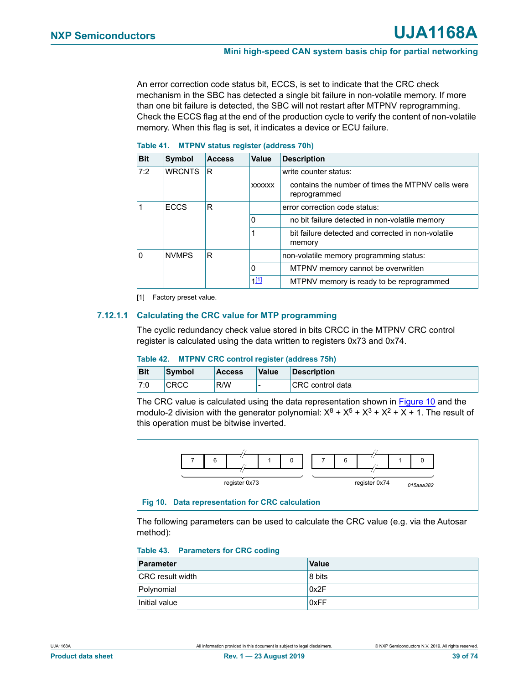An error correction code status bit, ECCS, is set to indicate that the CRC check mechanism in the SBC has detected a single bit failure in non-volatile memory. If more than one bit failure is detected, the SBC will not restart after MTPNV reprogramming. Check the ECCS flag at the end of the production cycle to verify the content of non-volatile memory. When this flag is set, it indicates a device or ECU failure.

| <b>Bit</b> | Symbol        | <b>Access</b> | Value         | <b>Description</b>                                                |
|------------|---------------|---------------|---------------|-------------------------------------------------------------------|
| 7:2        | <b>WRCNTS</b> | R             |               | write counter status:                                             |
|            |               |               | <b>XXXXXX</b> | contains the number of times the MTPNV cells were<br>reprogrammed |
|            | <b>ECCS</b>   | R             |               | error correction code status:                                     |
|            |               |               | 0             | no bit failure detected in non-volatile memory                    |
|            |               |               |               | bit failure detected and corrected in non-volatile<br>memory      |
| $\Omega$   | <b>NVMPS</b>  | R             |               | non-volatile memory programming status:                           |
|            |               |               | $\Omega$      | MTPNV memory cannot be overwritten                                |
|            |               |               | 1[1]          | MTPNV memory is ready to be reprogrammed                          |

#### <span id="page-38-1"></span>**Table 41. MTPNV status register (address 70h)**

<span id="page-38-3"></span>[1] Factory preset value.

# <span id="page-38-0"></span>**7.12.1.1 Calculating the CRC value for MTP programming**

The cyclic redundancy check value stored in bits CRCC in the MTPNV CRC control register is calculated using the data written to registers 0x73 and 0x74.

#### **Table 42. MTPNV CRC control register (address 75h)**

| <b>Bit</b> | Symbol | <b>Access</b> | Value | <b>Description</b>       |
|------------|--------|---------------|-------|--------------------------|
| 17:0       | CRCC   | R/W           |       | <b>ICRC</b> control data |

The CRC value is calculated using the data representation shown in **Figure 10** and the modulo-2 division with the generator polynomial:  $X^8 + X^5 + X^3 + X^2 + X + 1$ . The result of this operation must be bitwise inverted.



<span id="page-38-2"></span>The following parameters can be used to calculate the CRC value (e.g. via the Autosar method):

#### **Table 43. Parameters for CRC coding**

| Parameter               | <b>Value</b> |
|-------------------------|--------------|
| <b>CRC</b> result width | 8 bits       |
| Polynomial              | 0x2F         |
| Initial value           | 0xFF         |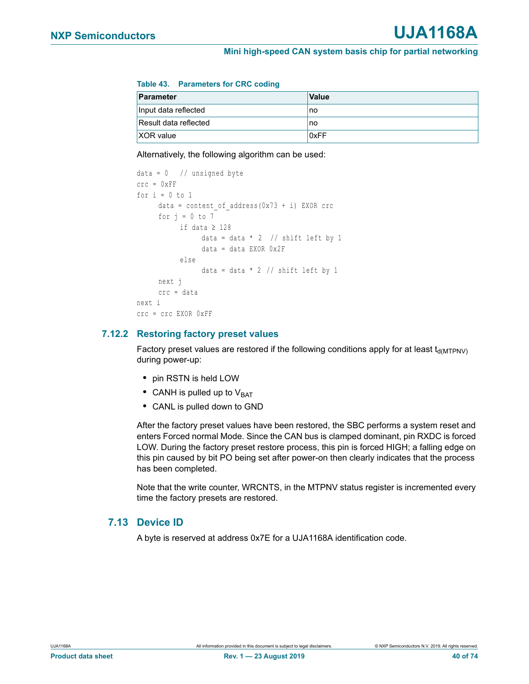#### **Table 43. Parameters for CRC coding**

| Parameter             | <b>Value</b> |
|-----------------------|--------------|
| Input data reflected  | no           |
| Result data reflected | no           |
| XOR value             | 0xFF         |

Alternatively, the following algorithm can be used:

```
data = 0 // unsigned byte
\text{circ} = 0 \text{xFF}for i = 0 to 1
     data = content of address(0x73 + i) EXOR crc
     for j = 0 to 7if data \geq 128data = data * 2 // shift left by 1
                 data = data EXOR 0x2F
           else
                 data = data * 2 // shift left by 1
     next j
     crc = data
next i
crc = crc EXOR 0xFF
```
# <span id="page-39-0"></span>**7.12.2 Restoring factory preset values**

Factory preset values are restored if the following conditions apply for at least  $t_{\text{d(MTPNV)}}$ during power-up:

- **•** pin RSTN is held LOW
- CANH is pulled up to V<sub>BAT</sub>
- **•** CANL is pulled down to GND

After the factory preset values have been restored, the SBC performs a system reset and enters Forced normal Mode. Since the CAN bus is clamped dominant, pin RXDC is forced LOW. During the factory preset restore process, this pin is forced HIGH; a falling edge on this pin caused by bit PO being set after power-on then clearly indicates that the process has been completed.

Note that the write counter, WRCNTS, in the MTPNV status register is incremented every time the factory presets are restored.

# **7.13 Device ID**

A byte is reserved at address 0x7E for a UJA1168A identification code.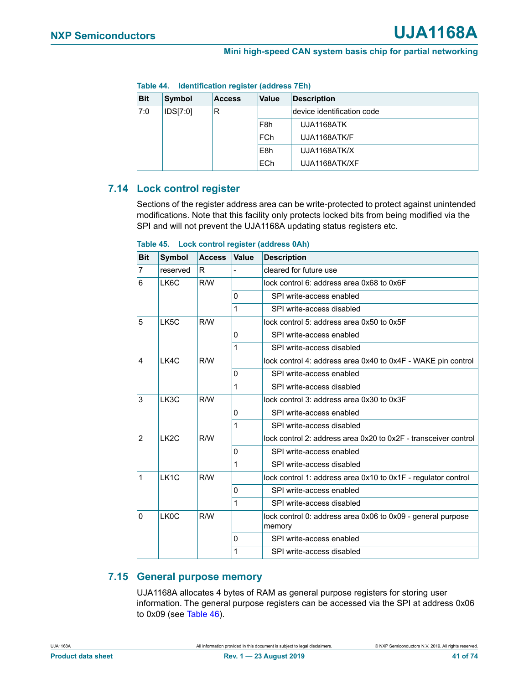|            | $1$ and $44$ . The immediation register (additionally) |               |                            |                    |  |  |
|------------|--------------------------------------------------------|---------------|----------------------------|--------------------|--|--|
| <b>Bit</b> | Symbol                                                 | <b>Access</b> | <b>Value</b>               | <b>Description</b> |  |  |
| 7:0        | R<br>IDS[7:0]                                          |               | device identification code |                    |  |  |
|            |                                                        |               | F <sub>8</sub> h           | UJA1168ATK         |  |  |
|            |                                                        |               | <b>FCh</b>                 | UJA1168ATK/F       |  |  |
|            |                                                        |               | E8h                        | UJA1168ATK/X       |  |  |
|            |                                                        |               | <b>ECh</b>                 | UJA1168ATK/XF      |  |  |

<span id="page-40-0"></span>**Table 44. Identification register (address 7Eh)**

# **7.14 Lock control register**

Sections of the register address area can be write-protected to protect against unintended modifications. Note that this facility only protects locked bits from being modified via the SPI and will not prevent the UJA1168A updating status registers etc.

| <b>Bit</b>     | <b>Symbol</b>     | <b>Access</b> | Value    | <b>Description</b>                                                    |  |
|----------------|-------------------|---------------|----------|-----------------------------------------------------------------------|--|
| $\overline{7}$ | reserved          | R.            |          | cleared for future use                                                |  |
| 6              | LK6C              | R/W           |          | lock control 6: address area 0x68 to 0x6F                             |  |
|                |                   |               | $\Omega$ | SPI write-access enabled                                              |  |
|                |                   |               | 1        | SPI write-access disabled                                             |  |
| 5              | LK5C              | R/W           |          | lock control 5: address area 0x50 to 0x5F                             |  |
|                |                   |               | 0        | SPI write-access enabled                                              |  |
|                |                   |               | 1        | SPI write-access disabled                                             |  |
| $\overline{4}$ | 1 K4C             | R/W           |          | lock control 4: address area 0x40 to 0x4F - WAKE pin control          |  |
|                |                   |               | 0        | SPI write-access enabled                                              |  |
|                |                   |               | 1        | SPI write-access disabled                                             |  |
| 3              | <b>LK3C</b>       | R/W           |          | lock control 3: address area 0x30 to 0x3F                             |  |
|                |                   |               | 0        | SPI write-access enabled                                              |  |
|                |                   |               | 1        | SPI write-access disabled                                             |  |
| 2              | LK <sub>2</sub> C | R/W           |          | lock control 2: address area 0x20 to 0x2F - transceiver control       |  |
|                |                   |               | $\Omega$ | SPI write-access enabled                                              |  |
|                |                   |               | 1        | SPI write-access disabled                                             |  |
| $\mathbf 1$    | LK <sub>1</sub> C | R/W           |          | lock control 1: address area 0x10 to 0x1F - regulator control         |  |
|                |                   |               | 0        | SPI write-access enabled                                              |  |
|                |                   |               | 1        | SPI write-access disabled                                             |  |
| 0              | LK <sub>0</sub> C | R/W           |          | lock control 0: address area 0x06 to 0x09 - general purpose<br>memory |  |
|                |                   |               | 0        | SPI write-access enabled                                              |  |
|                |                   |               | 1        | SPI write-access disabled                                             |  |

#### **Table 45. Lock control register (address 0Ah)**

# **7.15 General purpose memory**

UJA1168A allocates 4 bytes of RAM as general purpose registers for storing user information. The general purpose registers can be accessed via the SPI at address 0x06 to 0x09 (see [Table 46](#page-43-0)).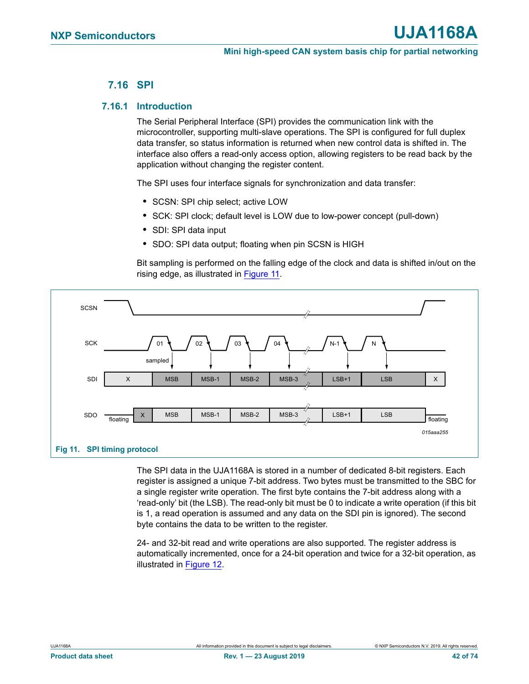# **7.16 SPI**

# **7.16.1 Introduction**

The Serial Peripheral Interface (SPI) provides the communication link with the microcontroller, supporting multi-slave operations. The SPI is configured for full duplex data transfer, so status information is returned when new control data is shifted in. The interface also offers a read-only access option, allowing registers to be read back by the application without changing the register content.

The SPI uses four interface signals for synchronization and data transfer:

- **•** SCSN: SPI chip select; active LOW
- **•** SCK: SPI clock; default level is LOW due to low-power concept (pull-down)
- **•** SDI: SPI data input
- **•** SDO: SPI data output; floating when pin SCSN is HIGH

Bit sampling is performed on the falling edge of the clock and data is shifted in/out on the rising edge, as illustrated in [Figure 11.](#page-41-0)



<span id="page-41-0"></span>The SPI data in the UJA1168A is stored in a number of dedicated 8-bit registers. Each register is assigned a unique 7-bit address. Two bytes must be transmitted to the SBC for a single register write operation. The first byte contains the 7-bit address along with a 'read-only' bit (the LSB). The read-only bit must be 0 to indicate a write operation (if this bit is 1, a read operation is assumed and any data on the SDI pin is ignored). The second byte contains the data to be written to the register.

24- and 32-bit read and write operations are also supported. The register address is automatically incremented, once for a 24-bit operation and twice for a 32-bit operation, as illustrated in [Figure 12.](#page-42-0)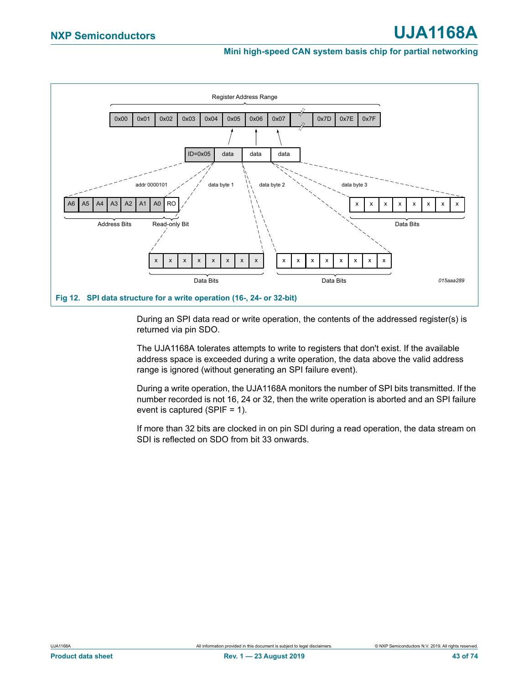

<span id="page-42-0"></span>During an SPI data read or write operation, the contents of the addressed register(s) is returned via pin SDO.

The UJA1168A tolerates attempts to write to registers that don't exist. If the available address space is exceeded during a write operation, the data above the valid address range is ignored (without generating an SPI failure event).

During a write operation, the UJA1168A monitors the number of SPI bits transmitted. If the number recorded is not 16, 24 or 32, then the write operation is aborted and an SPI failure event is captured (SPIF = 1).

If more than 32 bits are clocked in on pin SDI during a read operation, the data stream on SDI is reflected on SDO from bit 33 onwards.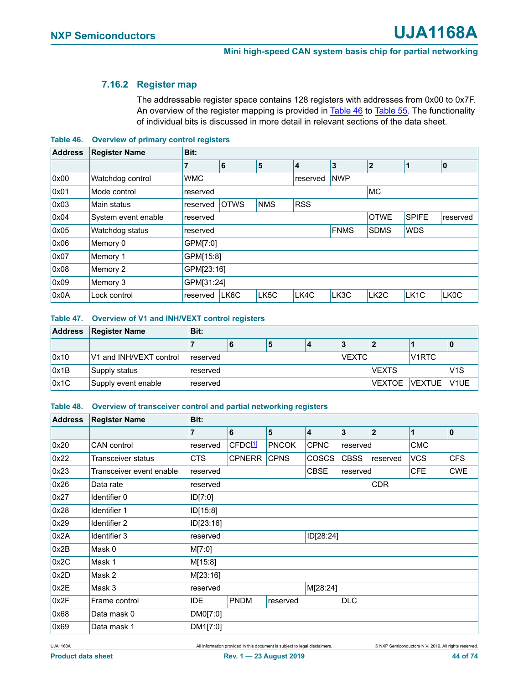# **7.16.2 Register map**

The addressable register space contains 128 registers with addresses from 0x00 to 0x7F. An overview of the register mapping is provided in [Table 46](#page-43-0) to [Table 55.](#page-45-0) The functionality of individual bits is discussed in more detail in relevant sections of the data sheet.

<span id="page-43-0"></span>**Table 46. Overview of primary control registers**

| <b>Address</b> | <b>Register Name</b> | Bit:       |                                         |      |                        |             |                   |                   |                   |
|----------------|----------------------|------------|-----------------------------------------|------|------------------------|-------------|-------------------|-------------------|-------------------|
|                |                      | 7          | 6                                       | 5    | 4                      | 3           | $\mathbf{2}$      | 1                 | 10                |
| 0x00           | Watchdog control     | <b>WMC</b> |                                         |      | <b>NWP</b><br>reserved |             |                   |                   |                   |
| 0x01           | Mode control         | reserved   | MC                                      |      |                        |             |                   |                   |                   |
| 0x03           | Main status          | reserved   | <b>OTWS</b><br><b>RSS</b><br><b>NMS</b> |      |                        |             |                   |                   |                   |
| 0x04           | System event enable  | reserved   |                                         |      |                        |             | <b>OTWE</b>       | <b>SPIFE</b>      | reserved          |
| 0x05           | Watchdog status      | reserved   |                                         |      |                        | <b>FNMS</b> | <b>SDMS</b>       | <b>WDS</b>        |                   |
| 0x06           | Memory 0             | GPM[7:0]   |                                         |      |                        |             |                   |                   |                   |
| 0x07           | Memory 1             | GPM[15:8]  |                                         |      |                        |             |                   |                   |                   |
| 0x08           | Memory 2             | GPM[23:16] |                                         |      |                        |             |                   |                   |                   |
| 0x09           | Memory 3             | GPM[31:24] |                                         |      |                        |             |                   |                   |                   |
| 0x0A           | Lock control         | reserved   | LK6C                                    | LK5C | LK4C                   | LK3C        | LK <sub>2</sub> C | LK <sub>1</sub> C | LK <sub>0</sub> C |

#### **Table 47. Overview of V1 and INH/VEXT control registers**

| <b>Address</b> | <b>Register Name</b>    | Bit:     |   |              |                 |                    |                  |
|----------------|-------------------------|----------|---|--------------|-----------------|--------------------|------------------|
|                |                         |          | 5 |              |                 |                    |                  |
| 0x10           | V1 and INH/VEXT control | reserved |   | <b>VEXTC</b> |                 | V <sub>1</sub> RTC |                  |
| 0x1B           | Supply status           | reserved |   |              | <b>VEXTS</b>    |                    | V <sub>1</sub> S |
| 0x1C           | Supply event enable     | reserved |   |              | VEXTOE   VEXTUE |                    | V <sub>1UE</sub> |

### **Table 48. Overview of transceiver control and partial networking registers**

| <b>Address</b> | <b>Register Name</b>     | Bit:       |                     |              |              |              |          |              |              |
|----------------|--------------------------|------------|---------------------|--------------|--------------|--------------|----------|--------------|--------------|
|                |                          | 7          | 6                   | 5            | 4            | $\mathbf{3}$ | 2        | $\mathbf{1}$ | $\mathbf{0}$ |
| 0x20           | <b>CAN</b> control       | reserved   | CFDC <sup>[1]</sup> | <b>PNCOK</b> | <b>CPNC</b>  | reserved     |          | <b>CMC</b>   |              |
| 0x22           | Transceiver status       | CTS.       | <b>CPNERR</b>       | <b>CPNS</b>  | <b>COSCS</b> | <b>CBSS</b>  | reserved | <b>VCS</b>   | <b>CFS</b>   |
| 0x23           | Transceiver event enable | reserved   |                     |              | <b>CBSE</b>  | reserved     |          | <b>CFE</b>   | <b>CWE</b>   |
| 0x26           | Data rate                | reserved   | <b>CDR</b>          |              |              |              |          |              |              |
| 0x27           | Identifier 0             | ID[7:0]    |                     |              |              |              |          |              |              |
| 0x28           | Identifier 1             | ID[15:8]   |                     |              |              |              |          |              |              |
| 0x29           | Identifier 2             | ID[23:16]  |                     |              |              |              |          |              |              |
| 0x2A           | Identifier 3             | reserved   |                     |              | ID[28:24]    |              |          |              |              |
| 0x2B           | Mask 0                   | M[7:0]     |                     |              |              |              |          |              |              |
| 0x2C           | Mask 1                   | M[15:8]    |                     |              |              |              |          |              |              |
| 0x2D           | Mask 2                   | M[23:16]   |                     |              |              |              |          |              |              |
| 0x2E           | Mask 3                   | reserved   |                     |              | M[28:24]     |              |          |              |              |
| 0x2F           | Frame control            | <b>IDE</b> | <b>PNDM</b>         | reserved     |              | <b>DLC</b>   |          |              |              |
| 0x68           | Data mask 0              | DM0[7:0]   |                     |              |              |              |          |              |              |
| 0x69           | Data mask 1              | DM1[7:0]   |                     |              |              |              |          |              |              |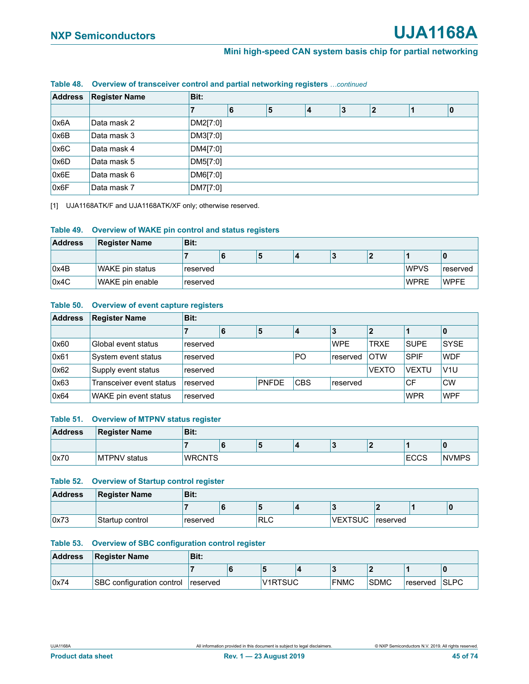| <b>Address</b> | <b>Register Name</b> | Bit:     |   |   |   |                |    |
|----------------|----------------------|----------|---|---|---|----------------|----|
|                |                      |          | 6 | 5 | 3 | $\overline{2}$ | 10 |
| 0x6A           | Data mask 2          | DM2[7:0] |   |   |   |                |    |
| 0x6B           | Data mask 3          | DM3[7:0] |   |   |   |                |    |
| 0x6C           | Data mask 4          | DM4[7:0] |   |   |   |                |    |
| 0x6D           | Data mask 5          | DM5[7:0] |   |   |   |                |    |
| 0x6E           | Data mask 6          | DM6[7:0] |   |   |   |                |    |
| 0x6F           | Data mask 7          | DM7[7:0] |   |   |   |                |    |

#### **Table 48. Overview of transceiver control and partial networking registers** *…continued*

<span id="page-44-0"></span>[1] UJA1168ATK/F and UJA1168ATK/XF only; otherwise reserved.

#### **Table 49. Overview of WAKE pin control and status registers**

| <b>Address</b> | <b>Register Name</b> | Bit:      |  |   |  |  |  |              |             |  |  |  |  |
|----------------|----------------------|-----------|--|---|--|--|--|--------------|-------------|--|--|--|--|
|                |                      |           |  | э |  |  |  |              |             |  |  |  |  |
| 0x4B           | WAKE pin status      | ≀reserved |  |   |  |  |  | <b>IWPVS</b> | 'reserved   |  |  |  |  |
| 0x4C           | WAKE pin enable      | reserved  |  |   |  |  |  | <b>WPRE</b>  | <b>WPFE</b> |  |  |  |  |

### **Table 50. Overview of event capture registers**

| <b>Address</b> | <b>Register Name</b>     | Bit:                                 |                                          |  |  |          |              |              |             |
|----------------|--------------------------|--------------------------------------|------------------------------------------|--|--|----------|--------------|--------------|-------------|
|                |                          |                                      | 6                                        |  |  |          |              |              |             |
| 0x60           | Global event status      | reserved                             | <b>WPE</b><br><b>TRXE</b><br><b>SUPE</b> |  |  |          |              |              | <b>SYSE</b> |
| 0x61           | System event status      | reserved                             | P <sub>O</sub>                           |  |  | reserved | <b>OTW</b>   | <b>SPIF</b>  | <b>WDF</b>  |
| 0x62           | Supply event status      | reserved                             |                                          |  |  |          | <b>VEXTO</b> | <b>VEXTU</b> | V1U         |
| 0x63           | Transceiver event status | reserved                             | <b>CBS</b><br>PNFDE<br>CF<br>reserved    |  |  |          |              |              | <b>CW</b>   |
| 0x64           | WAKE pin event status    | <b>WPF</b><br><b>WPR</b><br>reserved |                                          |  |  |          |              |              |             |

#### **Table 51. Overview of MTPNV status register**

| <b>Address</b> | <b>Register Name</b> | Bit:          |   |   |  |             |              |
|----------------|----------------------|---------------|---|---|--|-------------|--------------|
|                |                      |               | ю | Ð |  |             |              |
| 0x70           | <b>MTPNV</b> status  | <b>WRCNTS</b> |   |   |  | <b>ECCS</b> | <b>NVMPS</b> |

#### **Table 52. Overview of Startup control register**

| <b>Address</b> | <b>Register Name</b> | Bit:     |            |                |                       |  |
|----------------|----------------------|----------|------------|----------------|-----------------------|--|
|                |                      |          | ₽          |                |                       |  |
| 0x73           | Startup control      | reserved | <b>RLC</b> | <b>VEXTSUC</b> | <sup>i</sup> reserved |  |

#### **Table 53. Overview of SBC configuration control register**

| <b>Address</b> | <b>Register Name</b>      | Bit:     |  |         |  |             |             |          |             |  |  |
|----------------|---------------------------|----------|--|---------|--|-------------|-------------|----------|-------------|--|--|
|                |                           |          |  |         |  |             |             |          |             |  |  |
| 0x74           | SBC configuration control | reserved |  | V1RTSUC |  | <b>FNMC</b> | <b>SDMC</b> | reserved | <b>SLPC</b> |  |  |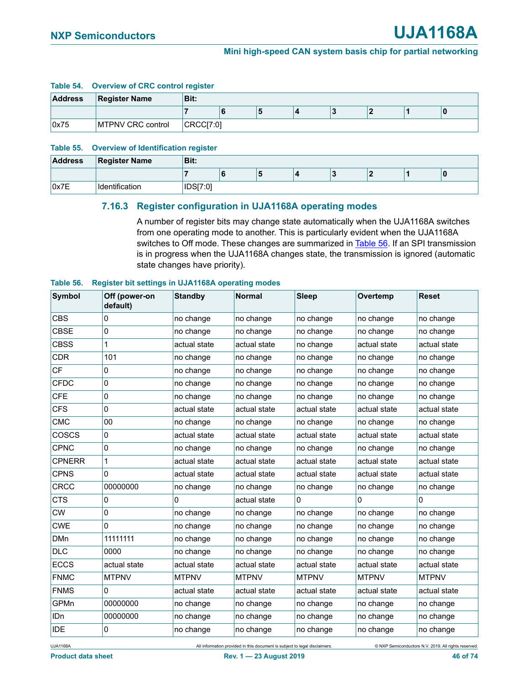#### **Table 54. Overview of CRC control register**

| <b>Address</b> | <b>Register Name</b>     | Bit:      |  |   |  |  |  |  |  |  |  |
|----------------|--------------------------|-----------|--|---|--|--|--|--|--|--|--|
|                |                          |           |  | ю |  |  |  |  |  |  |  |
| 0x75           | <b>MTPNV CRC control</b> | CRCCI7:01 |  |   |  |  |  |  |  |  |  |

#### <span id="page-45-0"></span>**Table 55. Overview of Identification register**

| <b>Address</b> | <b>Register Name</b> | Bit:            |   |   |  |  |   |
|----------------|----------------------|-----------------|---|---|--|--|---|
|                |                      |                 | х | ю |  |  | C |
| 0x7E           | Identification       | <b>IDS[7:0]</b> |   |   |  |  |   |

# **7.16.3 Register configuration in UJA1168A operating modes**

A number of register bits may change state automatically when the UJA1168A switches from one operating mode to another. This is particularly evident when the UJA1168A switches to Off mode. These changes are summarized in [Table 56](#page-45-1). If an SPI transmission is in progress when the UJA1168A changes state, the transmission is ignored (automatic state changes have priority).

# <span id="page-45-1"></span>**Table 56. Register bit settings in UJA1168A operating modes Symbol Off (power-on default) Standby Normal Sleep Overtemp Reset** CBS  $|0 \rangle$  no change  $|$  no change  $|$  no change  $|$  no change  $|$  no change CBSE  $|0$  no change no change no change no change no change no change CBSS |1 |actual state |actual state |no change |actual state |actual state CDR 101 ho change no change no change no change no change no change CF  $\vert$  0  $\vert$  no change  $\vert$  no change  $\vert$  no change  $\vert$  no change  $\vert$  no change CFDC  $|0$  no change  $|$  no change  $|$  no change  $|$  no change  $|$  no change CFE  $|0$  no change no change no change no change no change no change  $\mathsf{CFS}$  actual state actual state actual state actual state actual state actual state CMC  $\vert$  00  $\vert$  no change  $\vert$  no change  $\vert$  no change  $\vert$  no change  $\vert$  no change  $\textsf{\small COSCS}\hspace{10pt} \begin{array}{|\sf actual state}\end{array}\qquad \text{\small actual state}\qquad \text{\small actual state}\qquad \text{\small actual state}\qquad \text{\small actual state}$ CPNC  $\vert$  0  $\vert$  no change  $\vert$  no change  $\vert$  no change  $\vert$  no change ino change  $\textsf{CPNER} \quad \quad \textcolor{red}{\mid} \quad \quad \quad \textcolor{red}{\mid} \quad \textsf{actual state} \quad \quad \textcolor{red}{\mid} \quad \textsf{actual state} \quad \quad \textsf{actual state} \quad \quad \textsf{actual state}$  $\textsf{CPNS} \qquad \begin{matrix} \begin{matrix} \end{matrix} & \begin{matrix} \end{matrix} & \begin{matrix} \end{matrix} \end{matrix} \end{matrix}$  actual state actual state actual state actual state actual state actual state CRCC  $|00000000|$  no change  $|$  no change  $|$  no change  $|$  no change  $|$  no change  $\begin{matrix} \textsf{CTS} & \hspace{15.5mm} \textsf{0} & \hspace{15.5mm} \textsf{0} & \hspace{15.5mm} \textsf{actual state} & \hspace{15.5mm} \textsf{0} & \hspace{15.5mm} \textsf{0} & \hspace{15.5mm} \textsf{0} \end{matrix}$ CW  $\vert$  0  $\vert$  no change  $\vert$  no change  $\vert$  no change  $\vert$  no change  $\vert$  no change CWE  $|0$  no change no change no change no change no change no change DMn 111111111 no change no change no change no change no change no change DLC  $|0000|$  no change  $|$  no change no change no change no change no change  $\texttt{ECCS} \qquad \text{\parbox{0.5in}{\texttt{actual state}} \qquad \text{\parbox{0.5in}{\texttt{actual state}} \qquad \text{\parbox{0.5in}{\texttt{actual state}}} \qquad \text{\parbox{0.5in}{\texttt{actual state}} \qquad \text{\parbox{0.5in}{\texttt{actual state}}}$ FNMC MTPNV MTPNV MTPNV MTPNV MTPNV MTPNV  $\begin{array}{c|c} \textsf{FMNS} & \begin{array}{c} \textsf{0} \end{array} & \textsf{actual state} \end{array} \end{array}$ GPMn |00000000 |no change |no change |no change |no change |no change IDn  $|00000000|$  no change  $|$ no change  $|$ no change  $|$ no change  $|$ no change

IDE  $|0$  no change no change no change no change no change no change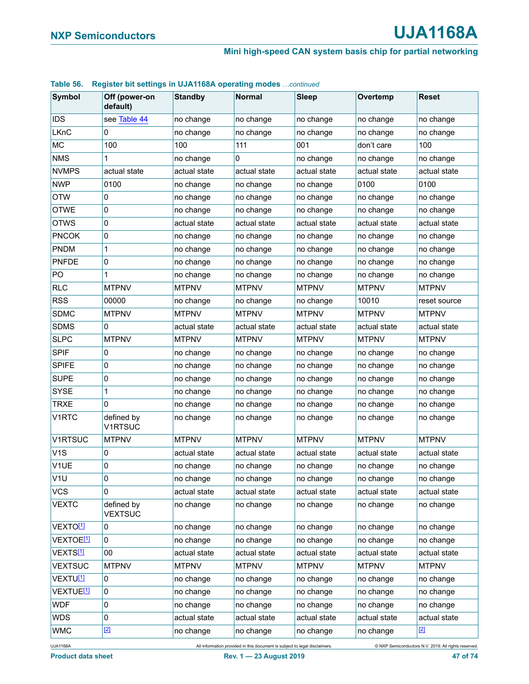#### **Table 56. Register bit settings in UJA1168A operating modes** *…continued*

| <b>Symbol</b>         | Off (power-on<br>default)    | <b>Standby</b> | <b>Normal</b> | <b>Sleep</b> | Overtemp     | <b>Reset</b> |
|-----------------------|------------------------------|----------------|---------------|--------------|--------------|--------------|
| <b>IDS</b>            | see Table 44                 | no change      | no change     | no change    | no change    | no change    |
| <b>LKnC</b>           | 0                            | no change      | no change     | no change    | no change    | no change    |
| <b>MC</b>             | 100                          | 100            | 111           | 001          | don't care   | 100          |
| <b>NMS</b>            | 1                            | no change      | 0             | no change    | no change    | no change    |
| <b>NVMPS</b>          | actual state                 | actual state   | actual state  | actual state | actual state | actual state |
| <b>NWP</b>            | 0100                         | no change      | no change     | no change    | 0100         | 0100         |
| <b>OTW</b>            | 0                            | no change      | no change     | no change    | no change    | no change    |
| <b>OTWE</b>           | 0                            | no change      | no change     | no change    | no change    | no change    |
| <b>OTWS</b>           | $\pmb{0}$                    | actual state   | actual state  | actual state | actual state | actual state |
| <b>PNCOK</b>          | 0                            | no change      | no change     | no change    | no change    | no change    |
| <b>PNDM</b>           | 1                            | no change      | no change     | no change    | no change    | no change    |
| <b>PNFDE</b>          | 0                            | no change      | no change     | no change    | no change    | no change    |
| PO                    | 1                            | no change      | no change     | no change    | no change    | no change    |
| <b>RLC</b>            | <b>MTPNV</b>                 | <b>MTPNV</b>   | <b>MTPNV</b>  | <b>MTPNV</b> | <b>MTPNV</b> | <b>MTPNV</b> |
| <b>RSS</b>            | 00000                        | no change      | no change     | no change    | 10010        | reset source |
| <b>SDMC</b>           | <b>MTPNV</b>                 | <b>MTPNV</b>   | <b>MTPNV</b>  | <b>MTPNV</b> | <b>MTPNV</b> | <b>MTPNV</b> |
| <b>SDMS</b>           | 0                            | actual state   | actual state  | actual state | actual state | actual state |
| <b>SLPC</b>           | <b>MTPNV</b>                 | <b>MTPNV</b>   | <b>MTPNV</b>  | <b>MTPNV</b> | <b>MTPNV</b> | <b>MTPNV</b> |
| <b>SPIF</b>           | 0                            | no change      | no change     | no change    | no change    | no change    |
| <b>SPIFE</b>          | 0                            | no change      | no change     | no change    | no change    | no change    |
| <b>SUPE</b>           | $\pmb{0}$                    | no change      | no change     | no change    | no change    | no change    |
| <b>SYSE</b>           | 1                            | no change      | no change     | no change    | no change    | no change    |
| <b>TRXE</b>           | 0                            | no change      | no change     | no change    | no change    | no change    |
| V1RTC                 | defined by<br><b>V1RTSUC</b> | no change      | no change     | no change    | no change    | no change    |
| V1RTSUC               | <b>MTPNV</b>                 | <b>MTPNV</b>   | <b>MTPNV</b>  | <b>MTPNV</b> | <b>MTPNV</b> | <b>MTPNV</b> |
| V <sub>1</sub> S      | 0                            | actual state   | actual state  | actual state | actual state | actual state |
| V1UE                  | 0                            | no change      | no change     | no change    | no change    | no change    |
| V1U                   | 0                            | no change      | no change     | no change    | no change    | no change    |
| <b>VCS</b>            | 0                            | actual state   | actual state  | actual state | actual state | actual state |
| <b>VEXTC</b>          | defined by<br><b>VEXTSUC</b> | no change      | no change     | no change    | no change    | no change    |
| VEXTO <sup>[1]</sup>  | 0                            | no change      | no change     | no change    | no change    | no change    |
| VEXTOE <sup>[1]</sup> | 0                            | no change      | no change     | no change    | no change    | no change    |
| VEXTS[1]              | 00                           | actual state   | actual state  | actual state | actual state | actual state |
| <b>VEXTSUC</b>        | <b>MTPNV</b>                 | <b>MTPNV</b>   | <b>MTPNV</b>  | <b>MTPNV</b> | <b>MTPNV</b> | <b>MTPNV</b> |
| VEXTU <sup>[1]</sup>  | 0                            | no change      | no change     | no change    | no change    | no change    |
| VEXTUE <sup>[1]</sup> | 0                            | no change      | no change     | no change    | no change    | no change    |
| <b>WDF</b>            | 0                            | no change      | no change     | no change    | no change    | no change    |
| <b>WDS</b>            | 0                            | actual state   | actual state  | actual state | actual state | actual state |
| <b>WMC</b>            | $[2]$                        | no change      | no change     | no change    | no change    | $[2]$        |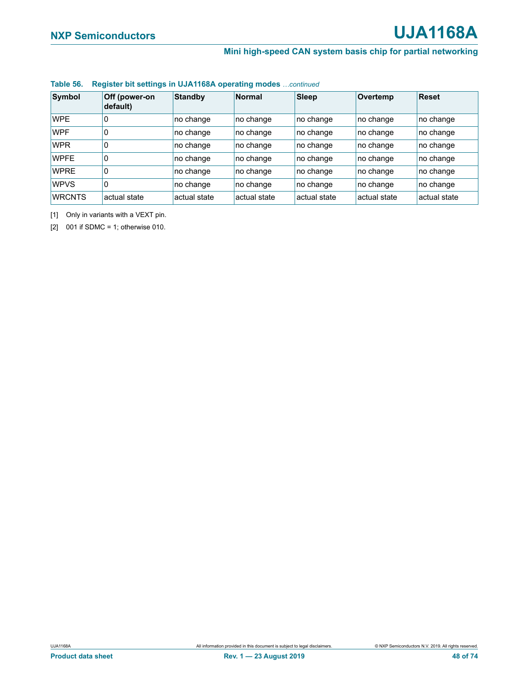#### **Table 56. Register bit settings in UJA1168A operating modes** *…continued*

| Symbol        | Off (power-on<br>default) | <b>Standby</b> | <b>Normal</b> | Sleep        | Overtemp     | <b>Reset</b> |
|---------------|---------------------------|----------------|---------------|--------------|--------------|--------------|
| <b>WPE</b>    | 0                         | no change      | no change     | no change    | no change    | no change    |
| <b>WPF</b>    | 0                         | no change      | no change     | no change    | no change    | no change    |
| <b>WPR</b>    | 0                         | no change      | no change     | no change    | no change    | no change    |
| <b>WPFE</b>   | 0                         | no change      | no change     | no change    | no change    | no change    |
| <b>WPRE</b>   | 0                         | no change      | no change     | no change    | no change    | no change    |
| <b>WPVS</b>   | 10                        | no change      | no change     | no change    | no change    | no change    |
| <b>WRCNTS</b> | actual state              | actual state   | actual state  | actual state | actual state | actual state |

<span id="page-47-0"></span>[1] Only in variants with a VEXT pin.

<span id="page-47-1"></span>[2] 001 if SDMC = 1; otherwise 010.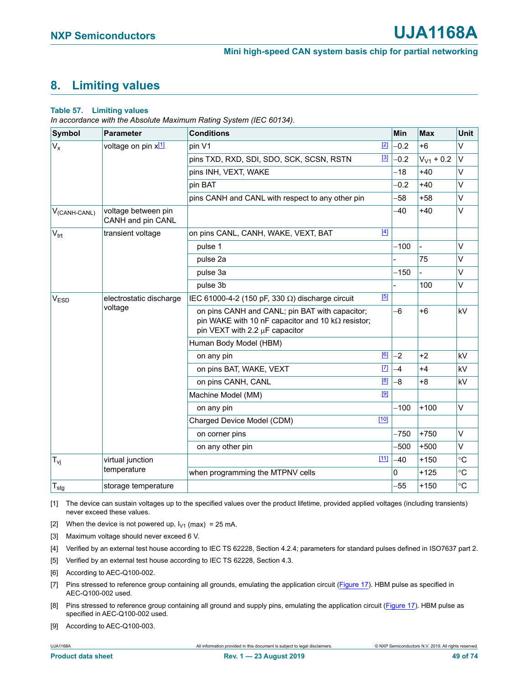# **8. Limiting values**

#### **Table 57. Limiting values**

*In accordance with the Absolute Maximum Rating System (IEC 60134).*

| <b>Symbol</b>     | <b>Parameter</b>                         | <b>Conditions</b>                                                                                                                                 | <b>Min</b> | <b>Max</b>     | <b>Unit</b>     |
|-------------------|------------------------------------------|---------------------------------------------------------------------------------------------------------------------------------------------------|------------|----------------|-----------------|
| $V_{x}$           | voltage on pin x[1]                      | $[2]$<br>pin V1                                                                                                                                   | $-0.2$     | $+6$           | $\vee$          |
|                   |                                          | $[3]$<br>pins TXD, RXD, SDI, SDO, SCK, SCSN, RSTN                                                                                                 | $-0.2$     | $V_{V1}$ + 0.2 | $\vee$          |
|                   |                                          | pins INH, VEXT, WAKE                                                                                                                              | -18        | $+40$          | V               |
|                   |                                          | pin BAT                                                                                                                                           | $-0.2$     | $+40$          | $\vee$          |
|                   |                                          | pins CANH and CANL with respect to any other pin                                                                                                  | -58        | $+58$          | $\vee$          |
| $V_{(CANH-CANL)}$ | voltage between pin<br>CANH and pin CANL |                                                                                                                                                   | $-40$      | $+40$          | $\vee$          |
| $V_{\text{trt}}$  | transient voltage                        | $[4]$<br>on pins CANL, CANH, WAKE, VEXT, BAT                                                                                                      |            |                |                 |
|                   |                                          | pulse 1                                                                                                                                           | $-100$     |                | V               |
|                   |                                          | pulse 2a                                                                                                                                          |            | 75             | $\vee$          |
|                   |                                          | pulse 3a                                                                                                                                          | $-150$     |                | $\vee$          |
|                   |                                          | pulse 3b                                                                                                                                          |            | 100            | V               |
| V <sub>ESD</sub>  | electrostatic discharge                  | [5]<br>IEC 61000-4-2 (150 pF, 330 $\Omega$ ) discharge circuit                                                                                    |            |                |                 |
|                   | voltage                                  | on pins CANH and CANL; pin BAT with capacitor;<br>pin WAKE with 10 nF capacitor and 10 $k\Omega$ resistor;<br>pin VEXT with 2.2 $\mu$ F capacitor | -6         | $+6$           | kV              |
|                   |                                          | Human Body Model (HBM)                                                                                                                            |            |                |                 |
|                   |                                          | [6]<br>on any pin                                                                                                                                 | $-2$       | $+2$           | kV              |
|                   |                                          | $[7]$<br>on pins BAT, WAKE, VEXT                                                                                                                  | $-4$       | $+4$           | kV              |
|                   |                                          | [8]<br>on pins CANH, CANL                                                                                                                         | $-8$       | $+8$           | kV              |
|                   |                                          | [9]<br>Machine Model (MM)                                                                                                                         |            |                |                 |
|                   |                                          | on any pin                                                                                                                                        | $-100$     | $+100$         | V               |
|                   |                                          | $[10]$<br>Charged Device Model (CDM)                                                                                                              |            |                |                 |
|                   |                                          | on corner pins                                                                                                                                    | $-750$     | $+750$         | $\vee$          |
|                   |                                          | on any other pin                                                                                                                                  | $-500$     | $+500$         | $\vee$          |
| $T_{vi}$          | virtual junction                         | $[11]$                                                                                                                                            | $-40$      | $+150$         | $\rm ^{\circ}C$ |
|                   | temperature                              | when programming the MTPNV cells                                                                                                                  | 0          | $+125$         | $\circ$ C       |
| $T_{\text{stg}}$  | storage temperature                      |                                                                                                                                                   | $-55$      | $+150$         | $^{\circ}C$     |

<span id="page-48-1"></span>[1] The device can sustain voltages up to the specified values over the product lifetime, provided applied voltages (including transients) never exceed these values.

<span id="page-48-0"></span>[2] When the device is not powered up,  $I_{V1}$  (max) = 25 mA.

<span id="page-48-5"></span>[3] Maximum voltage should never exceed 6 V.

<span id="page-48-4"></span>[4] Verified by an external test house according to IEC TS 62228, Section 4.2.4; parameters for standard pulses defined in ISO7637 part 2.

<span id="page-48-2"></span>[5] Verified by an external test house according to IEC TS 62228, Section 4.3.

<span id="page-48-6"></span>[6] According to AEC-Q100-002.

- <span id="page-48-8"></span>[7] Pins stressed to reference group containing all grounds, emulating the application circuit ([Figure 17\)](#page-60-0). HBM pulse as specified in AEC-Q100-002 used.
- <span id="page-48-3"></span>[8] Pins stressed to reference group containing all ground and supply pins, emulating the application circuit ([Figure 17](#page-60-0)). HBM pulse as specified in AEC-Q100-002 used.
- <span id="page-48-7"></span>[9] According to AEC-Q100-003.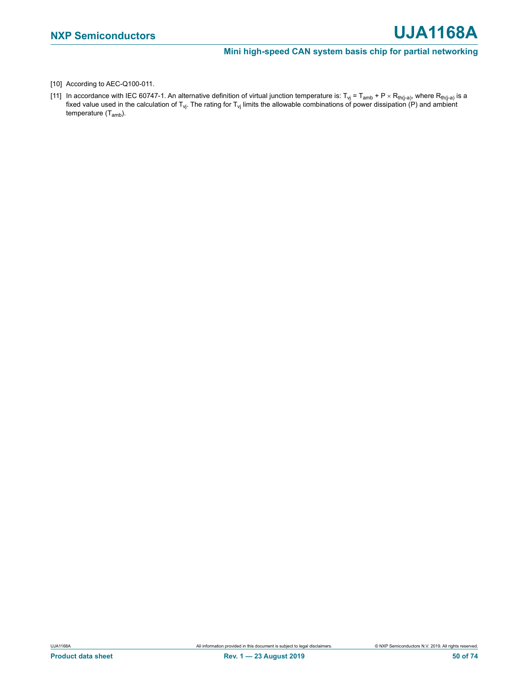- <span id="page-49-0"></span>[10] According to AEC-Q100-011.
- <span id="page-49-1"></span>[11] In accordance with IEC 60747-1. An alternative definition of virtual junction temperature is: T<sub>vj</sub> = T<sub>amb</sub> + P × R<sub>th(j-a)</sub>, where R<sub>th(j-a)</sub> is a fixed value used in the calculation of T<sub>vj</sub>. The rating for T<sub>vj</sub> limits the allowable combinations of power dissipation (P) and ambient temperature (T<sub>amb</sub>).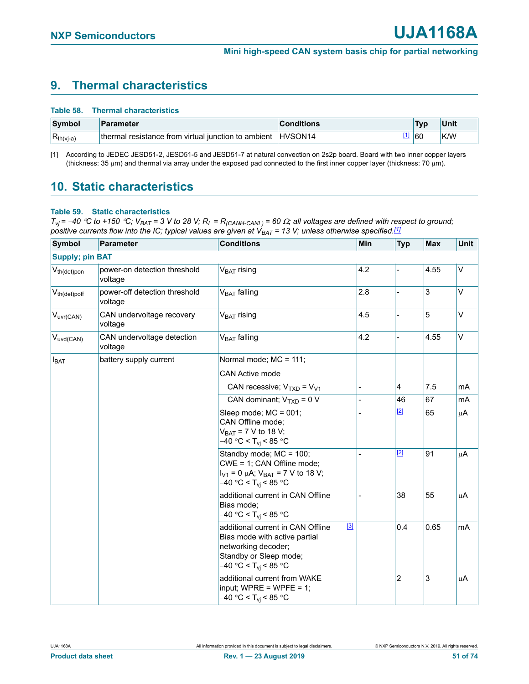# **9. Thermal characteristics**

|                | Table 58. Thermal characteristics                           |                   |     |      |
|----------------|-------------------------------------------------------------|-------------------|-----|------|
| Symbol         | Parameter                                                   | <b>Conditions</b> | Typ | Unit |
| $R_{th(vj-a)}$ | thermal resistance from virtual junction to ambient HVSON14 |                   | 60  | K/W  |

<span id="page-50-1"></span>[1] According to JEDEC JESD51-2, JESD51-5 and JESD51-7 at natural convection on 2s2p board. Board with two inner copper layers (thickness: 35  $\mu$ m) and thermal via array under the exposed pad connected to the first inner copper layer (thickness: 70  $\mu$ m).

# **10. Static characteristics**

### <span id="page-50-0"></span>**Table 59. Static characteristics**

 $T_{Vj}$  = -40 °C to +150 °C;  $V_{BAT}$  = 3 V to 28 V;  $R_L$  =  $R_{(CAMH-CANL)}$  = 60  $\Omega$ ; all voltages are defined with respect to ground; *positive currents flow into the IC; typical values are given at V<sub>BAT</sub> = 13 V; unless otherwise specified.<sup>[1]</sup>* 

| <b>Symbol</b>          | <b>Parameter</b>                                                                                           | <b>Conditions</b>                                                                                                                                         | Min            | <b>Typ</b>     | <b>Max</b> | Unit    |
|------------------------|------------------------------------------------------------------------------------------------------------|-----------------------------------------------------------------------------------------------------------------------------------------------------------|----------------|----------------|------------|---------|
| <b>Supply; pin BAT</b> |                                                                                                            |                                                                                                                                                           |                |                |            |         |
| $V_{th(det)pon}$       | power-on detection threshold<br>voltage                                                                    | $VBAT$ rising                                                                                                                                             | 4.2            |                | 4.55       | V       |
| $V_{th(det)pdf}$       | power-off detection threshold<br>voltage                                                                   | $V_{BAT}$ falling                                                                                                                                         | 2.8            |                | 3          | V       |
| $V_{uvr(CAN)}$         | CAN undervoltage recovery<br>voltage                                                                       | $VBAT$ rising                                                                                                                                             | 4.5            |                | 5          | $\vee$  |
| $V_{uvd(CAN)}$         | CAN undervoltage detection<br>voltage                                                                      | V <sub>BAT</sub> falling                                                                                                                                  | 4.2            |                | 4.55       | V       |
| $I_{BAT}$              | battery supply current                                                                                     | Normal mode; MC = 111;                                                                                                                                    |                |                |            |         |
|                        |                                                                                                            | <b>CAN Active mode</b>                                                                                                                                    |                |                |            |         |
|                        |                                                                                                            | CAN recessive; $V_{TXD} = V_{V1}$                                                                                                                         | $\overline{a}$ | 4              | 7.5        | mA      |
|                        |                                                                                                            | CAN dominant; $V_{TXD} = 0 V$                                                                                                                             |                | 46             | 67         | mA      |
|                        | Sleep mode; MC = 001;<br>CAN Offline mode;<br>$V_{BAT} = 7 V$ to 18 V;<br>–40 °C < T <sub>vi</sub> < 85 °C |                                                                                                                                                           | $[2]$          | 65             | μA         |         |
|                        |                                                                                                            | Standby mode; MC = 100;<br>CWE = 1; CAN Offline mode;<br>$I_{V1} = 0$ µA; $V_{BAT} = 7$ V to 18 V;<br>–40 °C < T <sub>vi</sub> < 85 °C                    |                | $[2]$          | 91         | $\mu$ A |
|                        |                                                                                                            | additional current in CAN Offline<br>Bias mode;<br>$-40 °C < T_{vi} < 85 °C$                                                                              |                | 38             | 55         | μA      |
|                        |                                                                                                            | $[3]$<br>additional current in CAN Offline<br>Bias mode with active partial<br>networking decoder;<br>Standby or Sleep mode;<br>$-40 °C < T_{vi} < 85 °C$ |                | 0.4            | 0.65       | mA      |
|                        |                                                                                                            | additional current from WAKE<br>input; WPRE = WPFE = $1$ ;<br>$-40 °C < T_{vi} < 85 °C$                                                                   |                | $\overline{2}$ | 3          | $\mu$ A |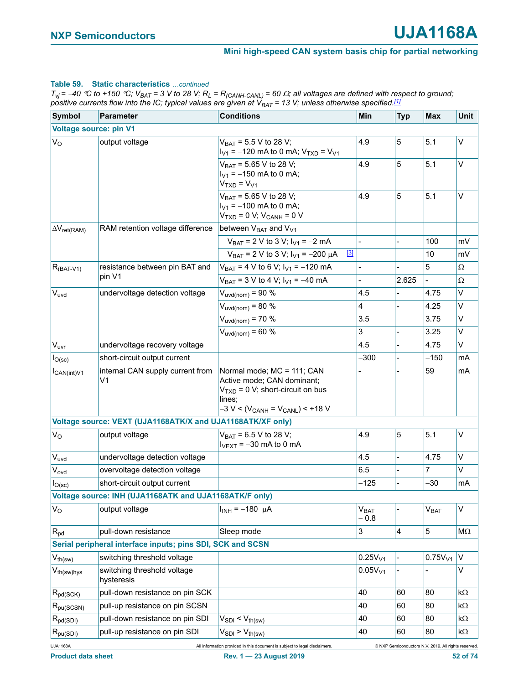# **Table 59. Static characteristics** *…continued*

 $T_{Vj}$  = -40 °C to +150 °C;  $V_{BAT}$  = 3 V to 28 V;  $R_L$  = R<sub>(CANH-CANL)</sub> = 60  $\Omega$ ; all voltages are defined with respect to ground; *positive currents flow into the IC; typical values are given at VBAT = 13 V; unless otherwise specified.[1]*

| <b>Symbol</b>                 | Parameter                                                  | <b>Conditions</b>                                                                                                                                  | Min                              | <b>Typ</b> | <b>Max</b>                                           | Unit      |
|-------------------------------|------------------------------------------------------------|----------------------------------------------------------------------------------------------------------------------------------------------------|----------------------------------|------------|------------------------------------------------------|-----------|
| <b>Voltage source: pin V1</b> |                                                            |                                                                                                                                                    |                                  |            |                                                      |           |
| $V_{\rm O}$                   | output voltage                                             | $V_{BAT} = 5.5 V$ to 28 V;<br>$I_{V1}$ = -120 mA to 0 mA; $V_{TXD}$ = $V_{V1}$                                                                     | 4.9                              | 5          | 5.1                                                  | V         |
|                               |                                                            | $V_{BAT} = 5.65 V$ to 28 V;<br>$I_{V1} = -150$ mA to 0 mA;<br>$VTXD = VV1$                                                                         | 4.9                              | 5          | 5.1                                                  | V         |
|                               |                                                            | $V_{BAT} = 5.65 V$ to 28 V;<br>$I_{V1} = -100$ mA to 0 mA;<br>$VTXD = 0 V; VCANH = 0 V$                                                            | 4.9                              | 5          | 5.1                                                  | V         |
| $\Delta V_{ret(RAM)}$         | RAM retention voltage difference                           | between V <sub>BAT</sub> and V <sub>V1</sub>                                                                                                       |                                  |            |                                                      |           |
|                               |                                                            | $V_{BAT}$ = 2 V to 3 V; $I_{V1}$ = -2 mA                                                                                                           |                                  |            | 100                                                  | mV        |
|                               |                                                            | $^{[3]}$<br>$V_{BAT}$ = 2 V to 3 V; $I_{V1}$ = -200 $\mu$ A                                                                                        |                                  |            | 10                                                   | mV        |
| $R_{(BAT-V1)}$                | resistance between pin BAT and                             | $V_{BAT} = 4 V$ to 6 V; $I_{V1} = -120$ mA                                                                                                         |                                  |            | 5                                                    | Ω         |
|                               | pin V1                                                     | $V_{BAT} = 3 V$ to 4 V; $I_{V1} = -40$ mA                                                                                                          |                                  | 2.625      |                                                      | Ω         |
| $V_{uvd}$                     | undervoltage detection voltage                             | $V_{uvd(nom)} = 90 %$                                                                                                                              | 4.5                              |            | 4.75                                                 | V         |
|                               |                                                            | $V_{uvd(nom)} = 80%$                                                                                                                               | 4                                |            | 4.25                                                 | V         |
|                               |                                                            | $V_{uvd(nom)} = 70 %$                                                                                                                              | 3.5                              |            | 3.75                                                 | V         |
|                               |                                                            | $V_{uvd(nom)} = 60 %$                                                                                                                              | 3                                |            | 3.25                                                 | V         |
| V <sub>uvr</sub>              | undervoltage recovery voltage                              |                                                                                                                                                    | 4.5                              |            | 4.75                                                 | V         |
| I <sub>O</sub> (sc)           | short-circuit output current                               |                                                                                                                                                    | $-300$                           |            | $-150$                                               | mA        |
| $I_{CAN(int)V1}$              | internal CAN supply current from<br>V <sub>1</sub>         | Normal mode; MC = 111; CAN<br>Active mode; CAN dominant;<br>$VTXD = 0 V; short-circuit on bus$<br>lines;<br>$-3 V < (V_{CANH} = V_{CANL}) < +18 V$ |                                  |            | 59                                                   | mA        |
|                               | Voltage source: VEXT (UJA1168ATK/X and UJA1168ATK/XF only) |                                                                                                                                                    |                                  |            |                                                      | V         |
| $V_{\rm O}$                   | output voltage                                             | $V_{BAT} = 6.5 V$ to 28 V;<br>$I_{\text{VEXT}} = -30$ mA to 0 mA                                                                                   | 4.9                              | 5          | 5.1                                                  |           |
| $V_{uvd}$                     | undervoltage detection voltage                             |                                                                                                                                                    | 4.5                              |            | 4.75                                                 | V         |
| Vovd                          | overvoltage detection voltage                              |                                                                                                                                                    | 6.5                              |            | 7                                                    | $\vee$    |
| $I_{O(\mathrm{sc})}$          | short-circuit output current                               |                                                                                                                                                    | $-125$                           |            | $-30$                                                | mA        |
|                               | Voltage source: INH (UJA1168ATK and UJA1168ATK/F only)     |                                                                                                                                                    |                                  |            |                                                      |           |
| $V_{\rm O}$                   | output voltage                                             | $I_{INH} = -180 \mu A$                                                                                                                             | <b>V<sub>BAT</sub></b><br>$-0.8$ |            | V <sub>BAT</sub>                                     | V         |
| $R_{pd}$                      | pull-down resistance                                       | Sleep mode                                                                                                                                         | 3                                | $\vert 4$  | 5                                                    | $M\Omega$ |
|                               | Serial peripheral interface inputs; pins SDI, SCK and SCSN |                                                                                                                                                    |                                  |            |                                                      |           |
| $V_{th(sw)}$                  | switching threshold voltage                                |                                                                                                                                                    | 0.25V <sub>V1</sub>              |            | 0.75V <sub>V1</sub>                                  | $\vee$    |
| V <sub>th(sw)hys</sub>        | switching threshold voltage<br>hysteresis                  |                                                                                                                                                    | 0.05V <sub>V1</sub>              |            |                                                      | V         |
| $R_{pd(SCK)}$                 | pull-down resistance on pin SCK                            |                                                                                                                                                    | 40                               | 60         | 80                                                   | $k\Omega$ |
| $R_{pu(SCSN)}$                | pull-up resistance on pin SCSN                             |                                                                                                                                                    | 40                               | 60         | 80                                                   | kΩ        |
| $R_{pd(SDI)}$                 | pull-down resistance on pin SDI                            | $V_{SDI}$ < $V_{th(sw)}$                                                                                                                           | 40                               | 60         | 80                                                   | kΩ        |
| $R_{pu(SDI)}$                 | pull-up resistance on pin SDI                              | $V_{SDI}$ > $V_{th(sw)}$                                                                                                                           | 40                               | 60         | 80                                                   | kΩ        |
| <b>UJA1168A</b>               |                                                            | All information provided in this document is subject to legal disclaimers                                                                          |                                  |            | C NXP Semiconductors N.V. 2019. All rights reserved. |           |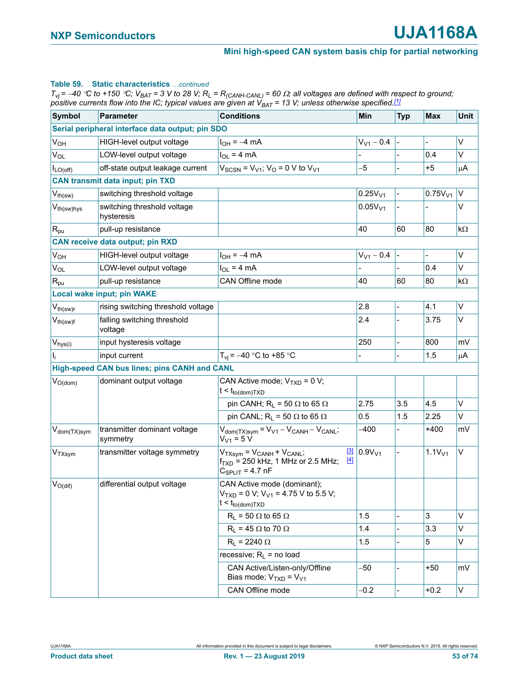#### **Table 59. Static characteristics** *…continued*

 $T_{Vj}$  = -40 °C to +150 °C;  $V_{BAT}$  = 3 V to 28 V;  $R_L$  = R<sub>(CANH-CANL)</sub> = 60  $\Omega$ ; all voltages are defined with respect to ground; *positive currents flow into the IC; typical values are given at VBAT = 13 V; unless otherwise specified.[1]*

| <b>Symbol</b>            | <b>Parameter</b>                                 | <b>Conditions</b>                                                                                                           | Min                 | <b>Typ</b> | <b>Max</b>          | Unit      |
|--------------------------|--------------------------------------------------|-----------------------------------------------------------------------------------------------------------------------------|---------------------|------------|---------------------|-----------|
|                          | Serial peripheral interface data output; pin SDO |                                                                                                                             |                     |            |                     |           |
| V <sub>OH</sub>          | HIGH-level output voltage                        | $I_{OH} = -4$ mA                                                                                                            | $V_{V1} - 0.4$      |            | -                   | V         |
| $V_{OL}$                 | LOW-level output voltage                         | $I_{OL}$ = 4 mA                                                                                                             |                     |            | 0.4                 | V         |
| $I_{LO(off)}$            | off-state output leakage current                 | $V_{SCSN}$ = $V_{V1}$ ; $V_{O}$ = 0 V to $V_{V1}$                                                                           | -5                  |            | $+5$                | μA        |
|                          | <b>CAN transmit data input; pin TXD</b>          |                                                                                                                             |                     |            |                     |           |
| $V_{th(sw)}$             | switching threshold voltage                      |                                                                                                                             | 0.25V <sub>V1</sub> |            | 0.75V <sub>V1</sub> | V         |
| V <sub>th(sw)hys</sub>   | switching threshold voltage<br>hysteresis        |                                                                                                                             | 0.05V <sub>V1</sub> |            |                     | V         |
| $R_{\text{pu}}$          | pull-up resistance                               |                                                                                                                             | 40                  | 60         | 80                  | $k\Omega$ |
|                          | <b>CAN receive data output; pin RXD</b>          |                                                                                                                             |                     |            |                     |           |
| <b>V<sub>OH</sub></b>    | HIGH-level output voltage                        | $I_{OH} = -4$ mA                                                                                                            | $V_{V1} - 0.4$      |            | $\frac{1}{2}$       | V         |
| $V_{OL}$                 | LOW-level output voltage                         | $I_{OL} = 4 mA$                                                                                                             |                     |            | 0.4                 | V         |
| $R_{\text{pu}}$          | pull-up resistance                               | <b>CAN Offline mode</b>                                                                                                     | 40                  | 60         | 80                  | $k\Omega$ |
|                          | Local wake input; pin WAKE                       |                                                                                                                             |                     |            |                     |           |
| $V_{th(sw)r}$            | rising switching threshold voltage               |                                                                                                                             | 2.8                 |            | 4.1                 | V         |
| $V_{th(sw)f}$            | falling switching threshold<br>voltage           |                                                                                                                             | 2.4                 |            | 3.75                | V         |
| $V_{hys(i)}$             | input hysteresis voltage                         |                                                                                                                             | 250                 |            | 800                 | mV        |
| $I_{i}$                  | input current                                    | $T_{vi}$ = -40 °C to +85 °C                                                                                                 |                     |            | 1.5                 | $\mu$ A   |
|                          | High-speed CAN bus lines; pins CANH and CANL     |                                                                                                                             |                     |            |                     |           |
| $V_{O(dom)}$             | dominant output voltage                          | CAN Active mode; $V_{TXD} = 0 V$ ;<br>$t < t_{to (dom)TXD}$                                                                 |                     |            |                     |           |
|                          |                                                  | pin CANH; $R_L$ = 50 $\Omega$ to 65 $\Omega$                                                                                | 2.75                | 3.5        | 4.5                 | V         |
|                          |                                                  | pin CANL; $R_L$ = 50 $\Omega$ to 65 $\Omega$                                                                                | 0.5                 | 1.5        | 2.25                | Λ         |
| V <sub>dom</sub> (TX)sym | transmitter dominant voltage<br>symmetry         | $V_{\text{dom(TX)sym}} = V_{V1} - V_{\text{CANH}} - V_{\text{CANL}};$<br>$V_{V1} = 5 V$                                     | $-400$              |            | $+400$              | mV        |
| V <sub>TXsym</sub>       | transmitter voltage symmetry                     | $\boxed{3}$<br>$V_{TXsvm} = V_{CANH} + V_{CANL}$<br>$[4]$<br>$f_{TXD}$ = 250 kHz, 1 MHz or 2.5 MHz;<br>$C_{SPLIT}$ = 4.7 nF | 0.9V <sub>V1</sub>  |            | 1.1V <sub>V1</sub>  | V         |
| $V_{O(di)}$              | differential output voltage                      | CAN Active mode (dominant);<br>$V_{TXD} = 0 V$ ; $V_{V1} = 4.75 V$ to 5.5 V;<br>$t < t_{to (dom)TXD}$                       |                     |            |                     |           |
|                          |                                                  | $R_L$ = 50 $\Omega$ to 65 $\Omega$                                                                                          | 1.5                 |            | 3                   | V         |
|                          |                                                  | $R_L$ = 45 $\Omega$ to 70 $\Omega$                                                                                          | 1.4                 |            | 3.3                 | V         |
|                          |                                                  | $R_L$ = 2240 $\Omega$                                                                                                       | 1.5                 |            | 5                   | V         |
|                          |                                                  | recessive; $R_L$ = no load                                                                                                  |                     |            |                     |           |
|                          |                                                  | CAN Active/Listen-only/Offline<br>Bias mode; $V_{TXD} = V_{V1}$                                                             | -50                 |            | $+50$               | mV        |
|                          |                                                  | CAN Offline mode                                                                                                            | $-0.2$              |            | $+0.2$              | V         |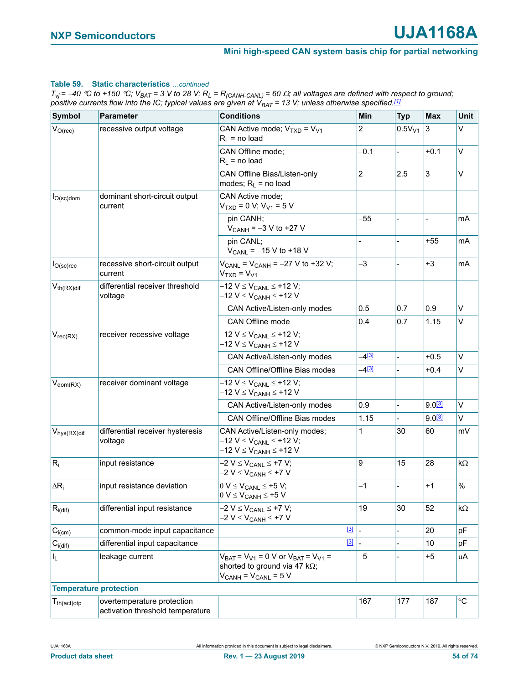### **Table 59. Static characteristics** *…continued*

 $T_{Vj}$  = -40 °C to +150 °C;  $V_{BAT}$  = 3 V to 28 V;  $R_L$  = R<sub>(CANH-CANL)</sub> = 60  $\Omega$ ; all voltages are defined with respect to ground; *positive currents flow into the IC; typical values are given at VBAT = 13 V; unless otherwise specified.[1]*

| Symbol                     | <b>Parameter</b>                                               | <b>Conditions</b>                                                                                                            | Min            | <b>Typ</b>  | <b>Max</b>      | <b>Unit</b>       |
|----------------------------|----------------------------------------------------------------|------------------------------------------------------------------------------------------------------------------------------|----------------|-------------|-----------------|-------------------|
| $ V_{O(\text{rec})} $      | recessive output voltage                                       | CAN Active mode; $VTXD = VV1$<br>$R_L$ = no load                                                                             | $\overline{2}$ | $0.5V_{V1}$ | $\vert 3 \vert$ | Λ                 |
|                            |                                                                | CAN Offline mode;<br>$R_L$ = no load                                                                                         | $-0.1$         |             | $+0.1$          | V                 |
|                            |                                                                | CAN Offline Bias/Listen-only<br>modes; $R_L$ = no load                                                                       | 2              | 2.5         | 3               | V                 |
| $I_{O(\rm sc)$ dom         | dominant short-circuit output<br>current                       | CAN Active mode:<br>$VTXD = 0 V; VV1 = 5 V$                                                                                  |                |             |                 |                   |
|                            |                                                                | pin CANH;<br>$V_{CANH} = -3 V$ to +27 V                                                                                      | $-55$          |             |                 | mA                |
|                            |                                                                | pin CANL;<br>$V_{CANL}$ = -15 V to +18 V                                                                                     |                |             | +55             | mA                |
| $I_{O({\rm sc}){\rm rec}}$ | recessive short-circuit output<br>current                      | $V_{CANL}$ = $V_{CANH}$ = -27 V to +32 V;<br>$VTXD = VV1$                                                                    | $-3$           |             | $+3$            | mA                |
| $V_{th(RX)dif}$            | differential receiver threshold<br>voltage                     | –12 V ≤ V <sub>CANL</sub> ≤ +12 V;<br>–12 V ≤ V <sub>CANH</sub> ≤ +12 V                                                      |                |             |                 |                   |
|                            |                                                                | CAN Active/Listen-only modes                                                                                                 | 0.5            | 0.7         | 0.9             | V                 |
|                            |                                                                | CAN Offline mode                                                                                                             | 0.4            | 0.7         | 1.15            | V                 |
| $V_{rec(RX)}$              | receiver recessive voltage                                     | $-12$ V $\leq$ V <sub>CANL</sub> $\leq$ +12 V;<br>–12 V ≤ V <sub>CANH</sub> ≤ +12 V                                          |                |             |                 |                   |
|                            |                                                                | CAN Active/Listen-only modes                                                                                                 | $-4^{[3]}$     |             | $+0.5$          | Λ                 |
|                            |                                                                | CAN Offline/Offline Bias modes                                                                                               | $-4^{[3]}$     |             | $+0.4$          | Λ                 |
| $ V_{\text{dom}(RX)} $     | receiver dominant voltage                                      | –12 V ≤ V <sub>CANL</sub> ≤ +12 V;<br>–12 V ≤ V <sub>CANH</sub> ≤ +12 V                                                      |                |             |                 |                   |
|                            |                                                                | CAN Active/Listen-only modes                                                                                                 | 0.9            |             | $9.0^{[3]}$     | V                 |
|                            |                                                                | CAN Offline/Offline Bias modes                                                                                               | 1.15           |             | $9.0^{[3]}$     | V                 |
| $V_{\text{hys}(RX)$ dif    | differential receiver hysteresis<br>voltage                    | CAN Active/Listen-only modes;<br>$-12$ V ≤ V <sub>CANL</sub> ≤ +12 V;<br>–12 V ≤ V <sub>CANH</sub> ≤ +12 V                   | 1              | 30          | 60              | mV                |
| $R_i$                      | input resistance                                               | $-2 V \leq V_{CANL} \leq +7 V;$<br>$-2 V \leq V_{CANH} \leq +7 V$                                                            | 9              | 15          | 28              | $k\Omega$         |
| $\Delta R_i$               | input resistance deviation                                     | $0 V \leq V_{CANL} \leq +5 V;$<br>$0 V \leq V_{CANH} \leq +5 V$                                                              | $-1$           |             | +1              | $\%$              |
| $R_{i(di)}$                | differential input resistance                                  | $-2 V \leq V_{CANL} \leq +7 V;$<br>$-2$ V $\leq$ V <sub>CANH</sub> $\leq$ +7 V                                               | 19             | 30          | 52              | $k\Omega$         |
| $C_{i(cm)}$                | common-mode input capacitance                                  | $[3]$                                                                                                                        | $\blacksquare$ |             | 20              | pF                |
| $C_{i(dif)}$               | differential input capacitance                                 | $\boxed{3}$                                                                                                                  |                |             | 10              | pF                |
| IL.                        | leakage current                                                | $V_{BAT}$ = $V_{V1}$ = 0 V or $V_{BAT}$ = $V_{V1}$ =<br>shorted to ground via 47 k $\Omega$ ;<br>$V_{CANH} = V_{CANL} = 5 V$ | $-5$           |             | $+5$            | μA                |
|                            | <b>Temperature protection</b>                                  |                                                                                                                              |                |             |                 |                   |
| $T_{th (act)otp}$          | overtemperature protection<br>activation threshold temperature |                                                                                                                              | 167            | 177         | 187             | $^\circ \text{C}$ |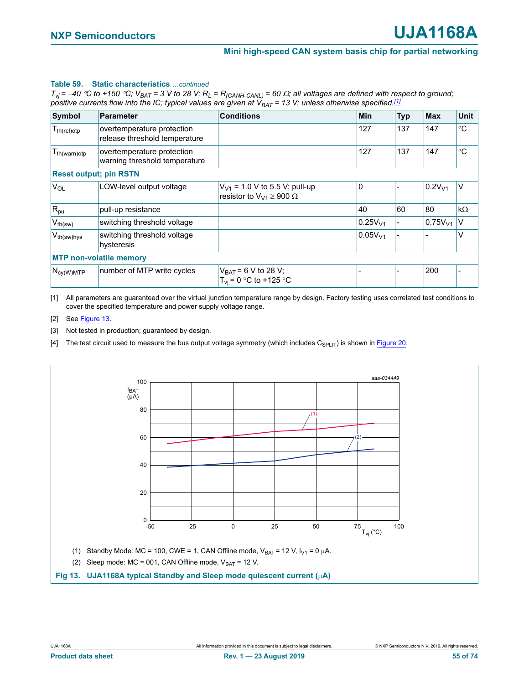#### **Table 59. Static characteristics** continued

 $T_{vj}$  = -40 °C to +150 °C;  $V_{BAT}$  = 3 V to 28 V;  $R_L$  =  $R_{(CANH-CANL)}$  = 60  $\Omega$ ; all voltages are defined with respect to ground; *positive currents flow into the IC; typical values are given at*  $V_{BAT}$  *= 13 V; unless otherwise specified.[1]* 

| <b>Symbol</b>          | <b>Parameter</b>                                            | <b>Conditions</b>                                                         | <b>Min</b>          | <b>Typ</b> | <b>Max</b>          | Unit      |
|------------------------|-------------------------------------------------------------|---------------------------------------------------------------------------|---------------------|------------|---------------------|-----------|
| $T_{th (rel)otp}$      | overtemperature protection<br>release threshold temperature |                                                                           | 127                 | 137        | 147                 | °C        |
| $T_{th(warn)otp}$      | overtemperature protection<br>warning threshold temperature |                                                                           | 127                 | 137        | 147                 | °C        |
|                        | <b>Reset output; pin RSTN</b>                               |                                                                           |                     |            |                     |           |
| <b>V<sub>OL</sub></b>  | LOW-level output voltage                                    | $V_{V1}$ = 1.0 V to 5.5 V; pull-up<br>resistor to $V_{V1} \ge 900 \Omega$ | $\mathbf 0$         |            | 0.2V <sub>V1</sub>  | V         |
| $R_{pu}$               | pull-up resistance                                          |                                                                           | 40                  | 60         | 80                  | $k\Omega$ |
| $V_{th(sw)}$           | switching threshold voltage                                 |                                                                           | 0.25V <sub>V1</sub> |            | 0.75V <sub>V1</sub> | V         |
| V <sub>th(sw)hys</sub> | switching threshold voltage<br>hysteresis                   |                                                                           | 0.05V <sub>V1</sub> |            |                     | v         |
|                        | <b>MTP non-volatile memory</b>                              |                                                                           |                     |            |                     |           |
| $N_{cy(W)MTP}$         | number of MTP write cycles                                  | $V_{BAT} = 6 V$ to 28 V;<br>$T_{vi}$ = 0 °C to +125 °C                    |                     |            | 200                 |           |

<span id="page-54-1"></span>[1] All parameters are guaranteed over the virtual junction temperature range by design. Factory testing uses correlated test conditions to cover the specified temperature and power supply voltage range.

#### <span id="page-54-2"></span>[2] See [Figure 13.](#page-54-4)

<span id="page-54-0"></span>[3] Not tested in production; guaranteed by design.

<span id="page-54-3"></span>[4] The test circuit used to measure the bus output voltage symmetry (which includes  $C_{SPLIT}$ ) is shown in [Figure 20.](#page-62-0)

<span id="page-54-4"></span>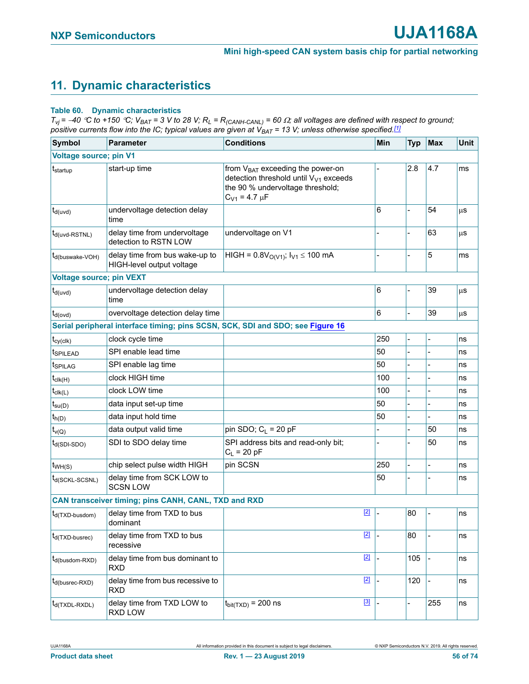# **11. Dynamic characteristics**

#### **Table 60. Dynamic characteristics**

 $T_{Vj}$  = -40 °C to +150 °C;  $V_{BAT}$  = 3 V to 28 V;  $R_L$  =  $R_{(CANH-CAML)}$  = 60  $\Omega$ ; all voltages are defined with respect to ground; *positive currents flow into the IC; typical values are given at VBAT = 13 V; unless otherwise specified[.\[1\]](#page-57-0)*

| <b>Symbol</b>                   | <b>Parameter</b>                                            | <b>Conditions</b>                                                                                                                                      | Min            | <b>Typ</b> | Max            | <b>Unit</b> |
|---------------------------------|-------------------------------------------------------------|--------------------------------------------------------------------------------------------------------------------------------------------------------|----------------|------------|----------------|-------------|
| <b>Voltage source; pin V1</b>   |                                                             |                                                                                                                                                        |                |            |                |             |
| t <sub>startup</sub>            | start-up time                                               | from $V_{BAT}$ exceeding the power-on<br>detection threshold until V <sub>V1</sub> exceeds<br>the 90 % undervoltage threshold;<br>$C_{V1} = 4.7 \mu F$ |                | 2.8        | 4.7            | ms          |
| $t_{d(uvd)}$                    | undervoltage detection delay<br>time                        |                                                                                                                                                        | 6              |            | 54             | μS          |
| $t_{d(uvd-RSTNL)}$              | delay time from undervoltage<br>detection to RSTN LOW       | undervoltage on V1                                                                                                                                     |                |            | 63             | μS          |
| t <sub>d</sub> (buswake-VOH)    | delay time from bus wake-up to<br>HIGH-level output voltage | HIGH = $0.8V_{O(V1)}$ ; $I_{V1} \le 100$ mA                                                                                                            |                |            | 5              | ms          |
| <b>Voltage source; pin VEXT</b> |                                                             |                                                                                                                                                        |                |            |                |             |
| $t_{d(uvd)}$                    | undervoltage detection delay<br>time                        |                                                                                                                                                        | 6              |            | 39             | μS          |
| $t_{d(ovd)}$                    | overvoltage detection delay time                            |                                                                                                                                                        | 6              |            | 39             | μS          |
|                                 |                                                             | Serial peripheral interface timing; pins SCSN, SCK, SDI and SDO; see Figure 16                                                                         |                |            |                |             |
| $t_{cy(clk)}$                   | clock cycle time                                            |                                                                                                                                                        | 250            |            |                | ns          |
| <b>ISPILEAD</b>                 | SPI enable lead time                                        |                                                                                                                                                        | 50             |            |                | ns          |
| <b>t</b> spilag                 | SPI enable lag time                                         |                                                                                                                                                        | 50             |            |                | ns          |
| $t_{\text{clk}(H)}$             | clock HIGH time                                             |                                                                                                                                                        | 100            |            |                | ns          |
| $t_{\text{clk}(L)}$             | clock LOW time                                              |                                                                                                                                                        | 100            |            |                | ns          |
| $t_{\text{su}(D)}$              | data input set-up time                                      |                                                                                                                                                        | 50             |            |                | ns          |
| $t_{h(D)}$                      | data input hold time                                        |                                                                                                                                                        | 50             |            |                | ns          |
| $t_{V(Q)}$                      | data output valid time                                      | pin SDO; $C_L$ = 20 pF                                                                                                                                 |                |            | 50             | ns          |
| $t_{d(SDI-SDO)}$                | SDI to SDO delay time                                       | SPI address bits and read-only bit;<br>$C_L = 20 pF$                                                                                                   | $\overline{a}$ |            | 50             | ns          |
| $t_{WH(S)}$                     | chip select pulse width HIGH                                | pin SCSN                                                                                                                                               | 250            |            | $\overline{a}$ | ns          |
| t <sub>d(SCKL-SCSNL)</sub>      | delay time from SCK LOW to<br><b>SCSN LOW</b>               |                                                                                                                                                        | 50             |            |                | ns          |
|                                 | CAN transceiver timing; pins CANH, CANL, TXD and RXD        |                                                                                                                                                        |                |            |                |             |
| t <sub>d</sub> (TXD-busdom)     | delay time from TXD to bus<br>dominant                      | $[2]$                                                                                                                                                  |                | 80         |                | ns          |
| $t_{d(TXD-busrec)}$             | delay time from TXD to bus<br>recessive                     | $[2]$                                                                                                                                                  |                | 80         |                | ns          |
| t <sub>d</sub> (busdom-RXD)     | delay time from bus dominant to<br><b>RXD</b>               | $[2]$                                                                                                                                                  |                | 105        |                | ns          |
| t <sub>d(busrec-RXD)</sub>      | delay time from bus recessive to<br><b>RXD</b>              | $[2]$                                                                                                                                                  |                | 120        |                | ns          |
| $t_{d(TXDL-RXDL)}$              | delay time from TXD LOW to<br>RXD LOW                       | $[3]$<br>$t_{\text{bit(TXD)}}$ = 200 ns                                                                                                                |                |            | 255            | ns          |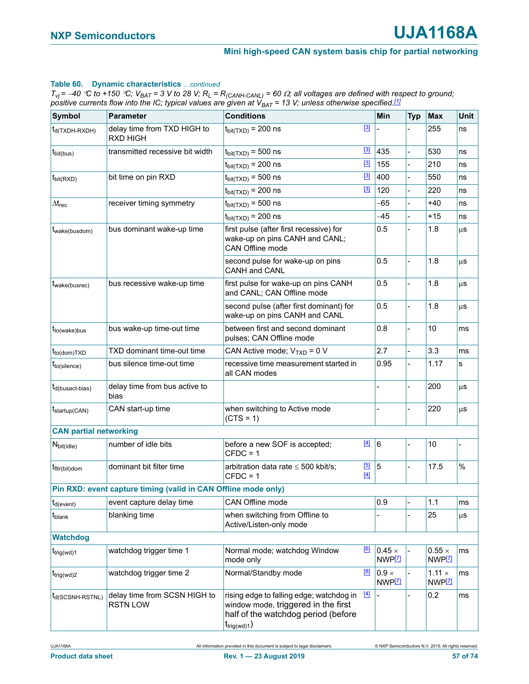#### **Table 60. Dynamic characteristics** *…continued*

 $T_{Vj}$  = -40 °C to +150 °C;  $V_{BAT}$  = 3 V to 28 V;  $R_L$  =  $R_{(CANH-CAML)}$  = 60  $\Omega$ ; all voltages are defined with respect to ground; *positive currents flow into the IC; typical values are given at VBAT = 13 V; unless otherwise specified.[1]*

| Symbol                        | <b>Parameter</b>                                               | <b>Conditions</b>                                                                                                                                 |              | Min                                  | <b>Typ</b> | <b>Max</b>                                | <b>Unit</b> |
|-------------------------------|----------------------------------------------------------------|---------------------------------------------------------------------------------------------------------------------------------------------------|--------------|--------------------------------------|------------|-------------------------------------------|-------------|
| $t_{d(TXDH-RXDH)}$            | delay time from TXD HIGH to<br><b>RXD HIGH</b>                 | $t_{\text{bit(TXD)}}$ = 200 ns                                                                                                                    | [3]          |                                      |            | 255                                       | ns          |
| $t_{\text{bit(bus)}}$         | transmitted recessive bit width                                | $t_{\text{bit(TXD)}}$ = 500 ns                                                                                                                    | $[3]$        | 435                                  |            | 530                                       | ns          |
|                               |                                                                | $t_{\text{bit(TXD)}}$ = 200 ns                                                                                                                    | $[3]$        | 155                                  |            | 210                                       | ns          |
| $t_{\text{bit(RXD)}}$         | bit time on pin RXD                                            | $t_{\text{bit(TXD)}}$ = 500 ns                                                                                                                    | $[3]$        | 400                                  |            | 550                                       | ns          |
|                               |                                                                | $t_{\text{bit(TXD)}}$ = 200 ns                                                                                                                    | $[3]$        | 120                                  |            | 220                                       | ns          |
| $\Delta t_{rec}$              | receiver timing symmetry                                       | $t_{\text{bit(TXD)}}$ = 500 ns                                                                                                                    |              | -65                                  |            | $+40$                                     | ns          |
|                               |                                                                | $t_{\text{bit(TXD)}}$ = 200 ns                                                                                                                    |              | $-45$                                |            | $+15$                                     | ns          |
| t <sub>wake</sub> (busdom)    | bus dominant wake-up time                                      | first pulse (after first recessive) for<br>wake-up on pins CANH and CANL;<br>CAN Offline mode                                                     |              | 0.5                                  |            | 1.8                                       | $\mu$ s     |
|                               |                                                                | second pulse for wake-up on pins<br>CANH and CANL                                                                                                 |              | 0.5                                  |            | 1.8                                       | μs          |
| t <sub>wake(busrec)</sub>     | bus recessive wake-up time                                     | first pulse for wake-up on pins CANH<br>and CANL; CAN Offline mode                                                                                |              | 0.5                                  |            | 1.8                                       | μS          |
|                               |                                                                | second pulse (after first dominant) for<br>wake-up on pins CANH and CANL                                                                          |              | 0.5                                  |            | 1.8                                       | μS          |
| $t_{to(wake)bus}$             | bus wake-up time-out time                                      | between first and second dominant<br>pulses; CAN Offline mode                                                                                     |              | 0.8                                  |            | 10                                        | ms          |
| t <sub>to(dom)TXD</sub>       | TXD dominant time-out time                                     | CAN Active mode; $V_{TXD} = 0 V$                                                                                                                  |              | 2.7                                  |            | 3.3                                       | ms          |
| $t_{to(silence)}$             | bus silence time-out time                                      | recessive time measurement started in<br>all CAN modes                                                                                            |              | 0.95                                 |            | 1.17                                      | s           |
| $t_{d(busact-bias)}$          | delay time from bus active to<br>bias                          |                                                                                                                                                   |              |                                      |            | 200                                       | μS          |
| $t_{startup(CAN)}$            | CAN start-up time                                              | when switching to Active mode<br>$(CTS = 1)$                                                                                                      |              |                                      |            | 220                                       | μS          |
| <b>CAN partial networking</b> |                                                                |                                                                                                                                                   |              |                                      |            |                                           |             |
| $N_{bit(idle)}$               | number of idle bits                                            | before a new SOF is accepted;<br>$CFDC = 1$                                                                                                       | $[4]$        | $\overline{6}$                       |            | 10                                        |             |
| t <sub>fltr</sub> (bit)dom    | dominant bit filter time                                       | arbitration data rate $\leq 500$ kbit/s;<br>$CFDC = 1$                                                                                            | [5]<br>$[4]$ | 5                                    |            | 17.5                                      | %           |
|                               | Pin RXD: event capture timing (valid in CAN Offline mode only) |                                                                                                                                                   |              |                                      |            |                                           |             |
| $t_{d(event)}$                | event capture delay time                                       | CAN Offline mode                                                                                                                                  |              | 0.9                                  |            | 1.1                                       | ms          |
| t <sub>blank</sub>            | blanking time                                                  | when switching from Offline to<br>Active/Listen-only mode                                                                                         |              |                                      |            | 25                                        | μS          |
| <b>Watchdog</b>               |                                                                |                                                                                                                                                   |              |                                      |            |                                           |             |
| $t_{\text{trig(wd)}1}$        | watchdog trigger time 1                                        | Normal mode; watchdog Window<br>mode only                                                                                                         | [6]          | $0.45 \times$<br>NWP <sup>[7]</sup>  |            | $0.55 \times$<br>NWP <sup>[7]</sup>       | ms          |
| $t_{\text{trig(wd)}2}$        | watchdog trigger time 2                                        | Normal/Standby mode                                                                                                                               | [8]          | $0.9 \times$<br>$NWP$ <sup>[7]</sup> |            | $1.11 \times$<br><b>NWP<sup>[7]</sup></b> | ms          |
| t <sub>d</sub> (SCSNH-RSTNL)  | delay time from SCSN HIGH to<br><b>RSTN LOW</b>                | rising edge to falling edge; watchdog in<br>window mode, triggered in the first<br>half of the watchdog period (before<br>$t_{\text{trig(wd)}1})$ | $[4]$        |                                      |            | 0.2                                       | ms          |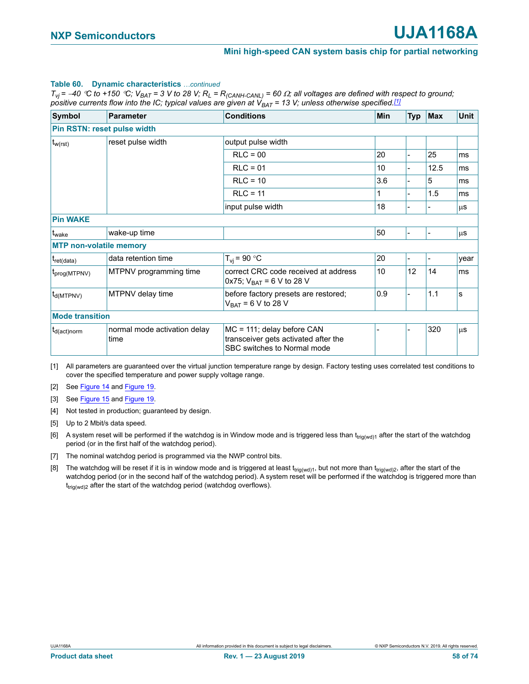#### **Table 60. Dynamic characteristics** *…continued*

 $T_{vj}$  = -40 °C to +150 °C;  $V_{BAT}$  = 3 V to 28 V;  $R_L$  =  $R_{(CANH-CANL)}$  = 60  $\Omega$ ; all voltages are defined with respect to ground; *positive currents flow into the IC; typical values are given at*  $V_{BAT}$  *= 13 V; unless otherwise specified.[1]* 

| <b>Symbol</b>                     | <b>Parameter</b>             | <b>Conditions</b>                                                     | Min | <b>Typ</b> | <b>Max</b>               | <b>Unit</b> |
|-----------------------------------|------------------------------|-----------------------------------------------------------------------|-----|------------|--------------------------|-------------|
|                                   | Pin RSTN: reset pulse width  |                                                                       |     |            |                          |             |
| $t_{w(rst)}$                      | reset pulse width            | output pulse width                                                    |     |            |                          |             |
|                                   |                              | $RLC = 00$                                                            | 20  |            | 25                       | ms          |
|                                   |                              | $RLC = 01$                                                            | 10  |            | 12.5                     | ms          |
|                                   |                              | $RLC = 10$                                                            | 3.6 |            | 5                        | ms          |
|                                   |                              | $RLC = 11$                                                            |     |            | 1.5                      | ms          |
|                                   |                              | input pulse width                                                     | 18  |            |                          | μS          |
| <b>Pin WAKE</b>                   |                              |                                                                       |     |            |                          |             |
| t <sub>wake</sub>                 | wake-up time                 |                                                                       | 50  |            | $\overline{\phantom{0}}$ | μS          |
| <b>MTP non-volatile memory</b>    |                              |                                                                       |     |            |                          |             |
| $ t_{\text{ret(data)}} $          | data retention time          | $T_{vi}$ = 90 °C                                                      | 20  |            | $\blacksquare$           | year        |
| $t_{\text{prog(MTPNV)}}$          | MTPNV programming time       | correct CRC code received at address<br>0x75; $V_{BAT} = 6 V$ to 28 V | 10  | 12         | 14                       | ms          |
| $t_{d(MTPNV)}$                    | MTPNV delay time             | before factory presets are restored;<br>$V_{BAT} = 6 V$ to 28 V       | 0.9 |            | 1.1                      | s           |
| <b>Mode transition</b>            |                              |                                                                       |     |            |                          |             |
| $ t_{d(\text{act}) \text{norm}} $ | normal mode activation delay | MC = 111; delay before CAN                                            |     |            | 320                      | $\mu$ s     |
|                                   | time                         | transceiver gets activated after the<br>SBC switches to Normal mode   |     |            |                          |             |

<span id="page-57-0"></span>[1] All parameters are guaranteed over the virtual junction temperature range by design. Factory testing uses correlated test conditions to cover the specified temperature and power supply voltage range.

<span id="page-57-1"></span>[2] See [Figure 14](#page-58-0) and [Figure 19](#page-62-1).

<span id="page-57-2"></span>[3] See [Figure 15](#page-58-1) and [Figure 19](#page-62-1).

<span id="page-57-7"></span>[4] Not tested in production; guaranteed by design.

<span id="page-57-3"></span>[5] Up to 2 Mbit/s data speed.

- <span id="page-57-4"></span>[6] A system reset will be performed if the watchdog is in Window mode and is triggered less than  $t_{\text{tri}(wd)1}$  after the start of the watchdog period (or in the first half of the watchdog period).
- <span id="page-57-5"></span>[7] The nominal watchdog period is programmed via the NWP control bits.
- <span id="page-57-6"></span>[8] The watchdog will be reset if it is in window mode and is triggered at least t<sub>trig(wd)1</sub>, but not more than t<sub>trig(wd)2</sub>, after the start of the watchdog period (or in the second half of the watchdog period). A system reset will be performed if the watchdog is triggered more than  $t_{trig(wd)2}$  after the start of the watchdog period (watchdog overflows).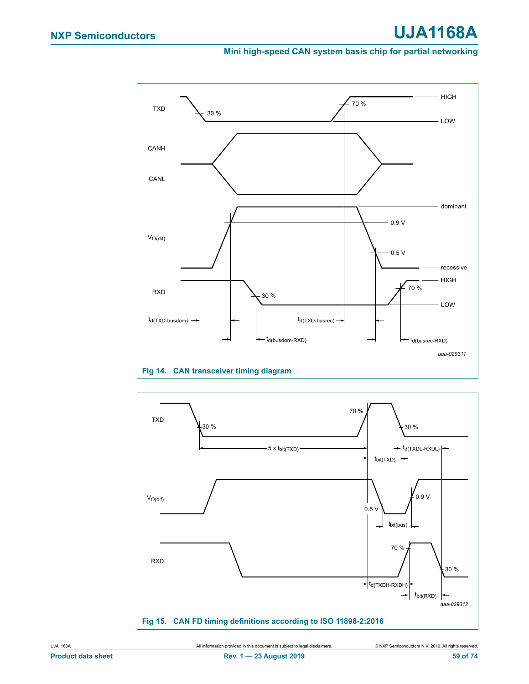# **NXP Semiconductors UJA1168A**

# **Mini high-speed CAN system basis chip for partial networking**



<span id="page-58-0"></span>

<span id="page-58-1"></span>UJA1168A All information provided in this document is subject to legal disclaimers. © NXP Semiconductors N.V. 2019. All rights reserved.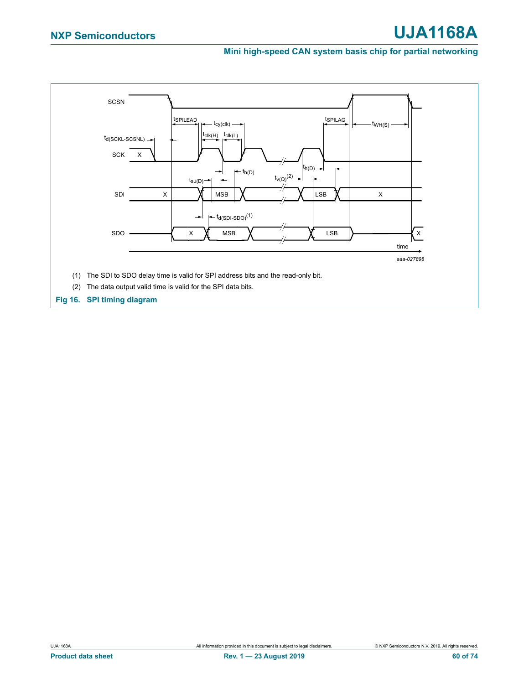<span id="page-59-0"></span>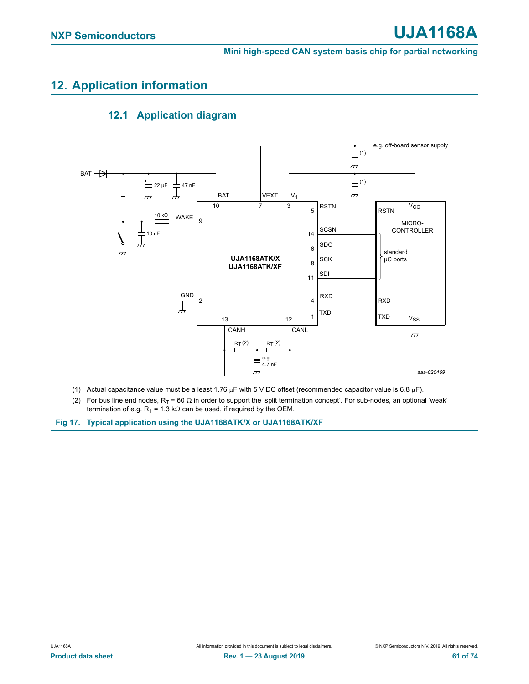# **12. Application information**



# **12.1 Application diagram**

<span id="page-60-0"></span>**Fig 17. Typical application using the UJA1168ATK/X or UJA1168ATK/XF**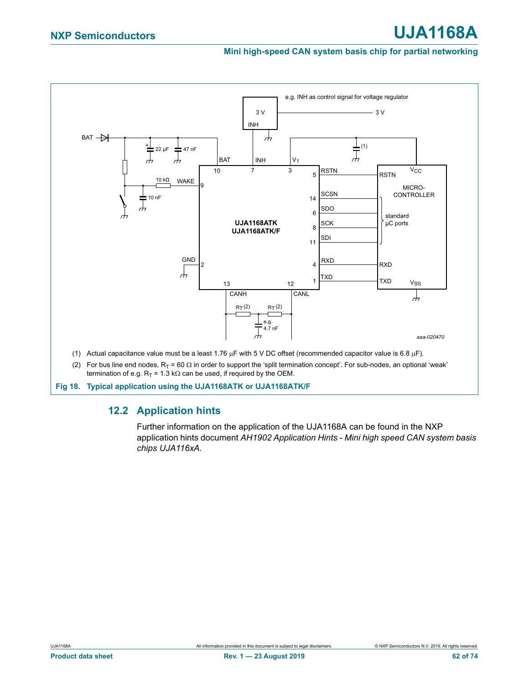

(2) For bus line end nodes,  $R_T = 60 \Omega$  in order to support the 'split termination concept'. For sub-nodes, an optional 'weak' termination of e.g.  $R_T = 1.3$  k $\Omega$  can be used, if required by the OEM.

**Fig 18. Typical application using the UJA1168ATK or UJA1168ATK/F**

# **12.2 Application hints**

Further information on the application of the UJA1168A can be found in the NXP application hints document *AH1902 Application Hints - Mini high speed CAN system basis chips UJA116xA.*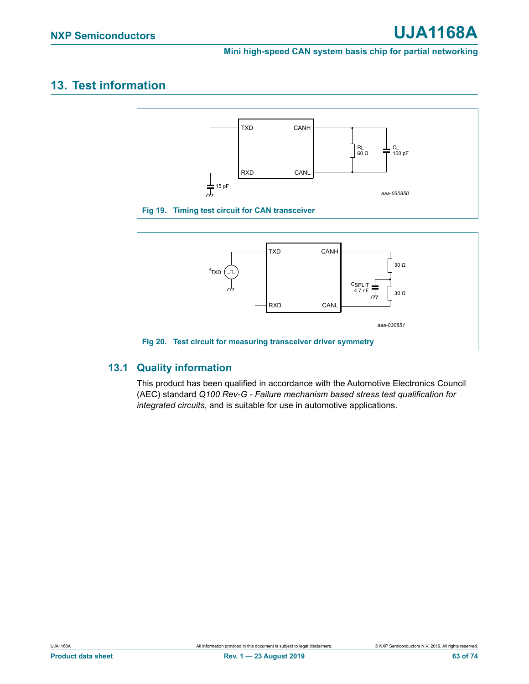# **13. Test information**



<span id="page-62-1"></span>

# <span id="page-62-0"></span>**13.1 Quality information**

This product has been qualified in accordance with the Automotive Electronics Council (AEC) standard *Q100 Rev-G - Failure mechanism based stress test qualification for integrated circuits*, and is suitable for use in automotive applications.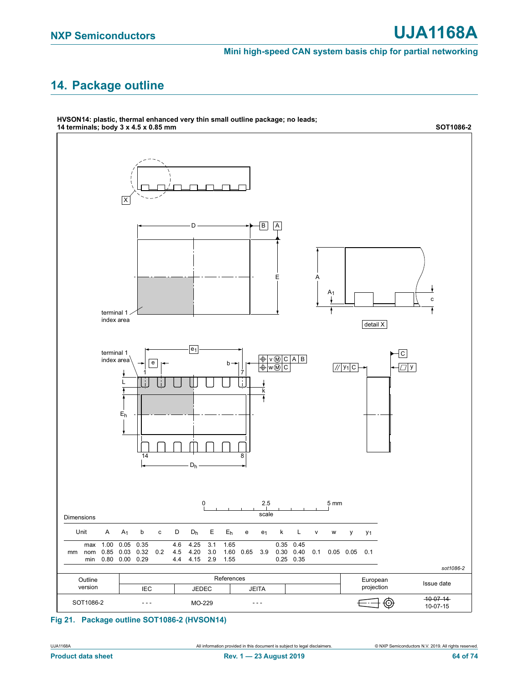# **14. Package outline**



**HVSON14: plastic, thermal enhanced very thin small outline package; no leads;** 

# **Fig 21. Package outline SOT1086-2 (HVSON14)**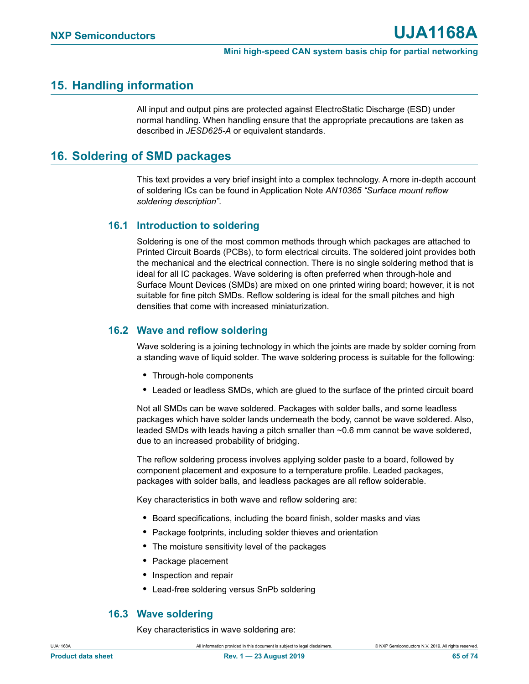# **15. Handling information**

All input and output pins are protected against ElectroStatic Discharge (ESD) under normal handling. When handling ensure that the appropriate precautions are taken as described in *JESD625-A* or equivalent standards.

# <span id="page-64-0"></span>**16. Soldering of SMD packages**

This text provides a very brief insight into a complex technology. A more in-depth account of soldering ICs can be found in Application Note *AN10365 "Surface mount reflow soldering description"*.

# **16.1 Introduction to soldering**

Soldering is one of the most common methods through which packages are attached to Printed Circuit Boards (PCBs), to form electrical circuits. The soldered joint provides both the mechanical and the electrical connection. There is no single soldering method that is ideal for all IC packages. Wave soldering is often preferred when through-hole and Surface Mount Devices (SMDs) are mixed on one printed wiring board; however, it is not suitable for fine pitch SMDs. Reflow soldering is ideal for the small pitches and high densities that come with increased miniaturization.

# **16.2 Wave and reflow soldering**

Wave soldering is a joining technology in which the joints are made by solder coming from a standing wave of liquid solder. The wave soldering process is suitable for the following:

- **•** Through-hole components
- **•** Leaded or leadless SMDs, which are glued to the surface of the printed circuit board

Not all SMDs can be wave soldered. Packages with solder balls, and some leadless packages which have solder lands underneath the body, cannot be wave soldered. Also, leaded SMDs with leads having a pitch smaller than ~0.6 mm cannot be wave soldered, due to an increased probability of bridging.

The reflow soldering process involves applying solder paste to a board, followed by component placement and exposure to a temperature profile. Leaded packages, packages with solder balls, and leadless packages are all reflow solderable.

Key characteristics in both wave and reflow soldering are:

- **•** Board specifications, including the board finish, solder masks and vias
- **•** Package footprints, including solder thieves and orientation
- **•** The moisture sensitivity level of the packages
- **•** Package placement
- **•** Inspection and repair
- **•** Lead-free soldering versus SnPb soldering

# **16.3 Wave soldering**

Key characteristics in wave soldering are: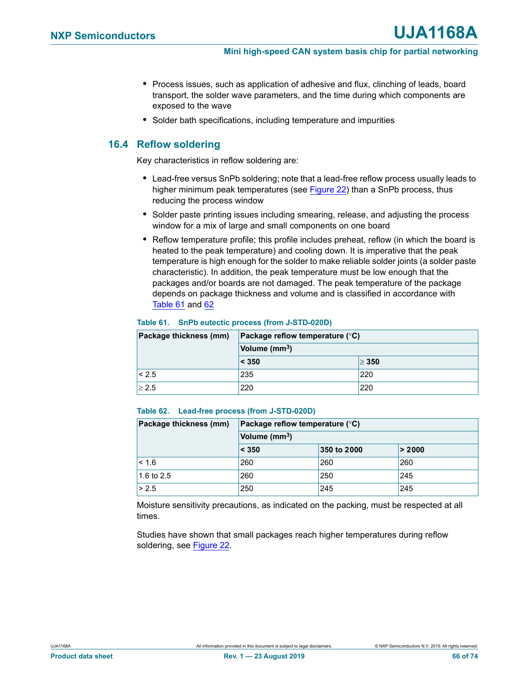- **•** Process issues, such as application of adhesive and flux, clinching of leads, board transport, the solder wave parameters, and the time during which components are exposed to the wave
- **•** Solder bath specifications, including temperature and impurities

# **16.4 Reflow soldering**

Key characteristics in reflow soldering are:

- **•** Lead-free versus SnPb soldering; note that a lead-free reflow process usually leads to higher minimum peak temperatures (see [Figure 22\)](#page-66-0) than a SnPb process, thus reducing the process window
- **•** Solder paste printing issues including smearing, release, and adjusting the process window for a mix of large and small components on one board
- **•** Reflow temperature profile; this profile includes preheat, reflow (in which the board is heated to the peak temperature) and cooling down. It is imperative that the peak temperature is high enough for the solder to make reliable solder joints (a solder paste characteristic). In addition, the peak temperature must be low enough that the packages and/or boards are not damaged. The peak temperature of the package depends on package thickness and volume and is classified in accordance with [Table 61](#page-65-0) and [62](#page-65-1)

# <span id="page-65-0"></span>**Table 61. SnPb eutectic process (from J-STD-020D)**

| Package thickness (mm) | Package reflow temperature $(^{\circ}C)$ |            |  |
|------------------------|------------------------------------------|------------|--|
|                        | Volume (mm <sup>3</sup> )                |            |  |
|                        | $\leq 350$                               | $\geq 350$ |  |
| < 2.5                  | 235                                      | 220        |  |
| > 2.5                  | 220                                      | 220        |  |

#### <span id="page-65-1"></span>**Table 62. Lead-free process (from J-STD-020D)**

| Package thickness (mm) | Package reflow temperature $(^{\circ}C)$ |             |        |
|------------------------|------------------------------------------|-------------|--------|
|                        | Volume (mm <sup>3</sup> )                |             |        |
|                        | < 350                                    | 350 to 2000 | > 2000 |
| $ $ < 1.6              | 260                                      | 260         | 260    |
| 1.6 to $2.5$           | 260                                      | 250         | 245    |
| > 2.5                  | 250                                      | 245         | 245    |

Moisture sensitivity precautions, as indicated on the packing, must be respected at all times.

Studies have shown that small packages reach higher temperatures during reflow soldering, see [Figure 22.](#page-66-0)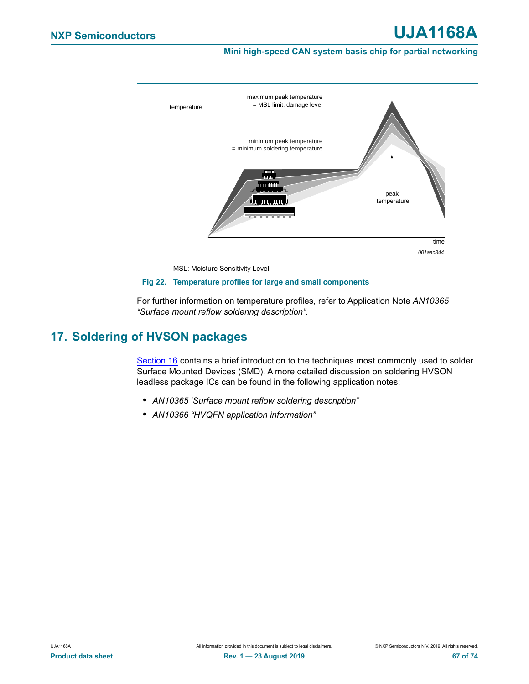

<span id="page-66-0"></span>For further information on temperature profiles, refer to Application Note *AN10365 "Surface mount reflow soldering description"*.

# **17. Soldering of HVSON packages**

[Section 16](#page-64-0) contains a brief introduction to the techniques most commonly used to solder Surface Mounted Devices (SMD). A more detailed discussion on soldering HVSON leadless package ICs can be found in the following application notes:

- **•** *AN10365 'Surface mount reflow soldering description"*
- **•** *AN10366 "HVQFN application information"*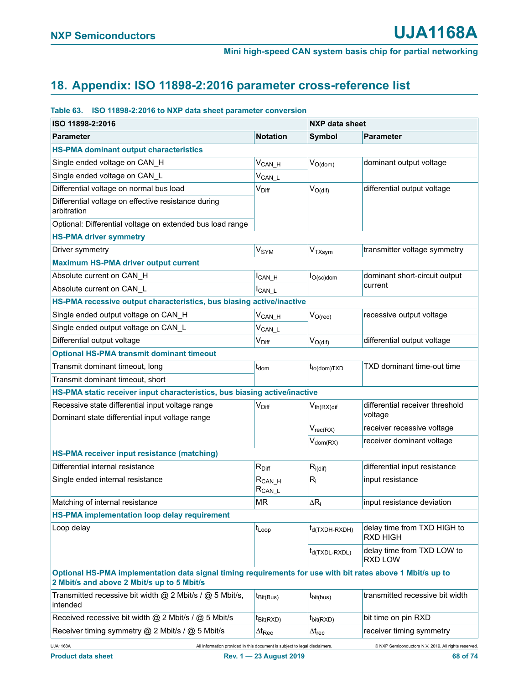# **18. Appendix: ISO 11898-2:2016 parameter cross-reference list**

### **Table 63. ISO 11898-2:2016 to NXP data sheet parameter conversion**

| ISO 11898-2:2016                                                                                                                                         |                              | <b>NXP data sheet</b>      |                                                      |  |
|----------------------------------------------------------------------------------------------------------------------------------------------------------|------------------------------|----------------------------|------------------------------------------------------|--|
| <b>Parameter</b>                                                                                                                                         | <b>Notation</b>              | <b>Symbol</b>              | <b>Parameter</b>                                     |  |
| <b>HS-PMA dominant output characteristics</b>                                                                                                            |                              |                            |                                                      |  |
| Single ended voltage on CAN_H                                                                                                                            | $V_{CAN_H}$                  | $V_{O(dom)}$               | dominant output voltage                              |  |
| Single ended voltage on CAN_L                                                                                                                            | $V_{CAN\_L}$                 |                            |                                                      |  |
| Differential voltage on normal bus load                                                                                                                  | $V_{\text{Diff}}$            | $V_{O(di)}$                | differential output voltage                          |  |
| Differential voltage on effective resistance during<br>arbitration                                                                                       |                              |                            |                                                      |  |
| Optional: Differential voltage on extended bus load range                                                                                                |                              |                            |                                                      |  |
| <b>HS-PMA driver symmetry</b>                                                                                                                            |                              |                            |                                                      |  |
| Driver symmetry                                                                                                                                          | V <sub>SYM</sub>             | V <sub>TXsym</sub>         | transmitter voltage symmetry                         |  |
| <b>Maximum HS-PMA driver output current</b>                                                                                                              |                              |                            |                                                      |  |
| Absolute current on CAN_H                                                                                                                                | $I_{CAN_H}$                  | $I_{O(\text{sc})$ dom      | dominant short-circuit output                        |  |
| Absolute current on CAN_L                                                                                                                                | ICAN L                       |                            | current                                              |  |
| HS-PMA recessive output characteristics, bus biasing active/inactive                                                                                     |                              |                            |                                                      |  |
| Single ended output voltage on CAN_H                                                                                                                     | $V_{CAN_H}$                  | $V_{O(rec)}$               | recessive output voltage                             |  |
| Single ended output voltage on CAN_L                                                                                                                     | V <sub>CAN_L</sub>           |                            |                                                      |  |
| Differential output voltage                                                                                                                              | $\mathsf{V}_{\mathsf{Diff}}$ | $V_{O(dif)}$               | differential output voltage                          |  |
| <b>Optional HS-PMA transmit dominant timeout</b>                                                                                                         |                              |                            |                                                      |  |
| Transmit dominant timeout, long                                                                                                                          | t <sub>dom</sub>             | t <sub>to(dom)</sub> TXD   | TXD dominant time-out time                           |  |
| Transmit dominant timeout, short                                                                                                                         |                              |                            |                                                      |  |
| HS-PMA static receiver input characteristics, bus biasing active/inactive                                                                                |                              |                            |                                                      |  |
| Recessive state differential input voltage range<br>Dominant state differential input voltage range                                                      | V <sub>Diff</sub>            | $V_{th(RX)diff}$           | differential receiver threshold<br>voltage           |  |
|                                                                                                                                                          |                              | $V_{rec(RX)}$              | receiver recessive voltage                           |  |
|                                                                                                                                                          |                              | $V_{dom(RX)}$              | receiver dominant voltage                            |  |
| HS-PMA receiver input resistance (matching)                                                                                                              |                              |                            |                                                      |  |
| Differential internal resistance                                                                                                                         | $R_{Diff}$                   | $R_{i(dif)}$               | differential input resistance                        |  |
| Single ended internal resistance                                                                                                                         | $R_{CAN_H}$<br>$R_{CAN\_L}$  | $R_i$                      | input resistance                                     |  |
| Matching of internal resistance                                                                                                                          | MR                           | $\Delta R_i$               | input resistance deviation                           |  |
| <b>HS-PMA implementation loop delay requirement</b>                                                                                                      |                              |                            |                                                      |  |
| Loop delay                                                                                                                                               | $t_{Loop}$                   | t <sub>d(TXDH-RXDH)</sub>  | delay time from TXD HIGH to<br><b>RXD HIGH</b>       |  |
|                                                                                                                                                          |                              | t <sub>d</sub> (TXDL-RXDL) | delay time from TXD LOW to<br><b>RXD LOW</b>         |  |
| Optional HS-PMA implementation data signal timing requirements for use with bit rates above 1 Mbit/s up to<br>2 Mbit/s and above 2 Mbit/s up to 5 Mbit/s |                              |                            |                                                      |  |
| Transmitted recessive bit width $@$ 2 Mbit/s / $@$ 5 Mbit/s,<br>intended                                                                                 | t <sub>Bit(Bus)</sub>        | t <sub>bit(bus)</sub>      | transmitted recessive bit width                      |  |
| Received recessive bit width @ 2 Mbit/s / @ 5 Mbit/s                                                                                                     | t <sub>Bit(RXD)</sub>        | $t_{\text{bit(RXD)}}$      | bit time on pin RXD                                  |  |
| Receiver timing symmetry @ 2 Mbit/s / @ 5 Mbit/s                                                                                                         | $\Delta t_{\mathsf{Rec}}$    | $\Delta t_{rec}$           | receiver timing symmetry                             |  |
| <b>UJA1168A</b><br>All information provided in this document is subject to legal disclaimers.                                                            |                              |                            | C NXP Semiconductors N.V. 2019. All rights reserved. |  |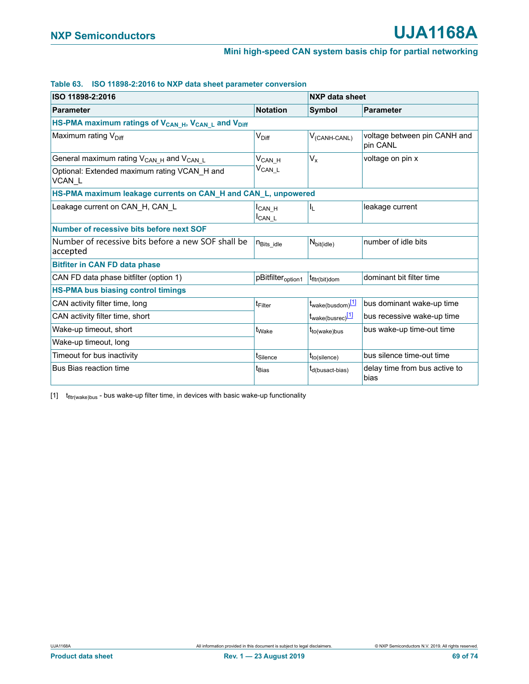#### **Table 63. ISO 11898-2:2016 to NXP data sheet parameter conversion**

| ISO 11898-2:2016                                                                        |                                          | NXP data sheet                |                                          |  |
|-----------------------------------------------------------------------------------------|------------------------------------------|-------------------------------|------------------------------------------|--|
| <b>Parameter</b>                                                                        | <b>Notation</b>                          | <b>Symbol</b>                 | <b>Parameter</b>                         |  |
| HS-PMA maximum ratings of V <sub>CAN_H</sub> , V <sub>CAN_L</sub> and V <sub>Diff</sub> |                                          |                               |                                          |  |
| Maximum rating $V_{\text{Diff}}$                                                        | $V_{\text{Diff}}$                        | $V_{(CANH-CANL)}$             | voltage between pin CANH and<br>pin CANL |  |
| General maximum rating $V_{CAN H}$ and $V_{CAN L}$                                      | $V_{\mathsf{CAN\_H}}$                    | $V_{x}$                       | voltage on pin x                         |  |
| Optional: Extended maximum rating VCAN_H and<br>VCAN_L                                  | $V_{CAN\_L}$                             |                               |                                          |  |
| HS-PMA maximum leakage currents on CAN_H and CAN_L, unpowered                           |                                          |                               |                                          |  |
| Leakage current on CAN H, CAN L                                                         | I <sub>CAN H</sub><br>I <sub>CAN L</sub> | IL.                           | leakage current                          |  |
| Number of recessive bits before next SOF                                                |                                          |                               |                                          |  |
| Number of recessive bits before a new SOF shall be<br>accepted                          | <b>N</b> Bits idle                       | $N_{\text{bit}(idle)}$        | number of idle bits                      |  |
| <b>Bitfiter in CAN FD data phase</b>                                                    |                                          |                               |                                          |  |
| CAN FD data phase bitfilter (option 1)                                                  | pBitfilter <sub>option1</sub>            | t <sub>fltr</sub> (bit)dom    | dominant bit filter time                 |  |
| <b>HS-PMA bus biasing control timings</b>                                               |                                          |                               |                                          |  |
| CAN activity filter time, long                                                          | t <sub>Filter</sub>                      | t <sub>wake(busdom)</sub> [1] | bus dominant wake-up time                |  |
| CAN activity filter time, short                                                         |                                          | t <sub>wake(busrec)</sub> [1] | bus recessive wake-up time               |  |
| Wake-up timeout, short                                                                  | t <sub>Wake</sub>                        | t <sub>to(wake)bus</sub>      | bus wake-up time-out time                |  |
| Wake-up timeout, long                                                                   |                                          |                               |                                          |  |
| Timeout for bus inactivity                                                              | t <sub>Silence</sub>                     | $t_{to(silence)}$             | bus silence time-out time                |  |
| Bus Bias reaction time                                                                  | t <sub>Bias</sub>                        | t <sub>d(busact-bias)</sub>   | delay time from bus active to<br>bias    |  |

<span id="page-68-0"></span> $[1]$   $t_{\text{fltr(wake)bus}}$  - bus wake-up filter time, in devices with basic wake-up functionality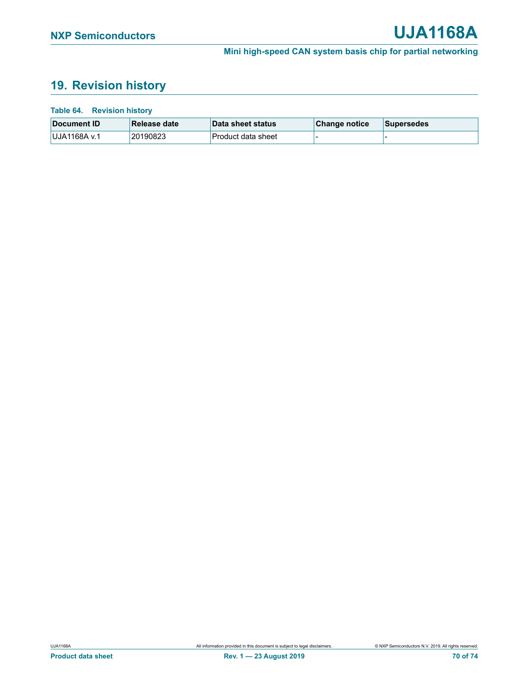# **19. Revision history**

### **Table 64. Revision history**

| Document ID   | Release date | ∣Data sheet status | <b>Change notice</b> | <b>Supersedes</b> |
|---------------|--------------|--------------------|----------------------|-------------------|
| ⊺UJA1168A v.1 | 20190823     | Product data sheet |                      |                   |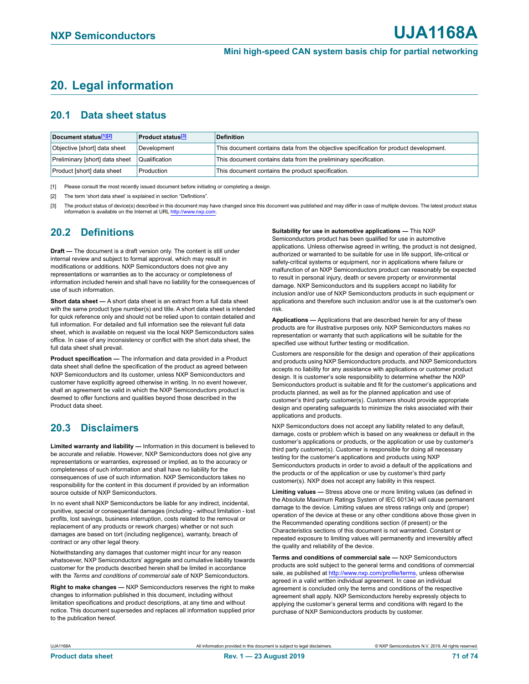# **20. Legal information**

# **20.1 Data sheet status**

| Document status[1][2]          | <b>Product status</b> <sup>[3]</sup> | <b>Definition</b>                                                                     |
|--------------------------------|--------------------------------------|---------------------------------------------------------------------------------------|
| Objective [short] data sheet   | Development                          | This document contains data from the objective specification for product development. |
| Preliminary [short] data sheet | Qualification                        | This document contains data from the preliminary specification.                       |
| Product [short] data sheet     | Production                           | This document contains the product specification.                                     |

<span id="page-70-0"></span>[1] Please consult the most recently issued document before initiating or completing a design.

- <span id="page-70-1"></span>[2] The term 'short data sheet' is explained in section "Definitions".
- <span id="page-70-2"></span>[3] The product status of device(s) described in this document may have changed since this document was published and may differ in case of multiple devices. The latest product status information is available on the Internet at URL [http://www.nxp.com.](http://www.nxp.com)

# **20.2 Definitions**

**Draft —** The document is a draft version only. The content is still under internal review and subject to formal approval, which may result in modifications or additions. NXP Semiconductors does not give any representations or warranties as to the accuracy or completeness of information included herein and shall have no liability for the consequences of use of such information.

**Short data sheet —** A short data sheet is an extract from a full data sheet with the same product type number(s) and title. A short data sheet is intended for quick reference only and should not be relied upon to contain detailed and full information. For detailed and full information see the relevant full data sheet, which is available on request via the local NXP Semiconductors sales office. In case of any inconsistency or conflict with the short data sheet, the full data sheet shall prevail.

**Product specification —** The information and data provided in a Product data sheet shall define the specification of the product as agreed between NXP Semiconductors and its customer, unless NXP Semiconductors and customer have explicitly agreed otherwise in writing. In no event however, shall an agreement be valid in which the NXP Semiconductors product is deemed to offer functions and qualities beyond those described in the Product data sheet.

# **20.3 Disclaimers**

**Limited warranty and liability —** Information in this document is believed to be accurate and reliable. However, NXP Semiconductors does not give any representations or warranties, expressed or implied, as to the accuracy or completeness of such information and shall have no liability for the consequences of use of such information. NXP Semiconductors takes no responsibility for the content in this document if provided by an information source outside of NXP Semiconductors.

In no event shall NXP Semiconductors be liable for any indirect, incidental, punitive, special or consequential damages (including - without limitation - lost profits, lost savings, business interruption, costs related to the removal or replacement of any products or rework charges) whether or not such damages are based on tort (including negligence), warranty, breach of contract or any other legal theory.

Notwithstanding any damages that customer might incur for any reason whatsoever, NXP Semiconductors' aggregate and cumulative liability towards customer for the products described herein shall be limited in accordance with the *Terms and conditions of commercial sale* of NXP Semiconductors.

**Right to make changes —** NXP Semiconductors reserves the right to make changes to information published in this document, including without limitation specifications and product descriptions, at any time and without notice. This document supersedes and replaces all information supplied prior to the publication hereof.

**Suitability for use in automotive applications —** This NXP Semiconductors product has been qualified for use in automotive applications. Unless otherwise agreed in writing, the product is not designed, authorized or warranted to be suitable for use in life support, life-critical or safety-critical systems or equipment, nor in applications where failure or malfunction of an NXP Semiconductors product can reasonably be expected to result in personal injury, death or severe property or environmental damage. NXP Semiconductors and its suppliers accept no liability for inclusion and/or use of NXP Semiconductors products in such equipment or applications and therefore such inclusion and/or use is at the customer's own risk.

**Applications —** Applications that are described herein for any of these products are for illustrative purposes only. NXP Semiconductors makes no representation or warranty that such applications will be suitable for the specified use without further testing or modification.

Customers are responsible for the design and operation of their applications and products using NXP Semiconductors products, and NXP Semiconductors accepts no liability for any assistance with applications or customer product design. It is customer's sole responsibility to determine whether the NXP Semiconductors product is suitable and fit for the customer's applications and products planned, as well as for the planned application and use of customer's third party customer(s). Customers should provide appropriate design and operating safeguards to minimize the risks associated with their applications and products.

NXP Semiconductors does not accept any liability related to any default, damage, costs or problem which is based on any weakness or default in the customer's applications or products, or the application or use by customer's third party customer(s). Customer is responsible for doing all necessary testing for the customer's applications and products using NXP Semiconductors products in order to avoid a default of the applications and the products or of the application or use by customer's third party customer(s). NXP does not accept any liability in this respect.

**Limiting values —** Stress above one or more limiting values (as defined in the Absolute Maximum Ratings System of IEC 60134) will cause permanent damage to the device. Limiting values are stress ratings only and (proper) operation of the device at these or any other conditions above those given in the Recommended operating conditions section (if present) or the Characteristics sections of this document is not warranted. Constant or repeated exposure to limiting values will permanently and irreversibly affect the quality and reliability of the device.

**Terms and conditions of commercial sale —** NXP Semiconductors products are sold subject to the general terms and conditions of commercial sale, as published at [http://www.nxp.com/profile/terms,](http://www.nxp.com/profile/terms) unless otherwise agreed in a valid written individual agreement. In case an individual agreement is concluded only the terms and conditions of the respective agreement shall apply. NXP Semiconductors hereby expressly objects to applying the customer's general terms and conditions with regard to the purchase of NXP Semiconductors products by customer.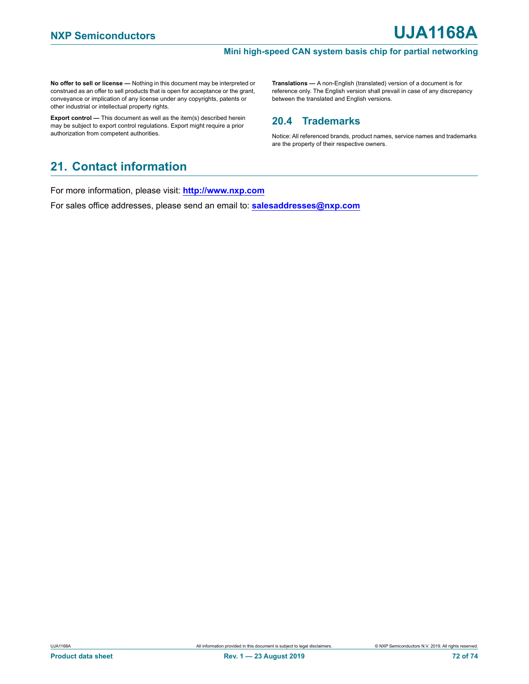**No offer to sell or license —** Nothing in this document may be interpreted or construed as an offer to sell products that is open for acceptance or the grant, conveyance or implication of any license under any copyrights, patents or other industrial or intellectual property rights.

**Export control —** This document as well as the item(s) described herein may be subject to export control regulations. Export might require a prior authorization from competent authorities.

**Translations —** A non-English (translated) version of a document is for reference only. The English version shall prevail in case of any discrepancy between the translated and English versions.

# **20.4 Trademarks**

Notice: All referenced brands, product names, service names and trademarks are the property of their respective owners.

# **21. Contact information**

For more information, please visit: **http://www.nxp.com**

For sales office addresses, please send an email to: **salesaddresses@nxp.com**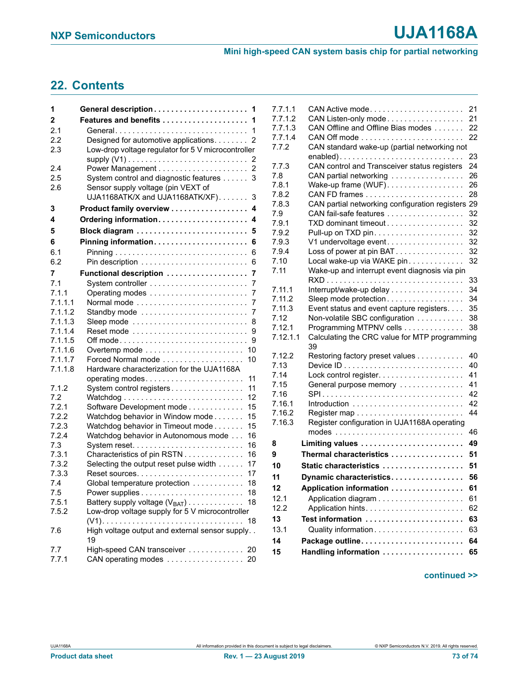#### **Mini high-speed CAN system basis chip for partial networking**

# <span id="page-72-0"></span>**22. Contents**

| 1                  | General description 1                                                  |
|--------------------|------------------------------------------------------------------------|
| 2                  | Features and benefits<br>1                                             |
| 2.1                | General<br>1                                                           |
| 2.2                | Designed for automotive applications.<br>2                             |
| 2.3                | Low-drop voltage regulator for 5 V microcontroller                     |
|                    | 2                                                                      |
| 2.4                | 2                                                                      |
| 2.5                | System control and diagnostic features<br>3                            |
| 2.6                | Sensor supply voltage (pin VEXT of<br>UJA1168ATK/X and UJA1168ATK/XF). |
| 3                  | 3<br>Product family overview<br>4                                      |
| 4                  | Ordering information<br>4                                              |
|                    |                                                                        |
| 5                  | Block diagram<br>5                                                     |
| 6                  | Pinning information<br>6                                               |
| 6.1                | 6                                                                      |
| 6.2                | 6                                                                      |
| 7                  | Functional description<br>7                                            |
| 7.1                | 7                                                                      |
| 7.1.1              | 7                                                                      |
| 7.1.1.1            | Normal mode<br>7                                                       |
| 7.1.1.2<br>7.1.1.3 | Standby mode<br>7                                                      |
| 7.1.1.4            | Sleep mode<br>8<br>9                                                   |
| 7.1.1.5            | 9                                                                      |
| 7.1.1.6            | Overtemp mode<br>10                                                    |
| 7.1.1.7            | Forced Normal mode<br>10                                               |
| 7.1.1.8            | Hardware characterization for the UJA1168A                             |
|                    | 11                                                                     |
| 7.1.2              | System control registers<br>11                                         |
| 7.2                | 12                                                                     |
| 7.2.1              | Software Development mode<br>15                                        |
| 7.2.2              | Watchdog behavior in Window mode<br>15                                 |
| 7.2.3              | Watchdog behavior in Timeout mode<br>15                                |
| 7.2.4              | Watchdog behavior in Autonomous mode<br>16                             |
| 7.3                | 16                                                                     |
| 7.3.1              | Characteristics of pin RSTN<br>16                                      |
| 7.3.2              | Selecting the output reset pulse width<br>17                           |
| 7.3.3              | 17<br>Reset sources                                                    |
| 7.4                | Global temperature protection<br>18                                    |
| 7.5                | 18                                                                     |
| 7.5.1              | Battery supply voltage $(V_{BAT})$<br>18                               |
| 7.5.2              | Low-drop voltage supply for 5 V microcontroller<br>18                  |
| 7.6                | High voltage output and external sensor supply<br>19                   |
| 7.7                | High-speed CAN transceiver<br>20                                       |
| 7.7.1              | CAN operating modes<br>20                                              |
|                    |                                                                        |

| 7.7.1.1  | CAN Active mode                                   | 21 |
|----------|---------------------------------------------------|----|
| 7.7.1.2  | CAN Listen-only mode                              | 21 |
| 7.7.1.3  | CAN Offline and Offline Bias modes                | 22 |
| 7.7.1.4  |                                                   | 22 |
| 7.7.2    | CAN standard wake-up (partial networking not      |    |
|          |                                                   |    |
|          | enabled)                                          | 23 |
| 7.7.3    | CAN control and Transceiver status registers      | 24 |
| 7.8      | CAN partial networking                            | 26 |
| 7.8.1    | Wake-up frame (WUF).                              | 26 |
| 7.8.2    |                                                   | 28 |
| 7.8.3    | CAN partial networking configuration registers 29 |    |
| 7.9      | CAN fail-safe features                            | 32 |
| 7.9.1    | TXD dominant timeout                              | 32 |
| 7.9.2    |                                                   | 32 |
| 7.9.3    | V1 undervoltage event                             | 32 |
| 7.9.4    | Loss of power at pin BAT                          | 32 |
| 7.10     | Local wake-up via WAKE pin                        | 32 |
| 7.11     | Wake-up and interrupt event diagnosis via pin     |    |
|          |                                                   | 33 |
| 7.11.1   | Interrupt/wake-up delay                           | 34 |
| 7.11.2   | Sleep mode protection                             | 34 |
| 7.11.3   | Event status and event capture registers.         | 35 |
| 7.12     | Non-volatile SBC configuration                    | 38 |
| 7.12.1   | Programming MTPNV cells                           | 38 |
| 7.12.1.1 | Calculating the CRC value for MTP programming     |    |
|          | 39                                                |    |
| 7.12.2   | Restoring factory preset values                   | 40 |
| 7.13     |                                                   | 40 |
| 7.14     |                                                   | 41 |
| 7.15     | General purpose memory                            | 41 |
| 7.16     |                                                   | 42 |
| 7.16.1   |                                                   | 42 |
| 7.16.2   |                                                   | 44 |
| 7.16.3   | Register configuration in UJA1168A operating      |    |
|          |                                                   | 46 |
| 8        | Limiting values                                   | 49 |
|          |                                                   |    |
| 9        | Thermal characteristics                           | 51 |
| 10       | Static characteristics                            | 51 |
| 11       | Dynamic characteristics                           | 56 |
| 12       | Application information                           | 61 |
| 12.1     |                                                   | 61 |
| 12.2     |                                                   | 62 |
| 13       | Test information                                  | 63 |
| 13.1     | Quality information                               | 63 |
|          |                                                   |    |
| 14       |                                                   | 64 |
| 15       | Handling information                              | 65 |

### **continued >>**